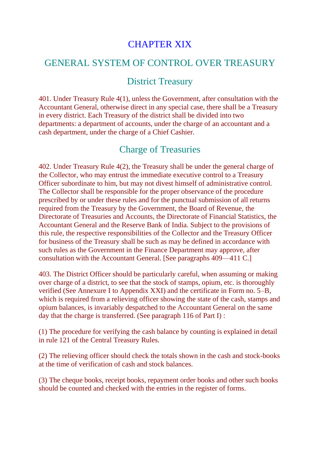### CHAPTER XIX

#### GENERAL SYSTEM OF CONTROL OVER TREASURY

#### District Treasury

401. Under Treasury Rule 4(1), unless the Government, after consultation with the Accountant General, otherwise direct in any special case, there shall be a Treasury in every district. Each Treasury of the district shall be divided into two departments: a department of accounts, under the charge of an accountant and a cash department, under the charge of a Chief Cashier.

#### Charge of Treasuries

402. Under Treasury Rule 4(2), the Treasury shall be under the general charge of the Collector, who may entrust the immediate executive control to a Treasury Officer subordinate to him, but may not divest himself of administrative control. The Collector shall be responsible for the proper observance of the procedure prescribed by or under these rules and for the punctual submission of all returns required from the Treasury by the Government, the Board of Revenue, the Directorate of Treasuries and Accounts, the Directorate of Financial Statistics, the Accountant General and the Reserve Bank of India. Subject to the provisions of this rule, the respective responsibilities of the Collector and the Treasury Officer for business of the Treasury shall be such as may be defined in accordance with such rules as the Government in the Finance Department may approve, after consultation with the Accountant General. [See paragraphs 409—411 C.]

403. The District Officer should be particularly careful, when assuming or making over charge of a district, to see that the stock of stamps, opium, etc. is thoroughly verified (See Annexure I to Appendix XXI) and the certificate in Form no. 5–B, which is required from a relieving officer showing the state of the cash, stamps and opium balances, is invariably despatched to the Accountant General on the same day that the charge is transferred. (See paragraph 116 of Part I) :

(1) The procedure for verifying the cash balance by counting is explained in detail in rule 121 of the Central Treasury Rules.

(2) The relieving officer should check the totals shown in the cash and stock-books at the time of verification of cash and stock balances.

(3) The cheque books, receipt books, repayment order books and other such books should be counted and checked with the entries in the register of forms.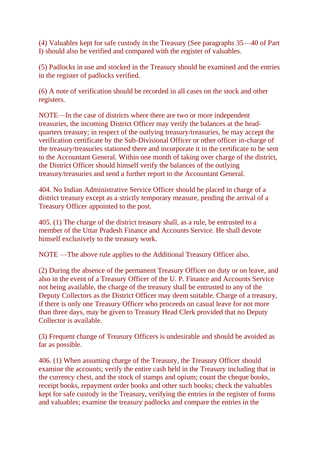(4) Valuables kept for safe custody in the Treasury (See paragraphs 35—40 of Part I) should also be verified and compared with the register of valuables.

(5) Padlocks in use and stocked in the Treasury should be examined and the entries in the register of padlocks verified.

(6) A note of verification should be recorded in all cases on the stock and other registers.

NOTE—In the case of districts where there are two or more independent treasuries, the incoming District Officer may verify the balances at the headquarters treasury; in respect of the outlying treasury/treasuries, he may accept the verification certificate by the Sub-Divisional Officer or other officer in-charge of the treasury/treasuries stationed there and incorporate it in the certificate to be sent to the Accountant General. Within one month of taking over charge of the district, the District Officer should himself verify the balances of the outlying treasury/treasuries and send a further report to the Accountant General.

404. No Indian Administrative Service Officer should be placed in charge of a district treasury except as a strictly temporary measure, pending the arrival of a Treasury Officer appointed to the post.

405. (1) The charge of the district treasury shall, as a rule, be entrusted to a member of the Uttar Pradesh Finance and Accounts Service. He shall devote himself exclusively to the treasury work.

NOTE —The above rule applies to the Additional Treasury Officer also.

(2) During the absence of the permanent Treasury Officer on duty or on leave, and also in the event of a Treasury Officer of the U. P. Finance and Accounts Service not being available, the charge of the treasury shall be entrusted to any of the Deputy Collectors as the District Officer may deem suitable. Charge of a treasury, if there is only one Treasury Officer who proceeds on casual leave for not more than three days, may be given to Treasury Head Clerk provided that no Deputy Collector is available.

(3) Frequent change of Treasury Officers is undesirable and should be avoided as far as possible.

406. (1) When assuming charge of the Treasury, the Treasury Officer should examine the accounts; verify the entire cash held in the Treasury including that in the currency chest, and the stock of stamps and opium; count the cheque books, receipt books, repayment order books and other such books; check the valuables kept for safe custody in the Treasury, verifying the entries in the register of forms and valuables; examine the treasury padlocks and compare the entries in the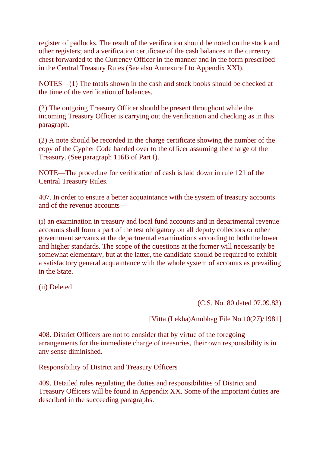register of padlocks. The result of the verification should be noted on the stock and other registers; and a verification certificate of the cash balances in the currency chest forwarded to the Currency Officer in the manner and in the form prescribed in the Central Treasury Rules (See also Annexure I to Appendix XXI).

NOTES—(1) The totals shown in the cash and stock books should be checked at the time of the verification of balances.

(2) The outgoing Treasury Officer should be present throughout while the incoming Treasury Officer is carrying out the verification and checking as in this paragraph.

(2) A note should be recorded in the charge certificate showing the number of the copy of the Cypher Code handed over to the officer assuming the charge of the Treasury. (See paragraph 116B of Part I).

NOTE—The procedure for verification of cash is laid down in rule 121 of the Central Treasury Rules.

407. In order to ensure a better acquaintance with the system of treasury accounts and of the revenue accounts—

(i) an examination in treasury and local fund accounts and in departmental revenue accounts shall form a part of the test obligatory on all deputy collectors or other government servants at the departmental examinations according to both the lower and higher standards. The scope of the questions at the former will necessarily be somewhat elementary, but at the latter, the candidate should be required to exhibit a satisfactory general acquaintance with the whole system of accounts as prevailing in the State.

(ii) Deleted

(C.S. No. 80 dated 07.09.83)

[Vitta (Lekha)Anubhag File No.10(27)/1981]

408. District Officers are not to consider that by virtue of the foregoing arrangements for the immediate charge of treasuries, their own responsibility is in any sense diminished.

Responsibility of District and Treasury Officers

409. Detailed rules regulating the duties and responsibilities of District and Treasury Officers will be found in Appendix XX. Some of the important duties are described in the succeeding paragraphs.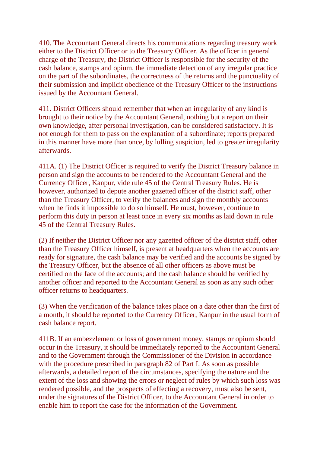410. The Accountant General directs his communications regarding treasury work either to the District Officer or to the Treasury Officer. As the officer in general charge of the Treasury, the District Officer is responsible for the security of the cash balance, stamps and opium, the immediate detection of any irregular practice on the part of the subordinates, the correctness of the returns and the punctuality of their submission and implicit obedience of the Treasury Officer to the instructions issued by the Accountant General.

411. District Officers should remember that when an irregularity of any kind is brought to their notice by the Accountant General, nothing but a report on their own knowledge, after personal investigation, can be considered satisfactory. It is not enough for them to pass on the explanation of a subordinate; reports prepared in this manner have more than once, by lulling suspicion, led to greater irregularity afterwards.

411A. (1) The District Officer is required to verify the District Treasury balance in person and sign the accounts to be rendered to the Accountant General and the Currency Officer, Kanpur, vide rule 45 of the Central Treasury Rules. He is however, authorized to depute another gazetted officer of the district staff, other than the Treasury Officer, to verify the balances and sign the monthly accounts when he finds it impossible to do so himself. He must, however, continue to perform this duty in person at least once in every six months as laid down in rule 45 of the Central Treasury Rules.

(2) If neither the District Officer nor any gazetted officer of the district staff, other than the Treasury Officer himself, is present at headquarters when the accounts are ready for signature, the cash balance may be verified and the accounts be signed by the Treasury Officer, but the absence of all other officers as above must be certified on the face of the accounts; and the cash balance should be verified by another officer and reported to the Accountant General as soon as any such other officer returns to headquarters.

(3) When the verification of the balance takes place on a date other than the first of a month, it should be reported to the Currency Officer, Kanpur in the usual form of cash balance report.

411B. If an embezzlement or loss of government money, stamps or opium should occur in the Treasury, it should be immediately reported to the Accountant General and to the Government through the Commissioner of the Division in accordance with the procedure prescribed in paragraph 82 of Part I. As soon as possible afterwards, a detailed report of the circumstances, specifying the nature and the extent of the loss and showing the errors or neglect of rules by which such loss was rendered possible, and the prospects of effecting a recovery, must also be sent, under the signatures of the District Officer, to the Accountant General in order to enable him to report the case for the information of the Government.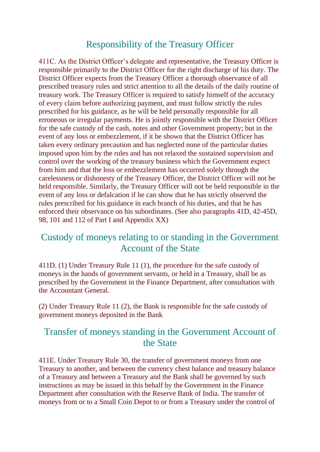### Responsibility of the Treasury Officer

411C. As the District Officer's delegate and representative, the Treasury Officer is responsible primarily to the District Officer for the right discharge of his duty. The District Officer expects from the Treasury Officer a thorough observance of all prescribed treasury rules and strict attention to all the details of the daily routine of treasury work. The Treasury Officer is required to satisfy himself of the accuracy of every claim before authorizing payment, and must follow strictly the rules prescribed for his guidance, as he will be held personally responsible for all erroneous or irregular payments. He is jointly responsible with the District Officer for the safe custody of the cash, notes and other Government property; but in the event of any loss or embezzlement, if it be shown that the District Officer has taken every ordinary precaution and has neglected none of the particular duties imposed upon him by the rules and has not relaxed the sustained supervision and control over the working of the treasury business which the Government expect from him and that the loss or embezzlement has occurred solely through the carelessness or dishonesty of the Treasury Officer, the District Officer will not be held responsible. Similarly, the Treasury Officer will not be held responsible in the event of any loss or defalcation if he can show that he has strictly observed the rules prescribed for his guidance in each branch of his duties, and that he has enforced their observance on his subordinates. (See also paragraphs 41D, 42-45D, 98, 101 and 112 of Part I and Appendix XX)

## Custody of moneys relating to or standing in the Government Account of the State

411D. (1) Under Treasury Rule 11 (1), the procedure for the safe custody of moneys in the hands of government servants, or held in a Treasury, shall be as prescribed by the Government in the Finance Department, after consultation with the Accountant General.

(2) Under Treasury Rule 11 (2), the Bank is responsible for the safe custody of government moneys deposited in the Bank

### Transfer of moneys standing in the Government Account of the State

411E. Under Treasury Rule 30, the transfer of government moneys from one Treasury to another, and between the currency chest balance and treasury balance of a Treasury and between a Treasury and the Bank shall be governed by such instructions as may be issued in this behalf by the Government in the Finance Department after consultation with the Reserve Bank of India. The transfer of moneys from or to a Small Coin Depot to or from a Treasury under the control of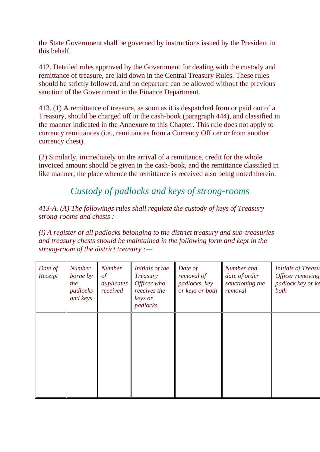the State Government shall be governed by instructions issued by the President in this behalf.

412. Detailed rules approved by the Government for dealing with the custody and remittance of treasure, are laid down in the Central Treasury Rules. These rules should be strictly followed, and no departure can be allowed without the previous sanction of the Government in the Finance Department.

413. (1) A remittance of treasure, as soon as it is despatched from or paid out of a Treasury, should be charged off in the cash-book (paragraph 444), and classified in the manner indicated in the Annexure to this Chapter. This rule does not apply to currency remittances (i.e., remittances from a Currency Officer or from another currency chest).

(2) Similarly, immediately on the arrival of a remittance, credit for the whole invoiced amount should be given in the cash-book, and the remittance classified in like manner; the place whence the remittance is received also being noted therein.

*Custody of padlocks and keys of strong-rooms*

*413-A. (A) The followings rules shall regulate the custody of keys of Treasury strong-rooms and chests :—*

*(i) A register of all padlocks belonging to the district treasury and sub-treasuries and treasury chests should be maintained in the following form and kept in the strong-room of the district treasury :—*

| Date of<br>Receipt | <b>Number</b><br>borne by<br>the<br>padlocks<br>and keys | <b>Number</b><br>of<br>duplicates<br>received | Initials of the<br>Treasury<br>Officer who<br>receives the<br>keys or<br>padlocks | Date of<br>removal of<br>padlocks, key<br>or keys or both | Number and<br>date of order<br>sanctioning the<br>removal | <b>Initials of Treasu</b><br>Officer removing<br>padlock key or ke<br>both |
|--------------------|----------------------------------------------------------|-----------------------------------------------|-----------------------------------------------------------------------------------|-----------------------------------------------------------|-----------------------------------------------------------|----------------------------------------------------------------------------|
|                    |                                                          |                                               |                                                                                   |                                                           |                                                           |                                                                            |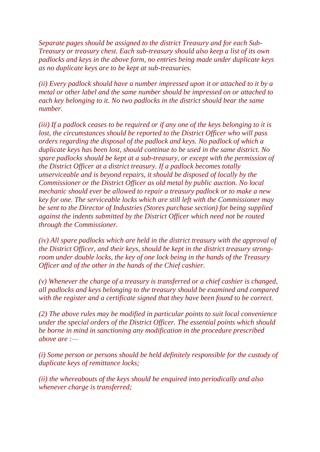*Separate pages should be assigned to the district Treasury and for each Sub-Treasury or treasury chest. Each sub-treasury should also keep a list of its own padlocks and keys in the above form, no entries being made under duplicate keys as no duplicate keys are to be kept at sub-treasuries.*

*(ii) Every padlock should have a number impressed upon it or attached to it by a metal or other label and the same number should be impressed on or attached to each key belonging to it. No two padlocks in the district should bear the same number.*

*(iii) If a padlock ceases to be required or if any one of the keys belonging to it is lost, the circumstances should be reported to the District Officer who will pass orders regarding the disposal of the padlock and keys. No padlock of which a duplicate keys has been lost, should continue to be used in the same district. No spare padlocks should be kept at a sub-treasury, or except with the permission of the District Officer at a district treasury. If a padlock becomes totally unserviceable and is beyond repairs, it should be disposed of locally by the Commissioner or the District Officer as old metal by public auction. No local mechanic should ever be allowed to repair a treasury padlock or to make a new key for one. The serviceable locks which are still left with the Commissioner may be sent to the Director of Industries (Stores purchase section) for being supplied against the indents submitted by the District Officer which need not be routed through the Commissioner.*

*(iv) All spare padlocks which are held in the district treasury with the approval of the District Officer, and their keys, should be kept in the district treasury strongroom under double locks, the key of one lock being in the hands of the Treasury Officer and of the other in the hands of the Chief cashier.*

*(v) Whenever the charge of a treasury is transferred or a chief cashier is changed, all padlocks and keys belonging to the treasury should be examined and compared with the register and a certificate signed that they have been found to be correct.*

*(2) The above rules may be modified in particular points to suit local convenience under the special orders of the District Officer. The essential points which should be borne in mind in sanctioning any modification in the procedure prescribed above are :—*

*(i) Some person or persons should be held definitely responsible for the custody of duplicate keys of remittance locks;*

*(ii) the whereabouts of the keys should be enquired into periodically and also whenever charge is transferred;*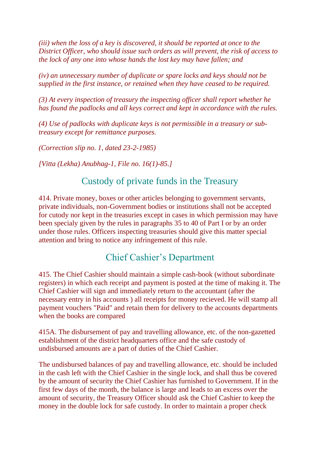*(iii) when the loss of a key is discovered, it should be reported at once to the District Officer, who should issue such orders as will prevent, the risk of access to the lock of any one into whose hands the lost key may have fallen; and*

*(iv) an unnecessary number of duplicate or spare locks and keys should not be supplied in the first instance, or retained when they have ceased to be required.*

*(3) At every inspection of treasury the inspecting officer shall report whether he has found the padlocks and all keys correct and kept in accordance with the rules.*

*(4) Use of padlocks with duplicate keys is not permissible in a treasury or subtreasury except for remittance purposes.*

*(Correction slip no. 1, dated 23-2-1985)*

*[Vitta (Lekha) Anubhag-1, File no. 16(1)-85.]*

### Custody of private funds in the Treasury

414. Private money, boxes or other articles belonging to government servants, private individuals, non-Government bodies or institutions shall not be accepted for cutody nor kept in the treasuries except in cases in which permission may have been specialy given by the rules in paragraphs 35 to 40 of Part I or by an order under those rules. Officers inspecting treasuries should give this matter special attention and bring to notice any infringement of this rule.

# Chief Cashier's Department

415. The Chief Cashier should maintain a simple cash-book (without subordinate registers) in which each receipt and payment is posted at the time of making it. The Chief Cashier will sign and immediately return to the accountant (after the necessary entry in his accounts ) all receipts for money recieved. He will stamp all payment vouchers "Paid" and retain them for delivery to the accounts departments when the books are compared

415A. The disbursement of pay and travelling allowance, etc. of the non-gazetted establishment of the district headquarters office and the safe custody of undisbursed amounts are a part of duties of the Chief Cashier.

The undisbursed balances of pay and travelling allowance, etc. should be included in the cash left with the Chief Cashier in the single lock, and shall thus be covered by the amount of security the Chief Cashier has furnished to Government. If in the first few days of the month, the balance is large and leads to an excess over the amount of security, the Treasury Officer should ask the Chief Cashier to keep the money in the double lock for safe custody. In order to maintain a proper check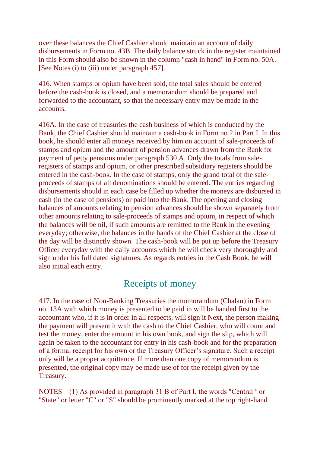over these balances the Chief Cashier should maintain an account of daily disbursements in Form no. 43B. The daily balance struck in the register maintained in this Form should also be shown in the column "cash in hand" in Form no. 50A. [See Notes (i) to (iii) under paragraph 457].

416. When stamps or opium have been sold, the total sales should be entered before the cash-book is closed, and a memorandum should be prepared and forwarded to the accountant, so that the necessary entry may be made in the accounts.

416A. In the case of treasuries the cash business of which is conducted by the Bank, the Chief Cashier should maintain a cash-book in Form no 2 in Part I. In this book, he should enter all moneys received by him on account of sale-proceeds of stamps and opium and the amount of pension advances drawn from the Bank for payment of petty pensions under paragraph 530 A. Only the totals from saleregisters of stamps and opium, or other prescribed subsidiary registers should be entered in the cash-book. In the case of stamps, only the grand total of the saleproceeds of stamps of all denominations should be entered. The entries regarding disbursements should in each case be filled up whether the moneys are disbursed in cash (in the case of pensions) or paid into the Bank. The opening and closing balances of amounts relating to pension advances should be shown separately from other amounts relating to sale-proceeds of stamps and opium, in respect of which the balances will be nil, if such amounts are remitted to the Bank in the evening everyday; otherwise, the balances in the hands of the Chief Cashier at the close of the day will be distinctly shown. The cash-book will be put up before the Treasury Officer everyday with the daily accounts which he will check very thoroughly and sign under his full dated signatures. As regards entries in the Cash Book, he will also initial each entry.

#### Receipts of money

417. In the case of Non-Banking Treasuries the momorandum (Chalan) in Form no. 13A with which money is presented to be paid in will be handed first to the accountant who, if it is in order in all respects, will sign it Next, the person making the payment will present it with the cash to the Chief Cashier, who will count and test the money, enter the amount in his own book, and sign the slip, which will again be taken to the accountant for entry in his cash-book and for the preparation of a formal receipt for his own or the Treasury Officer's signature. Such a receipt only will be a proper acquittance. If more than one copy of memorandum is presented, the original copy may be made use of for the receipt given by the Treasury.

NOTES—(1) As provided in paragraph 31 B of Part I, the words "Central ' or "State" or letter "C" or "S" should be prominently marked at the top right-hand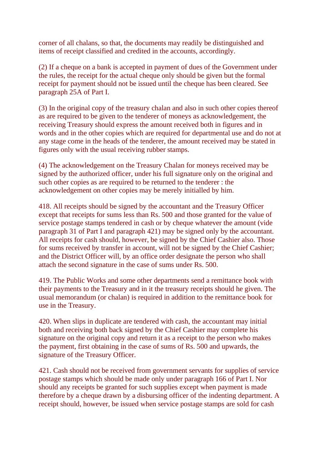corner of all chalans, so that, the documents may readily be distinguished and items of receipt classified and credited in the accounts, accordingly.

(2) If a cheque on a bank is accepted in payment of dues of the Government under the rules, the receipt for the actual cheque only should be given but the formal receipt for payment should not be issued until the cheque has been cleared. See paragraph 25A of Part I.

(3) In the original copy of the treasury chalan and also in such other copies thereof as are required to be given to the tenderer of moneys as acknowledgement, the receiving Treasury should express the amount received both in figures and in words and in the other copies which are required for departmental use and do not at any stage come in the heads of the tenderer, the amount received may be stated in figures only with the usual receiving rubber stamps.

(4) The acknowledgement on the Treasury Chalan for moneys received may be signed by the authorized officer, under his full signature only on the original and such other copies as are required to be returned to the tenderer : the acknowledgement on other copies may be merely initialled by him.

418. All receipts should be signed by the accountant and the Treasury Officer except that receipts for sums less than Rs. 500 and those granted for the value of service postage stamps tendered in cash or by cheque whatever the amount (vide paragraph 31 of Part I and paragraph 421) may be signed only by the accountant. All receipts for cash should, however, be signed by the Chief Cashier also. Those for sums received by transfer in account, will not be signed by the Chief Cashier; and the District Officer will, by an office order designate the person who shall attach the second signature in the case of sums under Rs. 500.

419. The Public Works and some other departments send a remittance book with their payments to the Treasury and in it the treasury receipts should he given. The usual memorandum (or chalan) is required in addition to the remittance book for use in the Treasury.

420. When slips in duplicate are tendered with cash, the accountant may initial both and receiving both back signed by the Chief Cashier may complete his signature on the original copy and return it as a receipt to the person who makes the payment, first obtaining in the case of sums of Rs. 500 and upwards, the signature of the Treasury Officer.

421. Cash should not be received from government servants for supplies of service postage stamps which should be made only under paragraph 166 of Part I. Nor should any receipts be granted for such supplies except when payment is made therefore by a cheque drawn by a disbursing officer of the indenting department. A receipt should, however, be issued when service postage stamps are sold for cash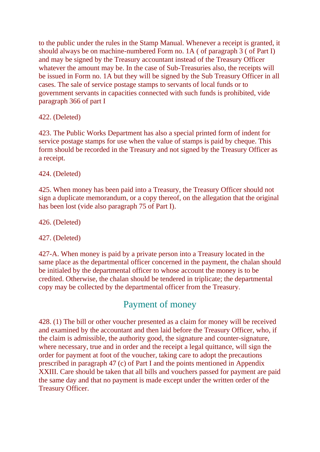to the public under the rules in the Stamp Manual. Whenever a receipt is granted, it should always be on machine-numbered Form no. 1A ( of paragraph 3 ( of Part I) and may be signed by the Treasury accountant instead of the Treasury Officer whatever the amount may be. In the case of Sub-Treasuries also, the receipts will be issued in Form no. 1A but they will be signed by the Sub Treasury Officer in all cases. The sale of service postage stamps to servants of local funds or to government servants in capacities connected with such funds is prohibited, vide paragraph 366 of part I

422. (Deleted)

423. The Public Works Department has also a special printed form of indent for service postage stamps for use when the value of stamps is paid by cheque. This form should be recorded in the Treasury and not signed by the Treasury Officer as a receipt.

424. (Deleted)

425. When money has been paid into a Treasury, the Treasury Officer should not sign a duplicate memorandum, or a copy thereof, on the allegation that the original has been lost (vide also paragraph 75 of Part I).

426. (Deleted)

427. (Deleted)

427-A. When money is paid by a private person into a Treasury located in the same place as the departmental officer concerned in the payment, the chalan should be initialed by the departmental officer to whose account the money is to be credited. Otherwise, the chalan should be tendered in triplicate; the departmental copy may be collected by the departmental officer from the Treasury.

# Payment of money

428. (1) The bill or other voucher presented as a claim for money will be received and examined by the accountant and then laid before the Treasury Officer, who, if the claim is admissible, the authority good, the signature and counter-signature, where necessary, true and in order and the receipt a legal quittance, will sign the order for payment at foot of the voucher, taking care to adopt the precautions prescribed in paragraph 47 (c) of Part I and the points mentioned in Appendix XXIII. Care should be taken that all bills and vouchers passed for payment are paid the same day and that no payment is made except under the written order of the Treasury Officer.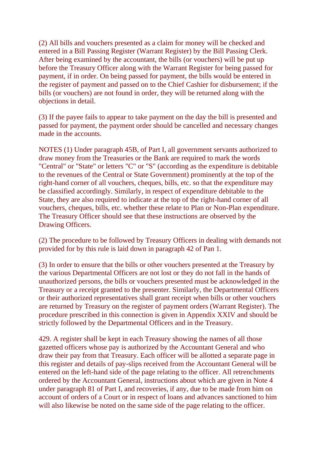(2) All bills and vouchers presented as a claim for money will be checked and entered in a Bill Passing Register (Warrant Register) by the Bill Passing Clerk. After being examined by the accountant, the bills (or vouchers) will be put up before the Treasury Officer along with the Warrant Register for being passed for payment, if in order. On being passed for payment, the bills would be entered in the register of payment and passed on to the Chief Cashier for disbursement; if the bills (or vouchers) are not found in order, they will be returned along with the objections in detail.

(3) If the payee fails to appear to take payment on the day the bill is presented and passed for payment, the payment order should be cancelled and necessary changes made in the accounts.

NOTES (1) Under paragraph 45B, of Part I, all government servants authorized to draw money from the Treasuries or the Bank are required to mark the words "Central" or "State" or letters "C" or "S" (according as the expenditure is debitable to the revenues of the Central or State Government) prominently at the top of the right-hand corner of all vouchers, cheques, bills, etc. so that the expenditure may be classified accordingly. Similarly, in respect of expenditure debitable to the State, they are also required to indicate at the top of the right-hand corner of all vouchers, cheques, bills, etc. whether these relate to Plan or Non-Plan expenditure. The Treasury Officer should see that these instructions are observed by the Drawing Officers.

(2) The procedure to be followed by Treasury Officers in dealing with demands not provided for by this rule is laid down in paragraph 42 of Pan 1.

(3) In order to ensure that the bills or other vouchers presented at the Treasury by the various Departmental Officers are not lost or they do not fall in the hands of unauthorized persons, the bills or vouchers presented must be acknowledged in the Treasury or a receipt granted to the presenter. Similarly, the Departmental Officers or their authorized representatives shall grant receipt when bills or other vouchers are returned by Treasury on the register of payment orders (Warrant Register). The procedure prescribed in this connection is given in Appendix XXIV and should be strictly followed by the Departmental Officers and in the Treasury.

429. A register shall be kept in each Treasury showing the names of all those gazetted officers whose pay is authorized by the Accountant General and who draw their pay from that Treasury. Each officer will be allotted a separate page in this register and details of pay-slips received from the Accountant General will be entered on the left-hand side of the page relating to the officer. All retrenchments ordered by the Accountant General, instructions about which are given in Note 4 under paragraph 81 of Part I, and recoveries, if any, due to be made from him on account of orders of a Court or in respect of loans and advances sanctioned to him will also likewise be noted on the same side of the page relating to the officer.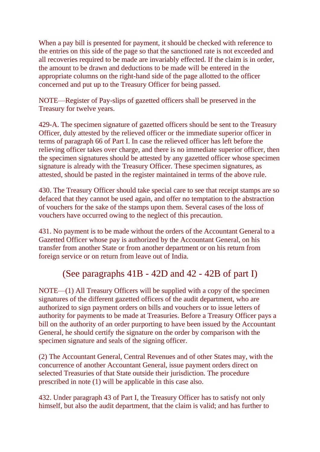When a pay bill is presented for payment, it should be checked with reference to the entries on this side of the page so that the sanctioned rate is not exceeded and all recoveries required to be made are invariably effected. If the claim is in order, the amount to be drawn and deductions to be made will be entered in the appropriate columns on the right-hand side of the page allotted to the officer concerned and put up to the Treasury Officer for being passed.

NOTE—Register of Pay-slips of gazetted officers shall be preserved in the Treasury for twelve years.

429-A. The specimen signature of gazetted officers should be sent to the Treasury Officer, duly attested by the relieved officer or the immediate superior officer in terms of paragraph 66 of Part I. In case the relieved officer has left before the relieving officer takes over charge, and there is no immediate superior officer, then the specimen signatures should be attested by any gazetted officer whose specimen signature is already with the Treasury Officer. These specimen signatures, as attested, should be pasted in the register maintained in terms of the above rule.

430. The Treasury Officer should take special care to see that receipt stamps are so defaced that they cannot be used again, and offer no temptation to the abstraction of vouchers for the sake of the stamps upon them. Several cases of the loss of vouchers have occurred owing to the neglect of this precaution.

431. No payment is to be made without the orders of the Accountant General to a Gazetted Officer whose pay is authorized by the Accountant General, on his transfer from another State or from another department or on his return from foreign service or on return from leave out of India.

# (See paragraphs 41B - 42D and 42 - 42B of part I)

NOTE—(1) All Treasury Officers will be supplied with a copy of the specimen signatures of the different gazetted officers of the audit department, who are authorized to sign payment orders on bills and vouchers or to issue letters of authority for payments to be made at Treasuries. Before a Treasury Officer pays a bill on the authority of an order purporting to have been issued by the Accountant General, he should certify the signature on the order by comparison with the specimen signature and seals of the signing officer.

(2) The Accountant General, Central Revenues and of other States may, with the concurrence of another Accountant General, issue payment orders direct on selected Treasuries of that State outside their jurisdiction. The procedure prescribed in note (1) will be applicable in this case also.

432. Under paragraph 43 of Part I, the Treasury Officer has to satisfy not only himself, but also the audit department, that the claim is valid; and has further to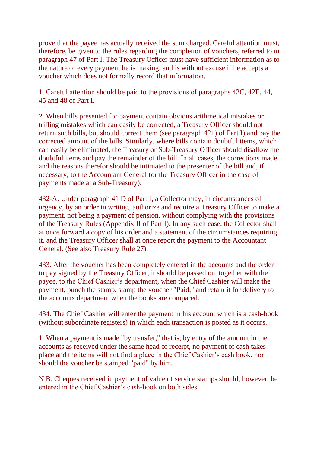prove that the payee has actually received the sum charged. Careful attention must, therefore, be given to the rules regarding the completion of vouchers, referred to in paragraph 47 of Part I. The Treasury Officer must have sufficient information as to the nature of every payment he is making, and is without excuse if he accepts a voucher which does not formally record that information.

1. Careful attention should be paid to the provisions of paragraphs 42C, 42E, 44, 45 and 48 of Part I.

2. When bills presented for payment contain obvious arithmetical mistakes or trifling mistakes which can easily be corrected, a Treasury Officer should not return such bills, but should correct them (see paragraph 421) of Part I) and pay the corrected amount of the bills. Similarly, where bills contain doubtful items, which can easily be eliminated, the Treasury or Sub-Treasury Officer should disallow the doubtful items and pay the remainder of the bill. In all cases, the corrections made and the reasons therefor should be intimated to the presenter of the bill and, if necessary, to the Accountant General (or the Treasury Officer in the case of payments made at a Sub-Treasury).

432-A. Under paragraph 41 D of Part I, a Collector may, in circumstances of urgency, by an order in writing, authorize and require a Treasury Officer to make a payment, not being a payment of pension, without complying with the provisions of the Treasury Rules (Appendix II of Part I). In any such case, the Collector shall at once forward a copy of his order and a statement of the circumstances requiring it, and the Treasury Officer shall at once report the payment to the Accountant General. (See also Treasury Rule 27).

433. After the voucher has been completely entered in the accounts and the order to pay signed by the Treasury Officer, it should be passed on, together with the payee, to the Chief Cashier's department, when the Chief Cashier will make the payment, punch the stamp, stamp the voucher "Paid," and retain it for delivery to the accounts department when the books are compared.

434. The Chief Cashier will enter the payment in his account which is a cash-book (without subordinate registers) in which each transaction is posted as it occurs.

1. When a payment is made "by transfer," that is, by entry of the amount in the accounts as received under the same head of receipt, no payment of cash takes place and the items will not find a place in the Chief Cashier's cash book, nor should the voucher be stamped "paid" by him.

N.B. Cheques received in payment of value of service stamps should, however, be entered in the Chief Cashier's cash-book on both sides.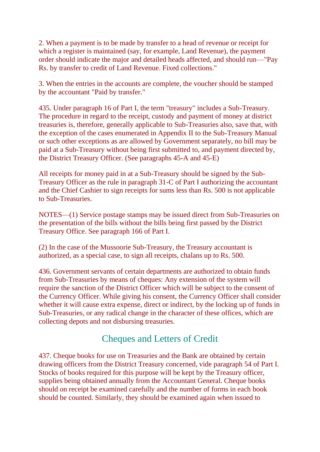2. When a payment is to be made by transfer to a head of revenue or receipt for which a register is maintained (say, for example, Land Revenue), the payment order should indicate the major and detailed heads affected, and should run—"Pay Rs. by transfer to credit of Land Revenue. Fixed collections."

3. When the entries in the accounts are complete, the voucher should be stamped by the accountant "Paid by transfer."

435. Under paragraph 16 of Part I, the term "treasury" includes a Sub-Treasury. The procedure in regard to the receipt, custody and payment of money at district treasuries is, therefore, generally applicable to Sub-Treasuries also, save that, with the exception of the cases enumerated in Appendix II to the Sub-Treasury Manual or such other exceptions as are allowed by Government separately, no bill may be paid at a Sub-Treasury without being first submitted to, and payment directed by, the District Treasury Officer. (See paragraphs 45-A and 45-E)

All receipts for money paid in at a Sub-Treasury should be signed by the Sub-Treasury Officer as the rule in paragraph 31-C of Part I authorizing the accountant and the Chief Cashier to sign receipts for sums less than Rs. 500 is not applicable to Sub-Treasuries.

NOTES—(1) Service postage stamps may be issued direct from Sub-Treasuries on the presentation of the bills without the bills being first passed by the District Treasury Office. See paragraph 166 of Part I.

(2) In the case of the Mussoorie Sub-Treasury, the Treasury accountant is authorized, as a special case, to sign all receipts, chalans up to Rs. 500.

436. Government servants of certain departments are authorized to obtain funds from Sub-Treasuries by means of cheques: Any extension of the system will require the sanction of the District Officer which will be subject to the consent of the Currency Officer. While giving his consent, the Currency Officer shall consider whether it will cause extra expense, direct or indirect, by the locking up of funds in Sub-Treasuries, or any radical change in the character of these offices, which are collecting depots and not disbursing treasuries.

# Cheques and Letters of Credit

437. Cheque books for use on Treasuries and the Bank are obtained by certain drawing officers from the District Treasury concerned, vide paragraph 54 of Part I. Stocks of books required for this purpose will be kept by the Treasury officer, supplies being obtained annually from the Accountant General. Cheque books should on receipt be examined carefully and the number of forms in each book should be counted. Similarly, they should be examined again when issued to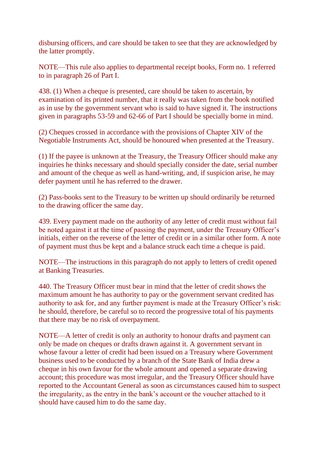disbursing officers, and care should be taken to see that they are acknowledged by the latter promptly.

NOTE—This rule also applies to departmental receipt books, Form no. 1 referred to in paragraph 26 of Part I.

438. (1) When a cheque is presented, care should be taken to ascertain, by examination of its printed number, that it really was taken from the book notified as in use by the government servant who is said to have signed it. The instructions given in paragraphs 53-59 and 62-66 of Part I should be specially borne in mind.

(2) Cheques crossed in accordance with the provisions of Chapter XIV of the Negotiable Instruments Act, should be honoured when presented at the Treasury.

(1) If the payee is unknown at the Treasury, the Treasury Officer should make any inquiries he thinks necessary and should specially consider the date, serial number and amount of the cheque as well as hand-writing, and, if suspicion arise, he may defer payment until he has referred to the drawer.

(2) Pass-books sent to the Treasury to be written up should ordinarily be returned to the drawing officer the same day.

439. Every payment made on the authority of any letter of credit must without fail be noted against it at the time of passing the payment, under the Treasury Officer's initials, either on the reverse of the letter of credit or in a similar other form. A note of payment must thus be kept and a balance struck each time a cheque is paid.

NOTE—The instructions in this paragraph do not apply to letters of credit opened at Banking Treasuries.

440. The Treasury Officer must bear in mind that the letter of credit shows the maximum amount he has authority to pay or the government servant credited has authority to ask for, and any further payment is made at the Treasury Officer's risk: he should, therefore, be careful so to record the progressive total of his payments that there may be no risk of overpayment.

NOTE—A letter of credit is only an authority to honour drafts and payment can only be made on cheques or drafts drawn against it. A government servant in whose favour a letter of credit had been issued on a Treasury where Government business used to be conducted by a branch of the State Bank of India drew a cheque in his own favour for the whole amount and opened a separate drawing account; this procedure was most irregular, and the Treasury Officer should have reported to the Accountant General as soon as circumstances caused him to suspect the irregularity, as the entry in the bank's account or the voucher attached to it should have caused him to do the same day.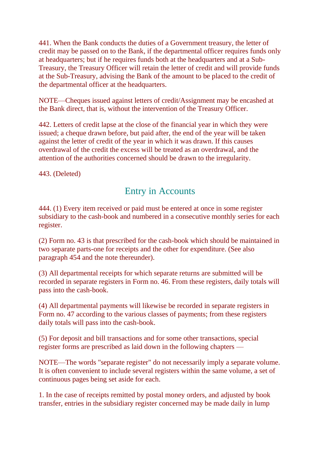441. When the Bank conducts the duties of a Government treasury, the letter of credit may be passed on to the Bank, if the departmental officer requires funds only at headquarters; but if he requires funds both at the headquarters and at a Sub-Treasury, the Treasury Officer will retain the letter of credit and will provide funds at the Sub-Treasury, advising the Bank of the amount to be placed to the credit of the departmental officer at the headquarters.

NOTE—Cheques issued against letters of credit/Assignment may be encashed at the Bank direct, that is, without the intervention of the Treasury Officer.

442. Letters of credit lapse at the close of the financial year in which they were issued; a cheque drawn before, but paid after, the end of the year will be taken against the letter of credit of the year in which it was drawn. If this causes overdrawal of the credit the excess will be treated as an overdrawal, and the attention of the authorities concerned should be drawn to the irregularity.

443. (Deleted)

# Entry in Accounts

444. (1) Every item received or paid must be entered at once in some register subsidiary to the cash-book and numbered in a consecutive monthly series for each register.

(2) Form no. 43 is that prescribed for the cash-book which should be maintained in two separate parts-one for receipts and the other for expenditure. (See also paragraph 454 and the note thereunder).

(3) All departmental receipts for which separate returns are submitted will be recorded in separate registers in Form no. 46. From these registers, daily totals will pass into the cash-book.

(4) All departmental payments will likewise be recorded in separate registers in Form no. 47 according to the various classes of payments; from these registers daily totals will pass into the cash-book.

(5) For deposit and bill transactions and for some other transactions, special register forms are prescribed as laid down in the following chapters —

NOTE—The words "separate register" do not necessarily imply a separate volume. It is often convenient to include several registers within the same volume, a set of continuous pages being set aside for each.

1. In the case of receipts remitted by postal money orders, and adjusted by book transfer, entries in the subsidiary register concerned may be made daily in lump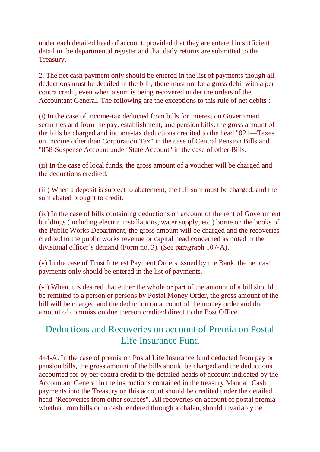under each detailed head of account, provided that they are entered in sufficient detail in the departmental register and that daily returns are submitted to the Treasury.

2. The net cash payment only should be entered in the list of payments though all deductions must be detailed in the bill ; there must not be a gross debit with a per contra credit, even when a sum is being recovered under the orders of the Accountant General. The following are the exceptions to this rule of net debits :

(i) In the case of income-tax deducted from bills for interest on Government securities and from the pay, establishment, and pension bills, the gross amount of the bills be charged and income-tax deductions credited to the head "021—Taxes on Income other than Corporation Tax" in the case of Central Pension Bills and "858-Suspense Account under State Account" in the case of other Bills.

(ii) In the case of local funds, the gross amount of a voucher will be charged and the deductions credited.

(iii) When a deposit is subject to abatement, the full sum must be charged, and the sum abated brought to credit.

(iv) In the case of bills containing deductions on account of the rent of Government buildings (including electric installations, water supply, etc.) borne on the books of the Public Works Department, the gross amount will be charged and the recoveries credited to the public works revenue or capital head concerned as noted in the divisional officer's demand (Form no. 3). (See paragraph 107-A).

(v) In the case of Trust Interest Payment Orders issued by the Bank, the net cash payments only should be entered in the list of payments.

(vi) When it is desired that either the whole or part of the amount of a bill should be remitted to a person or persons by Postal Money Order, the gross amount of the bill will be charged and the deduction on account of the money order and the amount of commission due thereon credited direct to the Post Office.

# Deductions and Recoveries on account of Premia on Postal Life Insurance Fund

444-A. In the case of premia on Postal Life Insurance fund deducted from pay or pension bills, the gross amount of the bills should be charged and the deductions accounted for by per contra credit to the detailed heads of account indicated by the Accountant General in the instructions contained in the treasury Manual. Cash payments into the Treasury on this account should be credited under the detailed head "Recoveries from other sources". All recoveries on account of postal premia whether from bills or in cash tendered through a chalan, should invariably be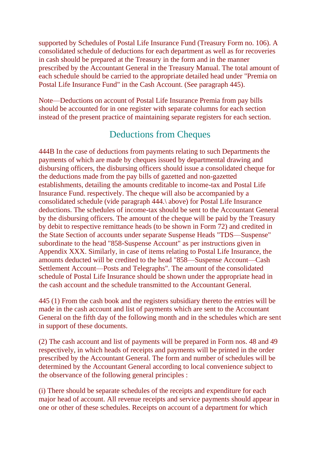supported by Schedules of Postal Life Insurance Fund (Treasury Form no. 106). A consolidated schedule of deductions for each department as well as for recoveries in cash should be prepared at the Treasury in the form and in the manner prescribed by the Accountant General in the Treasury Manual. The total amount of each schedule should be carried to the appropriate detailed head under "Premia on Postal Life Insurance Fund" in the Cash Account. (See paragraph 445).

Note—Deductions on account of Postal Life Insurance Premia from pay bills should be accounted for in one register with separate columns for each section instead of the present practice of maintaining separate registers for each section.

## Deductions from Cheques

444B In the case of deductions from payments relating to such Departments the payments of which are made by cheques issued by departmental drawing and disbursing officers, the disbursing officers should issue a consolidated cheque for the deductions made from the pay bills of gazetted and non-gazetted establishments, detailing the amounts creditable to income-tax and Postal Life Insurance Fund. respectively. The cheque will also be accompanied by a consolidated schedule (vide paragraph 444.\ above) for Postal Life Insurance deductions. The schedules of income-tax should be sent to the Accountant General by the disbursing officers. The amount of the cheque will be paid by the Treasury by debit to respective remittance heads (to be shown in Form 72) and credited in the State Section of accounts under separate Suspense Heads "TDS—Suspense" subordinate to the head "858-Suspense Account" as per instructions given in Appendix XXX. Similarly, in case of items relating to Postal Life Insurance, the amounts deducted will be credited to the head "858—Suspense Account—Cash Settlement Account—Posts and Telegraphs". The amount of the consolidated schedule of Postal Life Insurance should be shown under the appropriate head in the cash account and the schedule transmitted to the Accountant General.

445 (1) From the cash book and the registers subsidiary thereto the entries will be made in the cash account and list of payments which are sent to the Accountant General on the fifth day of the following month and in the schedules which are sent in support of these documents.

(2) The cash account and list of payments will be prepared in Form nos. 48 and 49 respectively, in which heads of receipts and payments will be printed in the order prescribed by the Accountant General. The form and number of schedules will be determined by the Accountant General according to local convenience subject to the observance of the following general principles :

(i) There should be separate schedules of the receipts and expenditure for each major head of account. All revenue receipts and service payments should appear in one or other of these schedules. Receipts on account of a department for which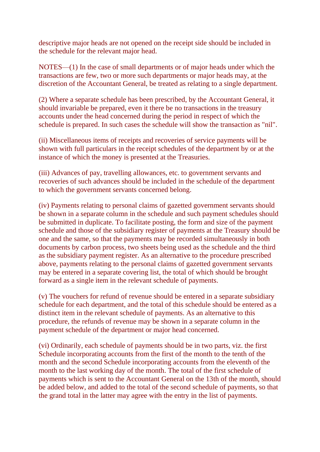descriptive major heads are not opened on the receipt side should be included in the schedule for the relevant major head.

NOTES—(1) In the case of small departments or of major heads under which the transactions are few, two or more such departments or major heads may, at the discretion of the Accountant General, be treated as relating to a single department.

(2) Where a separate schedule has been prescribed, by the Accountant General, it should invariable be prepared, even it there be no transactions in the treasury accounts under the head concerned during the period in respect of which the schedule is prepared. In such cases the schedule will show the transaction as "nil".

(ii) Miscellaneous items of receipts and recoveries of service payments will be shown with full particulars in the receipt schedules of the department by or at the instance of which the money is presented at the Treasuries.

(iii) Advances of pay, travelling allowances, etc. to government servants and recoveries of such advances should be included in the schedule of the department to which the government servants concerned belong.

(iv) Payments relating to personal claims of gazetted government servants should be shown in a separate column in the schedule and such payment schedules should be submitted in duplicate. To facilitate posting, the form and size of the payment schedule and those of the subsidiary register of payments at the Treasury should be one and the same, so that the payments may be recorded simultaneously in both documents by carbon process, two sheets being used as the schedule and the third as the subsidiary payment register. As an alternative to the procedure prescribed above, payments relating to the personal claims of gazetted government servants may be entered in a separate covering list, the total of which should be brought forward as a single item in the relevant schedule of payments.

(v) The vouchers for refund of revenue should be entered in a separate subsidiary schedule for each department, and the total of this schedule should be entered as a distinct item in the relevant schedule of payments. As an alternative to this procedure, the refunds of revenue may be shown in a separate column in the payment schedule of the department or major head concerned.

(vi) Ordinarily, each schedule of payments should be in two parts, viz. the first Schedule incorporating accounts from the first of the month to the tenth of the month and the second Schedule incorporating accounts from the eleventh of the month to the last working day of the month. The total of the first schedule of payments which is sent to the Accountant General on the 13th of the month, should be added below, and added to the total of the second schedule of payments, so that the grand total in the latter may agree with the entry in the list of payments.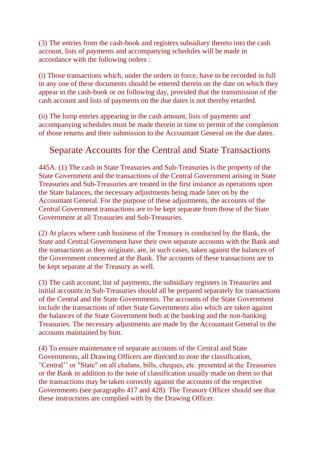(3) The entries from the cash-book and registers subsidiary thereto into the cash account, lists of payments and accompanying schedules will be made in accordance with the following orders :

(i) Those transactions which, under the orders in force, have to be recorded in full in any one of these documents should be entered therein on the date on which they appear in the cash-book or on following day, provided that the transmission of the cash account and lists of payments on the due dates is not thereby retarded.

(ii) The lump entries appearing in the cash amount, lists of payments and accompanying schedules must be made therein in time to permit of the completion of those returns and their submission to the Accountant General on the due dates.

## Separate Accounts for the Central and State Transactions

445A. (1) The cash in State Treasuries and Sub-Treasuries is the property of the State Government and the transactions of the Central Government arising in State Treasuries and Sub-Treasuries are treated in the first instance as operations upon the State balances, the necessary adjustments being made later on by the Accountant General. For the purpose of these adjustments, the accounts of the Central Government transactions are to be kept separate from those of the State Government at all Treasuries and Sub-Treasuries.

(2) At places where cash business of the Treasury is conducted by the Bank, the State and Central Government have their own separate accounts with the Bank and the transactions as they originate, are, in such cases, taken against the balances of the Government concerned at the Bank. The accounts of these transactions are to be kept separate at the Treasury as well.

(3) The cash account, list of payments, the subsidiary registers in Treasuries and initial accounts in Sub-Treasuries should all be prepared separately for transactions of the Central and the State Governments. The accounts of the State Government include the transactions of other State Governments also which are taken against the balances of the State Government both at the banking and the non-banking Treasuries. The necessary adjustments are made by the Accountant General in the accounts maintained by him.

(4) To ensure maintenance of separate accounts of the Central and State Governments, all Drawing Officers are directed to note the classification, "Central'' or "State" on all chalans, bills, cheques, etc. presented at the Treasuries or the Bank in addition to the note of classification usually made on them so that the transactions may be taken correctly against the accounts of the respective Governments (see paragraphs 417 and 428). The Treasury Officer should see that these instructions are complied with by the Drawing Officer.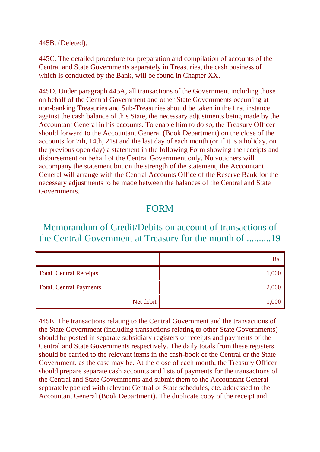#### 445B. (Deleted).

445C. The detailed procedure for preparation and compilation of accounts of the Central and State Governments separately in Treasuries, the cash business of which is conducted by the Bank, will be found in Chapter XX.

445D. Under paragraph 445A, all transactions of the Government including those on behalf of the Central Government and other State Governments occurring at non-banking Treasuries and Sub-Treasuries should be taken in the first instance against the cash balance of this State, the necessary adjustments being made by the Accountant General in his accounts. To enable him to do so, the Treasury Officer should forward to the Accountant General (Book Department) on the close of the accounts for 7th, 14th, 21st and the last day of each month (or if it is a holiday, on the previous open day) a statement in the following Form showing the receipts and disbursement on behalf of the Central Government only. No vouchers will accompany the statement but on the strength of the statement, the Accountant General will arrange with the Central Accounts Office of the Reserve Bank for the necessary adjustments to be made between the balances of the Central and State Governments.

#### FORM

### Memorandum of Credit/Debits on account of transactions of the Central Government at Treasury for the month of ..........19

|                                | Rs.   |
|--------------------------------|-------|
| <b>Total, Central Receipts</b> | 1,000 |
| <b>Total, Central Payments</b> | 2,000 |
| Net debit $ $                  | 1,000 |

445E. The transactions relating to the Central Government and the transactions of the State Government (including transactions relating to other State Governments) should be posted in separate subsidiary registers of receipts and payments of the Central and State Governments respectively. The daily totals from these registers should be carried to the relevant items in the cash-book of the Central or the State Government, as the case may be. At the close of each month, the Treasury Officer should prepare separate cash accounts and lists of payments for the transactions of the Central and State Governments and submit them to the Accountant General separately packed with relevant Central or State schedules, etc. addressed to the Accountant General (Book Department). The duplicate copy of the receipt and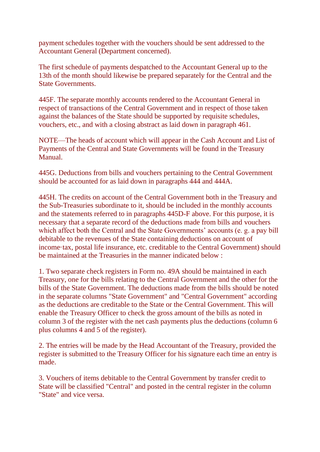payment schedules together with the vouchers should be sent addressed to the Accountant General (Department concerned).

The first schedule of payments despatched to the Accountant General up to the 13th of the month should likewise be prepared separately for the Central and the State Governments.

445F. The separate monthly accounts rendered to the Accountant General in respect of transactions of the Central Government and in respect of those taken against the balances of the State should be supported by requisite schedules, vouchers, etc., and with a closing abstract as laid down in paragraph 461.

NOTE—The heads of account which will appear in the Cash Account and List of Payments of the Central and State Governments will be found in the Treasury Manual.

445G. Deductions from bills and vouchers pertaining to the Central Government should be accounted for as laid down in paragraphs 444 and 444A.

445H. The credits on account of the Central Government both in the Treasury and the Sub-Treasuries subordinate to it, should be included in the monthly accounts and the statements referred to in paragraphs 445D-F above. For this purpose, it is necessary that a separate record of the deductions made from bills and vouchers which affect both the Central and the State Governments' accounts (e. g. a pay bill debitable to the revenues of the State containing deductions on account of income·tax, postal life insurance, etc. creditable to the Central Government) should be maintained at the Treasuries in the manner indicated below :

1. Two separate check registers in Form no. 49A should be maintained in each Treasury, one for the bills relating to the Central Government and the other for the bills of the State Government. The deductions made from the bills should be noted in the separate columns "State Government" and "Central Government" according as the deductions are creditable to the State or the Central Government. This will enable the Treasury Officer to check the gross amount of the bills as noted in column 3 of the register with the net cash payments plus the deductions (column 6 plus columns 4 and 5 of the register).

2. The entries will be made by the Head Accountant of the Treasury, provided the register is submitted to the Treasury Officer for his signature each time an entry is made.

3. Vouchers of items debitable to the Central Government by transfer credit to State will be classified "Central" and posted in the central register in the column "State" and vice versa.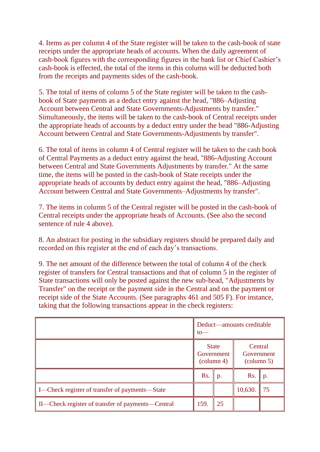4. Items as per column 4 of the State register will be taken to the cash-book of state receipts under the appropriate heads of accounts. When the daily agreement of cash-book figures with the corresponding figures in the bank list or Chief Cashier's cash-book is effected, the total of the items in this column will be deducted both from the receipts and payments sides of the cash-book.

5. The total of items of column 5 of the State register will be taken to the cashbook of State payments as a deduct entry against the head, "886–Adjusting Account between Central and State Governments-Adjustments by transfer." Simultaneously, the items will be taken to the cash-book of Central receipts under the appropriate heads of accounts by a deduct entry under the head "886-Adjusting Account between Central and State Governments-Adjustments by transfer".

6. The total of items in column 4 of Central register will be taken to the cash book of Central Payments as a deduct entry against the head, "886-Adjusting Account between Central and State Governments Adjustments by transfer." At the same time, the items will be posted in the cash-book of State receipts under the appropriate heads of accounts by deduct entry against the head, "886–Adjusting Account between Central and State Governments–Adjustments by transfer".

7. The items in column 5 of the Central register will be posted in the cash-book of Central receipts under the appropriate heads of Accounts. (See also the second sentence of rule 4 above).

8. An abstract for posting in the subsidiary registers should be prepared daily and recorded on this register at the end of each day's transactions.

9. The net amount of the difference between the total of column 4 of the check register of transfers for Central transactions and that of column 5 in the register of State transactions will only be posted against the new sub-head, "Adjustments by Transfer" on the receipt or the payment side in the Central and on the payment or receipt side of the State Accounts. (See paragraphs 461 and 505 F). For instance, taking that the following transactions appear in the check registers:

|                                                   | Deduct—amounts creditable<br>to                   |    |                                              |                |
|---------------------------------------------------|---------------------------------------------------|----|----------------------------------------------|----------------|
|                                                   | <b>State</b><br>Government<br>$\text{(column 4)}$ |    | Central<br>Government<br>$\text{(column 5)}$ |                |
|                                                   | Rs.                                               | p. | Rs.                                          | $\mathbf{p}$ . |
| I—Check register of transfer of payments—State    |                                                   |    | 10,630.                                      | 75             |
| II—Check register of transfer of payments—Central | 159.                                              | 25 |                                              |                |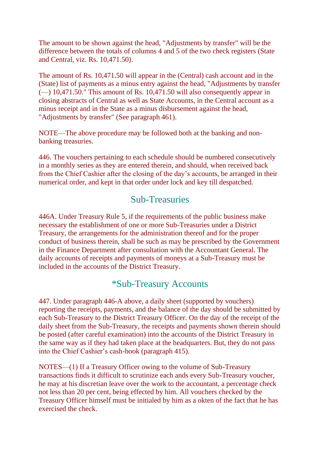The amount to be shown against the head, "Adjustments by transfer" will be the difference between the totals of columns 4 and 5 of the two check registers (State and Central, viz. Rs. 10,471.50).

The amount of Rs. 10,471.50 will appear in the (Central) cash account and in the (State) list of payments as a minus entry against the head, "Adjustments by transfer  $(-)$  10,471.50." This amount of Rs. 10,471.50 will also consequently appear in closing abstracts of Central as well as State Accounts, in the Central account as a minus receipt and in the State as a minus disbursement against the head, "Adjustments by transfer" (See paragraph 461).

NOTE—The above procedure may be followed both at the banking and nonbanking treasuries.

446. The vouchers pertaining to each schedule should be numbered consecutively in a monthly series as they are entered therein, and should, when received back from the Chief Cashier after the closing of the day's accounts, be arranged in their numerical order, and kept in that order under lock and key till despatched.

#### Sub-Treasuries

446A. Under Treasury Rule 5, if the requirements of the public business make necessary the establishment of one or more Sub-Treasuries under a District Treasury, the arrangements for the administration thereof and for the proper conduct of business therein, shall be such as may be prescribed by the Government in the Finance Department after consultation with the Accountant General. The daily accounts of receipts and payments of moneys at a Sub-Treasury must be included in the accounts of the District Treasury.

### \*Sub-Treasury Accounts

447. Under paragraph 446-A above, a daily sheet (supported by vouchers) reporting the receipts, payments, and the balance of the day should be submitted by each Sub-Treasury to the District Treasury Officer. On the day of the receipt of the daily sheet from the Sub-Treasury, the receipts and payments shown therein should be posted (after careful examination) into the accounts of the District Treasury in the same way as if they had taken place at the headquarters. But, they do not pass into the Chief Cashier's cash-book (paragraph 415).

NOTES—(1) If a Treasury Officer owing to the volume of Sub-Treasury transactions finds it difficult to scrutinize each ands every Sub-Treasury voucher, he may at his discretian leave over the work to the accountant, a percentage check not less than 20 per cent, being effected by him. All vouchers checked by the Treasury Officer himself must be initialed by him as a okten of the fact that he has exercised the check.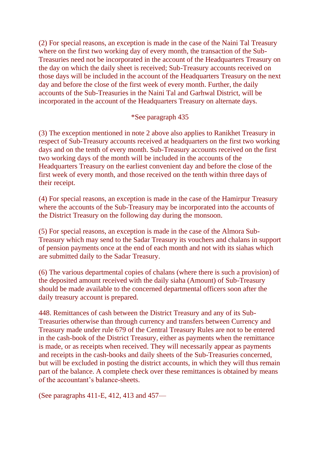(2) For special reasons, an exception is made in the case of the Naini Tal Treasury where on the first two working day of every month, the transaction of the Sub-Treasuries need not be incorporated in the account of the Headquarters Treasury on the day on which the daily sheet is received; Sub-Treasury accounts received on those days will be included in the account of the Headquarters Treasury on the next day and before the close of the first week of every month. Further, the daily accounts of the Sub-Treasuries in the Naini Tal and Garhwal District, will be incorporated in the account of the Headquarters Treasury on alternate days.

#### \*See paragraph 435

(3) The exception mentioned in note 2 above also applies to Ranikhet Treasury in respect of Sub-Treasury accounts received at headquarters on the first two working days and on the tenth of every month. Sub-Treasury accounts received on the first two working days of the month will be included in the accounts of the Headquarters Treasury on the earliest convenient day and before the close of the first week of every month, and those received on the tenth within three days of their receipt.

(4) For special reasons, an exception is made in the case of the Hamirpur Treasury where the accounts of the Sub-Treasury may be incorporated into the accounts of the District Treasury on the following day during the monsoon.

(5) For special reasons, an exception is made in the case of the Almora Sub-Treasury which may send to the Sadar Treasury its vouchers and chalans in support of pension payments once at the end of each month and not with its siahas which are submitted daily to the Sadar Treasury.

(6) The various departmental copies of chalans (where there is such a provision) of the deposited amount received with the daily siaha (Amount) of Sub-Treasury should be made available to the concerned departmental officers soon after the daily treasury account is prepared.

448. Remittances of cash between the District Treasury and any of its Sub-Treasuries otherwise than through currency and transfers between Currency and Treasury made under rule 679 of the Central Treasury Rules are not to be entered in the cash-book of the District Treasury, either as payments when the remittance is made, or as receipts when received. They will necessarily appear as payments and receipts in the cash-books and daily sheets of the Sub-Treasuries concerned, but will be excluded in posting the district accounts, in which they will thus remain part of the balance. A complete check over these remittances is obtained by means of the accountant's balance-sheets.

(See paragraphs 411-E, 412, 413 and 457—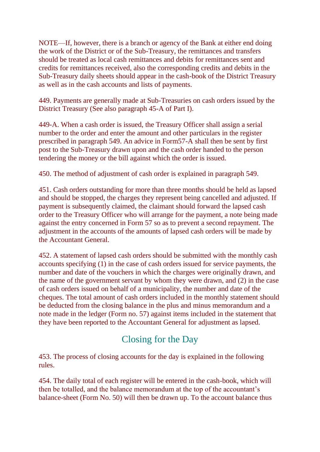NOTE—If, however, there is a branch or agency of the Bank at either end doing the work of the District or of the Sub-Treasury, the remittances and transfers should be treated as local cash remittances and debits for remittances sent and credits for remittances received, also the corresponding credits and debits in the Sub-Treasury daily sheets should appear in the cash-book of the District Treasury as well as in the cash accounts and lists of payments.

449. Payments are generally made at Sub-Treasuries on cash orders issued by the District Treasury (See also paragraph 45-A of Part I).

449-A. When a cash order is issued, the Treasury Officer shall assign a serial number to the order and enter the amount and other particulars in the register prescribed in paragraph 549. An advice in Form57-A shall then be sent by first post to the Sub-Treasury drawn upon and the cash order handed to the person tendering the money or the bill against which the order is issued.

450. The method of adjustment of cash order is explained in paragraph 549.

451. Cash orders outstanding for more than three months should be held as lapsed and should be stopped, the charges they represent being cancelled and adjusted. If payment is subsequently claimed, the claimant should forward the lapsed cash order to the Treasury Officer who will arrange for the payment, a note being made against the entry concerned in Form 57 so as to prevent a second repayment. The adjustment in the accounts of the amounts of lapsed cash orders will be made by the Accountant General.

452. A statement of lapsed cash orders should be submitted with the monthly cash accounts specifying (1) in the case of cash orders issued for service payments, the number and date of the vouchers in which the charges were originally drawn, and the name of the government servant by whom they were drawn, and (2) in the case of cash orders issued on behalf of a municipality, the number and date of the cheques. The total amount of cash orders included in the monthly statement should be deducted from the closing balance in the plus and minus memorandum and a note made in the ledger (Form no. 57) against items included in the statement that they have been reported to the Accountant General for adjustment as lapsed.

# Closing for the Day

453. The process of closing accounts for the day is explained in the following rules.

454. The daily total of each register will be entered in the cash-book, which will then be totalled, and the balance memorandum at the top of the accountant's balance-sheet (Form No. 50) will then be drawn up. To the account balance thus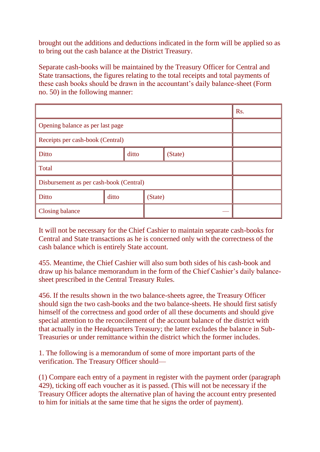brought out the additions and deductions indicated in the form will be applied so as to bring out the cash balance at the District Treasury.

Separate cash-books will be maintained by the Treasury Officer for Central and State transactions, the figures relating to the total receipts and total payments of these cash books should be drawn in the accountant's daily balance-sheet (Form no. 50) in the following manner:

|                                         |       |  |         |         |  | Rs. |
|-----------------------------------------|-------|--|---------|---------|--|-----|
| Opening balance as per last page        |       |  |         |         |  |     |
| Receipts per cash-book (Central)        |       |  |         |         |  |     |
| Ditto<br>ditto                          |       |  |         | (State) |  |     |
| Total                                   |       |  |         |         |  |     |
| Disbursement as per cash-book (Central) |       |  |         |         |  |     |
| Ditto                                   | ditto |  | (State) |         |  |     |
| <b>Closing balance</b>                  |       |  |         |         |  |     |

It will not be necessary for the Chief Cashier to maintain separate cash-books for Central and State transactions as he is concerned only with the correctness of the cash balance which is entirely State account.

455. Meantime, the Chief Cashier will also sum both sides of his cash-book and draw up his balance memorandum in the form of the Chief Cashier's daily balancesheet prescribed in the Central Treasury Rules.

456. If the results shown in the two balance-sheets agree, the Treasury Officer should sign the two cash-books and the two balance-sheets. He should first satisfy himself of the correctness and good order of all these documents and should give special attention to the reconcilement of the account balance of the district with that actually in the Headquarters Treasury; the latter excludes the balance in Sub-Treasuries or under remittance within the district which the former includes.

1. The following is a memorandum of some of more important parts of the verification. The Treasury Officer should—

(1) Compare each entry of a payment in register with the payment order (paragraph 429), ticking off each voucher as it is passed. (This will not be necessary if the Treasury Officer adopts the alternative plan of having the account entry presented to him for initials at the same time that he signs the order of payment).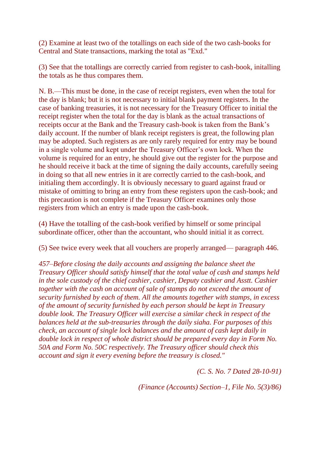(2) Examine at least two of the totallings on each side of the two cash-books for Central and State transactions, marking the total as "Exd."

(3) See that the totallings are correctly carried from register to cash-book, initalling the totals as he thus compares them.

N. B.—This must be done, in the case of receipt registers, even when the total for the day is blank; but it is not necessary to initial blank payment registers. In the case of banking treasuries, it is not necessary for the Treasury Officer to initial the receipt register when the total for the day is blank as the actual transactions of receipts occur at the Bank and the Treasury cash-book is taken from the Bank's daily account. If the number of blank receipt registers is great, the following plan may be adopted. Such registers as are only rarely required for entry may be bound in a single volume and kept under the Treasury Officer's own lock. When the volume is required for an entry, he should give out the register for the purpose and he should receive it back at the time of signing the daily accounts, carefully seeing in doing so that all new entries in it are correctly carried to the cash-book, and initialing them accordingly. It is obviously necessary to guard against fraud or mistake of omitting to bring an entry from these registers upon the cash-book; and this precaution is not complete if the Treasury Officer examines only those registers from which an entry is made upon the cash-book.

(4) Have the totalling of the cash-book verified by himself or some principal subordinate officer, other than the accountant, who should initial it as correct.

(5) See twice every week that all vouchers are properly arranged— paragraph 446.

*457–Before closing the daily accounts and assigning the balance sheet the Treasury Officer should satisfy himself that the total value of cash and stamps held in the sole custody of the chief cashier, cashier, Deputy cashier and Asstt. Cashier together with the cash on account of sale of stamps do not exceed the amount of security furnished by each of them. All the amounts together with stamps, in excess of the amount of security furnished by each person should be kept in Treasury double look. The Treasury Officer will exercise a similar check in respect of the balances held at the sub-treasuries through the daily siaha. For purposes of this check, an account of single lock balances and the amount of cash kept daily in double lock in respect of whole district should be prepared every day in Form No. 50A and Form No. 50C respectively. The Treasury officer should check this account and sign it every evening before the treasury is closed."*

*(C. S. No. 7 Dated 28-10-91)*

*(Finance (Accounts) Section–1, File No. 5(3)/86)*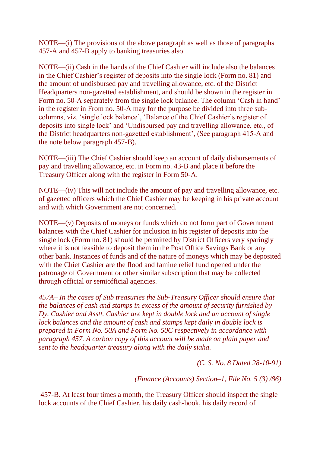NOTE—(i) The provisions of the above paragraph as well as those of paragraphs 457-A and 457-B apply to banking treasuries also.

NOTE—(ii) Cash in the hands of the Chief Cashier will include also the balances in the Chief Cashier's register of deposits into the single lock (Form no. 81) and the amount of undisbursed pay and travelling allowance, etc. of the District Headquarters non-gazetted establishment, and should be shown in the register in Form no. 50-A separately from the single lock balance. The column 'Cash in hand' in the register in From no. 50-A may for the purpose be divided into three subcolumns, viz. 'single lock balance', 'Balance of the Chief Cashier's register of deposits into single lock' and 'Undisbursed pay and travelling allowance, etc., of the District headquarters non-gazetted establishment', (See paragraph 415-A and the note below paragraph 457-B).

NOTE—(iii) The Chief Cashier should keep an account of daily disbursements of pay and travelling allowance, etc. in Form no. 43-B and place it before the Treasury Officer along with the register in Form 50-A.

NOTE—(iv) This will not include the amount of pay and travelling allowance, etc. of gazetted officers which the Chief Cashier may be keeping in his private account and with which Government are not concerned.

NOTE—(v) Deposits of moneys or funds which do not form part of Government balances with the Chief Cashier for inclusion in his register of deposits into the single lock (Form no. 81) should be permitted by District Officers very sparingly where it is not feasible to deposit them in the Post Office Savings Bank or any other bank. Instances of funds and of the nature of moneys which may be deposited with the Chief Cashier are the flood and famine relief fund opened under the patronage of Government or other similar subscription that may be collected through official or semiofficial agencies.

*457A– In the cases of Sub treasuries the Sub-Treasury Officer should ensure that the balances of cash and stamps in excess of the amount of security furnished by Dy. Cashier and Asstt. Cashier are kept in double lock and an account of single lock balances and the amount of cash and stamps kept daily in double lock is prepared in Form No. 50A and Form No. 50C respectively in accordance with paragraph 457. A carbon copy of this account will be made on plain paper and sent to the headquarter treasury along with the daily siaha.*

*(C. S. No. 8 Dated 28-10-91)*

*(Finance (Accounts) Section–1, File No. 5 (3) /86)*

457-B. At least four times a month, the Treasury Officer should inspect the single lock accounts of the Chief Cashier, his daily cash-book, his daily record of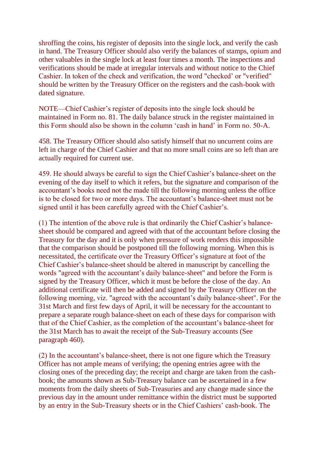shroffing the coins, his register of deposits into the single lock, and verify the cash in hand. The Treasury Officer should also verify the balances of stamps, opium and other valuables in the single lock at least four times a month. The inspections and verifications should be made at irregular intervals and without notice to the Chief Cashier. In token of the check and verification, the word "checked' or "verified" should be written by the Treasury Officer on the registers and the cash-book with dated signature.

NOTE—Chief Cashier's register of deposits into the single lock should be maintained in Form no. 81. The daily balance struck in the register maintained in this Form should also be shown in the column 'cash in hand' in Form no. 50-A.

458. The Treasury Officer should also satisfy himself that no uncurrent coins are left in charge of the Chief Cashier and that no more small coins are so left than are actually required for current use.

459. He should always be careful to sign the Chief Cashier's balance-sheet on the evening of the day itself to which it refers, but the signature and comparison of the accountant's books need not the made till the following morning unless the office is to be closed for two or more days. The accountant's balance-sheet must not be signed until it has been carefully agreed with the Chief Cashier's.

(1) The intention of the above rule is that ordinarily the Chief Cashier's balancesheet should be compared and agreed with that of the accountant before closing the Treasury for the day and it is only when pressure of work renders this impossible that the comparison should be postponed till the following morning. When this is necessitated, the certificate over the Treasury Officer's signature at foot of the Chief Cashier's balance-sheet should be altered in manuscript by cancelling the words "agreed with the accountant's daily balance-sheet" and before the Form is signed by the Treasury Officer, which it must be before the close of the day. An additional certificate will then be added and signed by the Treasury Officer on the following morning, viz. "agreed with the accountant's daily balance-sheet". For the 31st March and first few days of April, it will be necessary for the accountant to prepare a separate rough balance-sheet on each of these days for comparison with that of the Chief Cashier, as the completion of the accountant's balance-sheet for the 31st March has to await the receipt of the Sub-Treasury accounts (See paragraph 460).

(2) In the accountant's balance-sheet, there is not one figure which the Treasury Officer has not ample means of verifying; the opening entries agree with the closing ones of the preceding day; the receipt and charge are taken from the cashbook; the amounts shown as Sub-Treasury balance can be ascertained in a few moments from the daily sheets of Sub-Treasuries and any change made since the previous day in the amount under remittance within the district must be supported by an entry in the Sub-Treasury sheets or in the Chief Cashiers' cash-book. The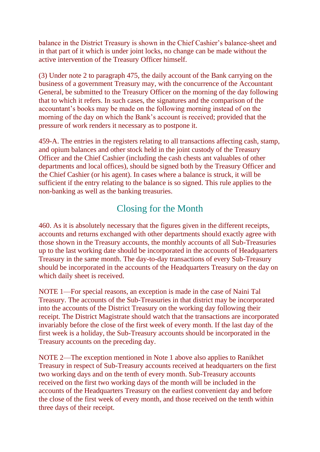balance in the District Treasury is shown in the Chief Cashier's balance-sheet and in that part of it which is under joint locks, no change can be made without the active intervention of the Treasury Officer himself.

(3) Under note 2 to paragraph 475, the daily account of the Bank carrying on the business of a government Treasury may, with the concurrence of the Accountant General, be submitted to the Treasury Officer on the morning of the day following that to which it refers. In such cases, the signatures and the comparison of the accountant's books may be made on the following morning instead of on the morning of the day on which the Bank's account is received; provided that the pressure of work renders it necessary as to postpone it.

459-A. The entries in the registers relating to all transactions affecting cash, stamp, and opium balances and other stock held in the joint custody of the Treasury Officer and the Chief Cashier (including the cash chests ant valuables of other departments and local offices), should be signed both by the Treasury Officer and the Chief Cashier (or his agent). In cases where a balance is struck, it will be sufficient if the entry relating to the balance is so signed. This rule applies to the non-banking as well as the banking treasuries.

# Closing for the Month

460. As it is absolutely necessary that the figures given in the different receipts, accounts and returns exchanged with other departments should exactly agree with those shown in the Treasury accounts, the monthly accounts of all Sub-Treasuries up to the last working date should be incorporated in the accounts of Headquarters Treasury in the same month. The day-to-day transactions of every Sub-Treasury should be incorporated in the accounts of the Headquarters Treasury on the day on which daily sheet is received.

NOTE 1—For special reasons, an exception is made in the case of Naini Tal Treasury. The accounts of the Sub-Treasuries in that district may be incorporated into the accounts of the District Treasury on the working day following their receipt. The District Magistrate should watch that the transactions are incorporated invariably before the close of the first week of every month. If the last day of the first week is a holiday, the Sub-Treasury accounts should be incorporated in the Treasury accounts on the preceding day.

NOTE 2—The exception mentioned in Note 1 above also applies to Ranikhet Treasury in respect of Sub-Treasury accounts received at headquarters on the first two working days and on the tenth of every month. Sub-Treasury accounts received on the first two working days of the month will be included in the accounts of the Headquarters Treasury on the earliest convenient day and before the close of the first week of every month, and those received on the tenth within three days of their receipt.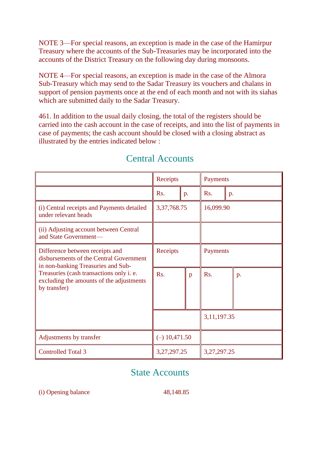NOTE 3—For special reasons, an exception is made in the case of the Hamirpur Treasury where the accounts of the Sub-Treasuries may be incorporated into the accounts of the District Treasury on the following day during monsoons.

NOTE 4—For special reasons, an exception is made in the case of the Almora Sub-Treasury which may send to the Sadar Treasury its vouchers and chalans in support of pension payments once at the end of each month and not with its siahas which are submitted daily to the Sadar Treasury.

461. In addition to the usual daily closing, the total of the registers should be carried into the cash account in the case of receipts, and into the list of payments in case of payments; the cash account should be closed with a closing abstract as illustrated by the entries indicated below :

|                                                                                                                                                                                                                          | Receipts                    | Payments |                |    |  |
|--------------------------------------------------------------------------------------------------------------------------------------------------------------------------------------------------------------------------|-----------------------------|----------|----------------|----|--|
|                                                                                                                                                                                                                          | R <sub>s</sub> .            | p.       | Rs.            | p. |  |
| (i) Central receipts and Payments detailed<br>under relevant heads                                                                                                                                                       | 3, 37, 768. 75<br>16,099.90 |          |                |    |  |
| (ii) Adjusting account between Central<br>and State Government-                                                                                                                                                          |                             |          |                |    |  |
| Difference between receipts and<br>disbursements of the Central Government<br>in non-banking Treasuries and Sub-<br>Treasuries (cash transactions only i. e.<br>excluding the amounts of the adjustments<br>by transfer) | Receipts                    |          | Payments       |    |  |
|                                                                                                                                                                                                                          | Rs.                         | p        | Rs.            | p. |  |
|                                                                                                                                                                                                                          |                             |          | 3, 11, 197. 35 |    |  |
| Adjustments by transfer                                                                                                                                                                                                  | $(-)$ 10,471.50             |          |                |    |  |
| <b>Controlled Total 3</b>                                                                                                                                                                                                | 3, 27, 297. 25              |          | 3, 27, 297. 25 |    |  |

# Central Accounts

# State Accounts

(i) Opening balance 48,148.85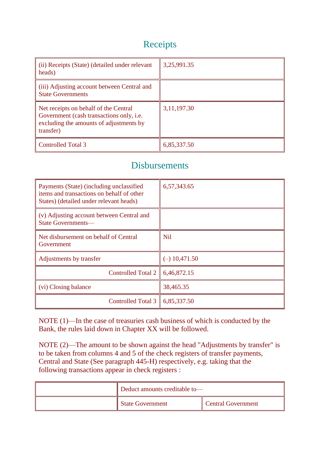# Receipts

| (ii) Receipts (State) (detailed under relevant<br>heads)                                                                                  | 3,25,991.35    |
|-------------------------------------------------------------------------------------------------------------------------------------------|----------------|
| (iii) Adjusting account between Central and<br><b>State Governments</b>                                                                   |                |
| Net receipts on behalf of the Central<br>Government (cash transactions only, i.e.<br>excluding the amounts of adjustments by<br>transfer) | 3, 11, 197. 30 |
| <b>Controlled Total 3</b>                                                                                                                 | 6,85,337.50    |

# Disbursements

| Payments (State) (including unclassified<br>items and transactions on behalf of other<br>States) (detailed under relevant heads) | 6,57,343.65     |
|----------------------------------------------------------------------------------------------------------------------------------|-----------------|
| (v) Adjusting account between Central and<br><b>State Governments—</b>                                                           |                 |
| Net disbursement on behalf of Central<br>Government                                                                              | Nil             |
| Adjustments by transfer                                                                                                          | $(-)$ 10,471.50 |
| Controlled Total 2                                                                                                               | 6,46,872.15     |
| (vi) Closing balance                                                                                                             | 38,465.35       |
| Controlled Total 3                                                                                                               | 6,85,337.50     |

NOTE (1)—In the case of treasuries cash business of which is conducted by the Bank, the rules laid down in Chapter XX will be followed.

NOTE (2)—The amount to be shown against the head "Adjustments by transfer" is to be taken from columns 4 and 5 of the check registers of transfer payments, Central and State (See paragraph 445-H) respectively, e.g. taking that the following transactions appear in check registers :

| Deduct amounts creditable to- |                           |
|-------------------------------|---------------------------|
| State Government              | <b>Central Government</b> |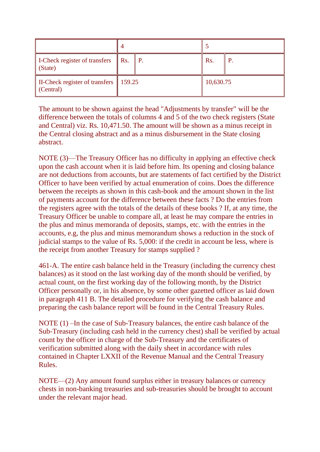| I-Check register of transfers<br>(State)                       | $\parallel$ Rs. $\parallel$ P. |  | R <sub>s</sub> . | P |
|----------------------------------------------------------------|--------------------------------|--|------------------|---|
| II-Check register of transfers $\parallel$ 159.25<br>(Central) |                                |  | 10,630.75        |   |

The amount to be shown against the head "Adjustments by transfer" will be the difference between the totals of columns 4 and 5 of the two check registers (State and Central) viz. Rs. 10,471.50. The amount will be shown as a minus receipt in the Central closing abstract and as a minus disbursement in the State closing abstract.

NOTE (3)—The Treasury Officer has no difficulty in applying an effective check upon the cash account when it is laid before him. Its opening and closing balance are not deductions from accounts, but are statements of fact certified by the District Officer to have been verified by actual enumeration of coins. Does the difference between the receipts as shown in this cash-book and the amount shown in the list of payments account for the difference between these facts ? Do the entries from the registers agree with the totals of the details of these books ? If, at any time, the Treasury Officer be unable to compare all, at least he may compare the entries in the plus and minus memoranda of deposits, stamps, etc. with the entries in the accounts, e.g, the plus and minus memorandum shows a reduction in the stock of judicial stamps to the value of Rs. 5,000: if the credit in account be less, where is the receipt from another Treasury for stamps supplied ?

461-A. The entire cash balance held in the Treasury (including the currency chest balances) as it stood on the last working day of the month should be verified, by actual count, on the first working day of the following month, by the District Officer personally or, in his absence, by some other gazetted officer as laid down in paragraph 411 B. The detailed procedure for verifying the cash balance and preparing the cash balance report will be found in the Central Treasury Rules.

NOTE (1) –In the case of Sub-Treasury balances, the entire cash balance of the Sub-Treasury (including cash held in the currency chest) shall be verified by actual count by the officer in charge of the Sub-Treasury and the certificates of verification submitted along with the daily sheet in accordance with rules contained in Chapter LXXII of the Revenue Manual and the Central Treasury Rules.

NOTE—(2) Any amount found surplus either in treasury balances or currency chests in non-banking treasuries and sub-treasuries should be brought to account under the relevant major head.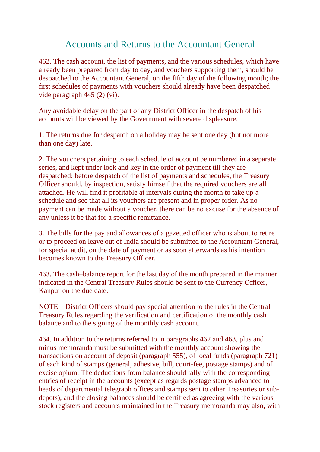## Accounts and Returns to the Accountant General

462. The cash account, the list of payments, and the various schedules, which have already been prepared from day to day, and vouchers supporting them, should be despatched to the Accountant General, on the fifth day of the following month; the first schedules of payments with vouchers should already have been despatched vide paragraph 445 (2) (vi).

Any avoidable delay on the part of any District Officer in the despatch of his accounts will be viewed by the Government with severe displeasure.

1. The returns due for despatch on a holiday may be sent one day (but not more than one day) late.

2. The vouchers pertaining to each schedule of account be numbered in a separate series, and kept under lock and key in the order of payment till they are despatched; before despatch of the list of payments and schedules, the Treasury Officer should, by inspection, satisfy himself that the required vouchers are all attached. He will find it profitable at intervals during the month to take up a schedule and see that all its vouchers are present and in proper order. As no payment can be made without a voucher, there can be no excuse for the absence of any unless it be that for a specific remittance.

3. The bills for the pay and allowances of a gazetted officer who is about to retire or to proceed on leave out of India should be submitted to the Accountant General, for special audit, on the date of payment or as soon afterwards as his intention becomes known to the Treasury Officer.

463. The cash–balance report for the last day of the month prepared in the manner indicated in the Central Treasury Rules should be sent to the Currency Officer, Kanpur on the due date.

NOTE—District Officers should pay special attention to the rules in the Central Treasury Rules regarding the verification and certification of the monthly cash balance and to the signing of the monthly cash account.

464. In addition to the returns referred to in paragraphs 462 and 463, plus and minus memoranda must be submitted with the monthly account showing the transactions on account of deposit (paragraph 555), of local funds (paragraph 721) of each kind of stamps (general, adhesive, bill, court-fee, postage stamps) and of excise opium. The deductions from balance should tally with the corresponding entries of receipt in the accounts (except as regards postage stamps advanced to heads of departmental telegraph offices and stamps sent to other Treasuries or subdepots), and the closing balances should be certified as agreeing with the various stock registers and accounts maintained in the Treasury memoranda may also, with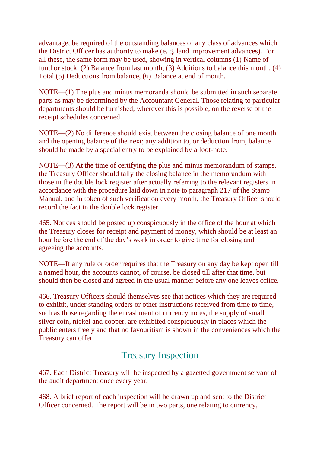advantage, be required of the outstanding balances of any class of advances which the District Officer has authority to make (e. g. land improvement advances). For all these, the same form may be used, showing in vertical columns (1) Name of fund or stock, (2) Balance from last month, (3) Additions to balance this month, (4) Total (5) Deductions from balance, (6) Balance at end of month.

NOTE—(1) The plus and minus memoranda should be submitted in such separate parts as may be determined by the Accountant General. Those relating to particular departments should be furnished, wherever this is possible, on the reverse of the receipt schedules concerned.

NOTE—(2) No difference should exist between the closing balance of one month and the opening balance of the next; any addition to, or deduction from, balance should be made by a special entry to be explained by a foot-note.

NOTE—(3) At the time of certifying the plus and minus memorandum of stamps, the Treasury Officer should tally the closing balance in the memorandum with those in the double lock register after actually referring to the relevant registers in accordance with the procedure laid down in note to paragraph 217 of the Stamp Manual, and in token of such verification every month, the Treasury Officer should record the fact in the double lock register.

465. Notices should be posted up conspicuously in the office of the hour at which the Treasury closes for receipt and payment of money, which should be at least an hour before the end of the day's work in order to give time for closing and agreeing the accounts.

NOTE—If any rule or order requires that the Treasury on any day be kept open till a named hour, the accounts cannot, of course, be closed till after that time, but should then be closed and agreed in the usual manner before any one leaves office.

466. Treasury Officers should themselves see that notices which they are required to exhibit, under standing orders or other instructions received from time to time, such as those regarding the encashment of currency notes, the supply of small silver coin, nickel and copper, are exhibited conspicuously in places which the public enters freely and that no favouritism is shown in the conveniences which the Treasury can offer.

# Treasury Inspection

467. Each District Treasury will be inspected by a gazetted government servant of the audit department once every year.

468. A brief report of each inspection will be drawn up and sent to the District Officer concerned. The report will be in two parts, one relating to currency,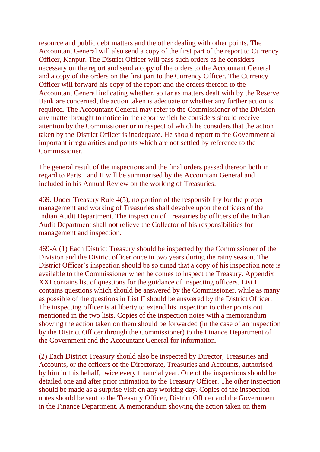resource and public debt matters and the other dealing with other points. The Accountant General will also send a copy of the first part of the report to Currency Officer, Kanpur. The District Officer will pass such orders as he considers necessary on the report and send a copy of the orders to the Accountant General and a copy of the orders on the first part to the Currency Officer. The Currency Officer will forward his copy of the report and the orders thereon to the Accountant General indicating whether, so far as matters dealt with by the Reserve Bank are concerned, the action taken is adequate or whether any further action is required. The Accountant General may refer to the Commissioner of the Division any matter brought to notice in the report which he considers should receive attention by the Commissioner or in respect of which he considers that the action taken by the District Officer is inadequate. He should report to the Government all important irregularities and points which are not settled by reference to the Commissioner.

The general result of the inspections and the final orders passed thereon both in regard to Parts I and II will be summarised by the Accountant General and included in his Annual Review on the working of Treasuries.

469. Under Treasury Rule 4(5), no portion of the responsibility for the proper management and working of Treasuries shall devolve upon the officers of the Indian Audit Department. The inspection of Treasuries by officers of the Indian Audit Department shall not relieve the Collector of his responsibilities for management and inspection.

469-A (1) Each District Treasury should be inspected by the Commissioner of the Division and the District officer once in two years during the rainy season. The District Officer's inspection should be so timed that a copy of his inspection note is available to the Commissioner when he comes to inspect the Treasury. Appendix XXI contains list of questions for the guidance of inspecting officers. List I contains questions which should be answered by the Commissioner, while as many as possible of the questions in List II should be answered by the District Officer. The inspecting officer is at liberty to extend his inspection to other points out mentioned in the two lists. Copies of the inspection notes with a memorandum showing the action taken on them should be forwarded (in the case of an inspection by the District Officer through the Commissioner) to the Finance Department of the Government and the Accountant General for information.

(2) Each District Treasury should also be inspected by Director, Treasuries and Accounts, or the officers of the Directorate, Treasuries and Accounts, authorised by him in this behalf, twice every financial year. One of the inspections should be detailed one and after prior intimation to the Treasury Officer. The other inspection should be made as a surprise visit on any working day. Copies of the inspection notes should be sent to the Treasury Officer, District Officer and the Government in the Finance Department. A memorandum showing the action taken on them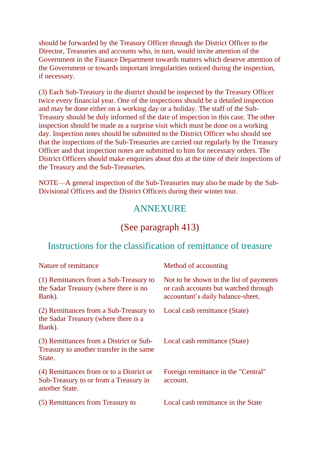should be forwarded by the Treasury Officer through the District Officer to the Director, Treasuries and accounts who, in turn, would invite attention of the Government in the Finance Department towards matters which deserve attention of the Government or towards important irregularities noticed during the inspection, if necessary.

(3) Each Sub-Treasury in the district should be inspected by the Treasury Officer twice every financial year. One of the inspections should be a detailed inspection and may be done either on a working day or a holiday. The staff of the Sub-Treasury should be duly informed of the date of inspection in this case. The other inspection should be made as a surprise visit which must be done on a working day. Inspection notes should be submitted to the District Officer who should see that the inspections of the Sub-Treasuries are carried out regularly by the Treasury Officer and that inspection notes are submitted to him for necessary orders. The District Officers should make enquiries about this at the time of their inspections of the Treasury and the Sub-Treasuries.

NOTE—A general inspection of the Sub-Treasuries may also be made by the Sub-Divisional Officers and the District Officers during their winter tour.

## ANNEXURE

## (See paragraph 413)

### Instructions for the classification of remittance of treasure

| Nature of remittance                                                                                | Method of accounting                                                                                                 |
|-----------------------------------------------------------------------------------------------------|----------------------------------------------------------------------------------------------------------------------|
| (1) Remittances from a Sub-Treasury to<br>the Sadar Treasury (where there is no<br>Bank).           | Not to be shown in the list of payments<br>or cash accounts but watched through<br>accountant's daily balance-sheet. |
| (2) Remittances from a Sub-Treasury to<br>the Sadar Treasury (where there is a<br>Bank).            | Local cash remittance (State)                                                                                        |
| (3) Remittances from a District or Sub-<br>Treasury to another transfer in the same<br>State.       | Local cash remittance (State)                                                                                        |
| (4) Remittances from or to a District or<br>Sub-Treasury to or from a Treasury in<br>another State. | Foreign remittance in the "Central"<br>account.                                                                      |
| (5) Remittances from Treasury to                                                                    | Local cash remittance in the State                                                                                   |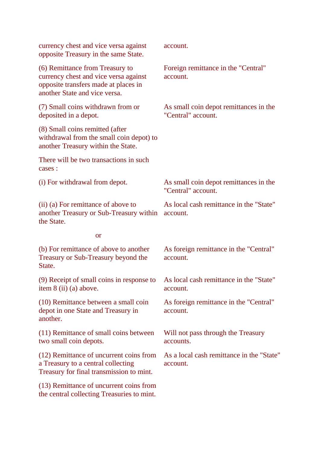| currency chest and vice versa against<br>opposite Treasury in the same State.                                                                     | account.                                                     |
|---------------------------------------------------------------------------------------------------------------------------------------------------|--------------------------------------------------------------|
| (6) Remittance from Treasury to<br>currency chest and vice versa against<br>opposite transfers made at places in<br>another State and vice versa. | Foreign remittance in the "Central"<br>account.              |
| (7) Small coins withdrawn from or<br>deposited in a depot.                                                                                        | As small coin depot remittances in the<br>"Central" account. |
| (8) Small coins remitted (after<br>withdrawal from the small coin depot) to<br>another Treasury within the State.                                 |                                                              |
| There will be two transactions in such<br>cases :                                                                                                 |                                                              |
| (i) For withdrawal from depot.                                                                                                                    | As small coin depot remittances in the<br>"Central" account. |
| (ii) (a) For remittance of above to<br>another Treasury or Sub-Treasury within<br>the State.                                                      | As local cash remittance in the "State"<br>account.          |
| <b>or</b>                                                                                                                                         |                                                              |
| (b) For remittance of above to another<br>Treasury or Sub-Treasury beyond the<br>State.                                                           | As foreign remittance in the "Central"<br>account.           |
| (9) Receipt of small coins in response to<br>item 8 (ii) (a) above.                                                                               | As local cash remittance in the "State"<br>account.          |
| (10) Remittance between a small coin<br>depot in one State and Treasury in<br>another.                                                            | As foreign remittance in the "Central"<br>account.           |
| (11) Remittance of small coins between<br>two small coin depots.                                                                                  | Will not pass through the Treasury<br>accounts.              |
| (12) Remittance of uncurrent coins from<br>a Treasury to a central collecting<br>Treasury for final transmission to mint.                         | As a local cash remittance in the "State"<br>account.        |
| (13) Remittance of uncurrent coins from<br>the central collecting Treasuries to mint.                                                             |                                                              |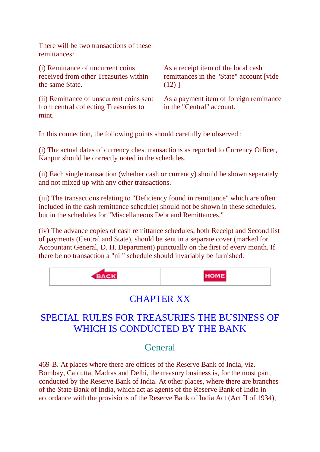There will be two transactions of these remittances:

(i) Remittance of uncurrent coins received from other Treasuries within the same State. As a receipt item of the local cash remittances in the "State" account [vide  $(12)$ ] (ii) Remittance of unscurrent coins sent

from central collecting Treasuries to mint.

As a payment item of foreign remittance in the "Central" account.

In this connection, the following points should carefully be observed :

(i) The actual dates of currency chest transactions as reported to Currency Officer, Kanpur should be correctly noted in the schedules.

(ii) Each single transaction (whether cash or currency) should be shown separately and not mixed up with any other transactions.

(iii) The transactions relating to "Deficiency found in remittance" which are often included in the cash remittance schedule) should not be shown in these schedules, but in the schedules for "Miscellaneous Debt and Remittances."

(iv) The advance copies of cash remittance schedules, both Receipt and Second list of payments (Central and State), should be sent in a separate cover (marked for Accountant General, D. H. Department) punctually on the first of every month. If there be no transaction a "nil" schedule should invariably be furnished.



# CHAPTER XX

# SPECIAL RULES FOR TREASURIES THE BUSINESS OF WHICH IS CONDUCTED BY THE BANK

## **General**

469-B. At places where there are offices of the Reserve Bank of India, viz. Bombay, Calcutta, Madras and Delhi, the treasury business is, for the most part, conducted by the Reserve Bank of India. At other places, where there are branches of the State Bank of India, which act as agents of the Reserve Bank of India in accordance with the provisions of the Reserve Bank of India Act (Act II of 1934),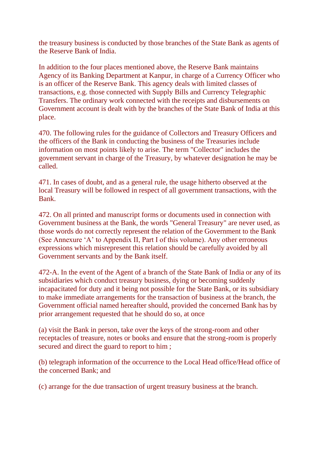the treasury business is conducted by those branches of the State Bank as agents of the Reserve Bank of India.

In addition to the four places mentioned above, the Reserve Bank maintains Agency of its Banking Department at Kanpur, in charge of a Currency Officer who is an officer of the Reserve Bank. This agency deals with limited classes of transactions, e.g. those connected with Supply Bills and Currency Telegraphic Transfers. The ordinary work connected with the receipts and disbursements on Government account is dealt with by the branches of the State Bank of India at this place.

470. The following rules for the guidance of Collectors and Treasury Officers and the officers of the Bank in conducting the business of the Treasuries include information on most points likely to arise. The term "Collector" includes the government servant in charge of the Treasury, by whatever designation he may be called.

471. In cases of doubt, and as a general rule, the usage hitherto observed at the local Treasury will be followed in respect of all government transactions, with the Bank.

472. On all printed and manuscript forms or documents used in connection with Government business at the Bank, the words "General Treasury" are never used, as those words do not correctly represent the relation of the Government to the Bank (See Annexure 'A' to Appendix II, Part I of this volume). Any other erroneous expressions which misrepresent this relation should be carefully avoided by all Government servants and by the Bank itself.

472-A. In the event of the Agent of a branch of the State Bank of India or any of its subsidiaries which conduct treasury business, dying or becoming suddenly incapacitated for duty and it being not possible for the State Bank, or its subsidiary to make immediate arrangements for the transaction of business at the branch, the Government official named hereafter should, provided the concerned Bank has by prior arrangement requested that he should do so, at once

(a) visit the Bank in person, take over the keys of the strong-room and other receptacles of treasure, notes or books and ensure that the strong-room is properly secured and direct the guard to report to him ;

(b) telegraph information of the occurrence to the Local Head office/Head office of the concerned Bank; and

(c) arrange for the due transaction of urgent treasury business at the branch.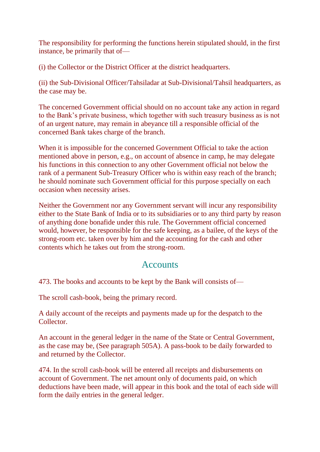The responsibility for performing the functions herein stipulated should, in the first instance, be primarily that of—

(i) the Collector or the District Officer at the district headquarters.

(ii) the Sub-Divisional Officer/Tahsiladar at Sub-Divisional/Tahsil headquarters, as the case may be.

The concerned Government official should on no account take any action in regard to the Bank's private business, which together with such treasury business as is not of an urgent nature, may remain in abeyance till a responsible official of the concerned Bank takes charge of the branch.

When it is impossible for the concerned Government Official to take the action mentioned above in person, e.g., on account of absence in camp, he may delegate his functions in this connection to any other Government official not below the rank of a permanent Sub-Treasury Officer who is within easy reach of the branch; he should nominate such Government official for this purpose specially on each occasion when necessity arises.

Neither the Government nor any Government servant will incur any responsibility either to the State Bank of India or to its subsidiaries or to any third party by reason of anything done bonafide under this rule. The Government official concerned would, however, be responsible for the safe keeping, as a bailee, of the keys of the strong-room etc. taken over by him and the accounting for the cash and other contents which he takes out from the strong-room.

#### **Accounts**

473. The books and accounts to be kept by the Bank will consists of—

The scroll cash-book, being the primary record.

A daily account of the receipts and payments made up for the despatch to the Collector.

An account in the general ledger in the name of the State or Central Government, as the case may be, (See paragraph 505A). A pass-book to be daily forwarded to and returned by the Collector.

474. In the scroll cash-book will be entered all receipts and disbursements on account of Government. The net amount only of documents paid, on which deductions have been made, will appear in this book and the total of each side will form the daily entries in the general ledger.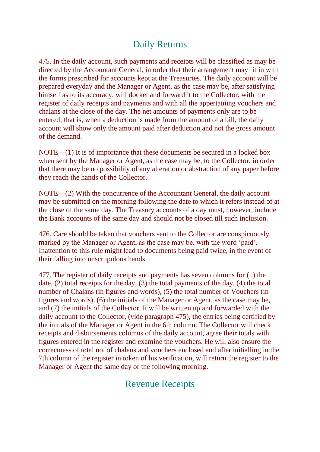## Daily Returns

475. In the daily account, such payments and receipts will be classified as may be directed by the Accountant General, in order that their arrangement may fit in with the forms prescribed for accounts kept at the Treasuries. The daily account will be prepared everyday and the Manager or Agent, as the case may be, after satisfying himself as to its accuracy, will docket and forward it to the Collector, with the register of daily receipts and payments and with all the appertaining vouchers and chalans at the close of the day. The net amounts of payments only are to be entered; that is, when a deduction is made from the amount of a bill, the daily account will show only the amount paid after deduction and not the gross amount of the demand.

NOTE—(1) It is of importance that these documents be secured in a locked box when sent by the Manager or Agent, as the case may be, to the Collector, in order that there may be no possibility of any alteration or abstraction of any paper before they reach the hands of the Collector.

NOTE—(2) With the concurrence of the Accountant General, the daily account may be submitted on the morning following the date to which it refers instead of at the close of the same day. The Treasury accounts of a day must, however, include the Bank accounts of the same day and should not be closed till such inclusion.

476. Care should be taken that vouchers sent to the Collector are conspicuously marked by the Manager or Agent, as the case may be, with the word 'paid'. Inattention to this rule might lead to documents being paid twice, in the event of their falling into unscrupulous hands.

477. The register of daily receipts and payments has seven columns for (1) the date, (2) total receipts for the day, (3) the total payments of the day, (4) the total number of Chalans (in figures and words), (5) the total number of Vouchers (in figures and words), (6) the initials of the Manager or Agent, as the case may be, and (7) the initials of the Collector. It will be written up and forwarded with the daily account to the Collector, (vide paragraph 475), the entries being certified by the initials of the Manager or Agent in the 6th column. The Collector will check receipts and disbursements columns of the daily account, agree their totals with figures entered in the register and examine the vouchers. He will also ensure the correctness of total no. of chalans and vouchers enclosed and after initialling in the 7th column of the register in token of his verification, will return the register to the Manager or Agent the same day or the following morning.

### Revenue Receipts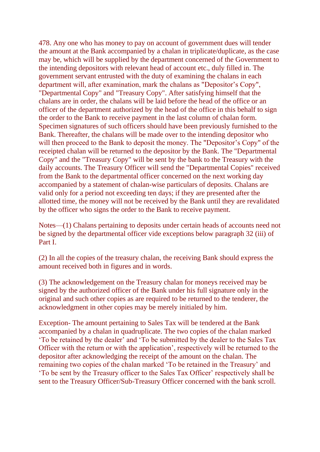478. Any one who has money to pay on account of government dues will tender the amount at the Bank accompanied by a chalan in triplicate/duplicate, as the case may be, which will be supplied by the department concerned of the Government to the intending depositors with relevant head of account etc., duly filled in. The government servant entrusted with the duty of examining the chalans in each department will, after examination, mark the chalans as "Depositor's Copy", "Departmental Copy" and "Treasury Copy". After satisfying himself that the chalans are in order, the chalans will be laid before the head of the office or an officer of the department authorized by the head of the office in this behalf to sign the order to the Bank to receive payment in the last column of chalan form. Specimen signatures of such officers should have been previously furnished to the Bank. Thereafter, the chalans will be made over to the intending depositor who will then proceed to the Bank to deposit the money. The "Depositor's Copy" of the receipted chalan will be returned to the depositor by the Bank. The "Departmental Copy" and the "Treasury Copy" will be sent by the bank to the Treasury with the daily accounts. The Treasury Officer will send the "Departmental Copies" received from the Bank to the departmental officer concerned on the next working day accompanied by a statement of chalan-wise particulars of deposits. Chalans are valid only for a period not exceeding ten days; if they are presented after the allotted time, the money will not be received by the Bank until they are revalidated by the officer who signs the order to the Bank to receive payment.

Notes—(1) Chalans pertaining to deposits under certain heads of accounts need not be signed by the departmental officer vide exceptions below paragraph 32 (iii) of Part I.

(2) In all the copies of the treasury chalan, the receiving Bank should express the amount received both in figures and in words.

(3) The acknowledgement on the Treasury chalan for moneys received may be signed by the authorized officer of the Bank under his full signature only in the original and such other copies as are required to be returned to the tenderer, the acknowledgment in other copies may be merely initialed by him.

Exception- The amount pertaining to Sales Tax will be tendered at the Bank accompanied by a chalan in quadruplicate. The two copies of the chalan marked 'To be retained by the dealer' and 'To be submitted by the dealer to the Sales Tax Officer with the return or with the application', respectively will be returned to the depositor after acknowledging the receipt of the amount on the chalan. The remaining two copies of the chalan marked 'To be retained in the Treasury' and 'To be sent by the Treasury officer to the Sales Tax Officer' respectively shall be sent to the Treasury Officer/Sub-Treasury Officer concerned with the bank scroll.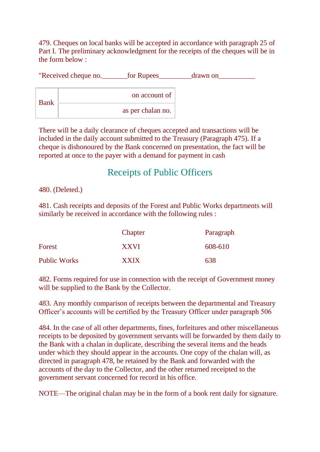479. Cheques on local banks will be accepted in accordance with paragraph 25 of Part I. The preliminary acknowledgment for the receipts of the cheques will be in the form below :

|             | "Received cheque no. | for Rupees        | drawn on |
|-------------|----------------------|-------------------|----------|
| <b>Bank</b> |                      | on account of     |          |
|             |                      | as per chalan no. |          |

There will be a daily clearance of cheques accepted and transactions will be included in the daily account submitted to the Treasury (Paragraph 475). If a cheque is dishonoured by the Bank concerned on presentation, the fact will be reported at once to the payer with a demand for payment in cash

## Receipts of Public Officers

480. (Deleted.)

481. Cash receipts and deposits of the Forest and Public Works departments will similarly be received in accordance with the following rules :

|                     | Chapter     | Paragraph |
|---------------------|-------------|-----------|
| Forest              | <b>XXVI</b> | 608-610   |
| <b>Public Works</b> | <b>XXIX</b> | 638       |

482. Forms required for use in connection with the receipt of Government money will be supplied to the Bank by the Collector.

483. Any monthly comparison of receipts between the departmental and Treasury Officer's accounts will be certified by the Treasury Officer under paragraph 506

484. In the case of all other departments, fines, forfeitures and other miscellaneous receipts to be deposited by government servants will be forwarded by them daily to the Bank with a chalan in duplicate, describing the several items and the heads under which they should appear in the accounts. One copy of the chalan will, as directed in paragraph 478, be retained by the Bank and forwarded with the accounts of the day to the Collector, and the other returned receipted to the government servant concerned for record in his office.

NOTE—The original chalan may be in the form of a book rent daily for signature.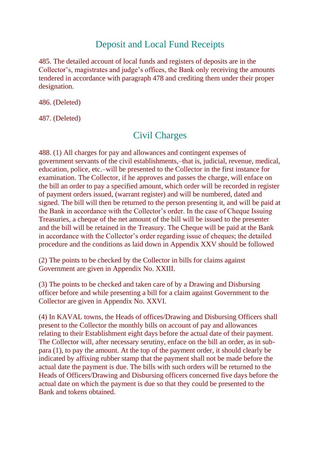## Deposit and Local Fund Receipts

485. The detailed account of local funds and registers of deposits are in the Collector's, magistrates and judge's offices, the Bank only receiving the amounts tendered in accordance with paragraph 478 and crediting them under their proper designation.

486. (Deleted)

487. (Deleted)

# Civil Charges

488. (1) All charges for pay and allowances and contingent expenses of government servants of the civil establishments,–that is, judicial, revenue, medical, education, police, etc.–will be presented to the Collector in the first instance for examination. The Collector, if he approves and passes the charge, will enface on the bill an order to pay a specified amount, which order will be recorded in register of payment orders issued, (warrant register) and will be numbered, dated and signed. The bill will then be returned to the person presenting it, and will be paid at the Bank in accordance with the Collector's order. In the case of Cheque Issuing Treasuries, a cheque of the net amount of the bill will be issued to the presenter and the bill will be retained in the Treasury. The Cheque will be paid at the Bank in accordance with the Collector's order regarding issue of cheques; the detailed procedure and the conditions as laid down in Appendix XXV should be followed

(2) The points to be checked by the Collector in bills for claims against Government are given in Appendix No. XXIII.

(3) The points to be checked and taken care of by a Drawing and Disbursing officer before and while presenting a bill for a claim against Government to the Collector are given in Appendix No. XXVI.

(4) In KAVAL towns, the Heads of offices/Drawing and Disbursing Officers shall present to the Collector the monthly bills on account of pay and allowances relating to their Establishment eight days before the actual date of their payment. The Collector will, after necessary serutiny, enface on the bill an order, as in subpara (1), to pay the amount. At the top of the payment order, it should clearly be indicated by affixing rubber stamp that the payment shall not be made before the actual date the payment is due. The bills with such orders will be returned to the Heads of Officers/Drawing and Disbursing officers concerned five days before the actual date on which the payment is due so that they could be presented to the Bank and tokens obtained.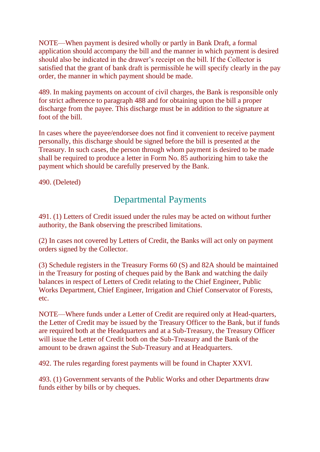NOTE—When payment is desired wholly or partly in Bank Draft, a formal application should accompany the bill and the manner in which payment is desired should also be indicated in the drawer's receipt on the bill. If the Collector is satisfied that the grant of bank draft is permissible he will specify clearly in the pay order, the manner in which payment should be made.

489. In making payments on account of civil charges, the Bank is responsible only for strict adherence to paragraph 488 and for obtaining upon the bill a proper discharge from the payee. This discharge must be in addition to the signature at foot of the bill.

In cases where the payee/endorsee does not find it convenient to receive payment personally, this discharge should be signed before the bill is presented at the Treasury. In such cases, the person through whom payment is desired to be made shall be required to produce a letter in Form No. 85 authorizing him to take the payment which should be carefully preserved by the Bank.

490. (Deleted)

## Departmental Payments

491. (1) Letters of Credit issued under the rules may be acted on without further authority, the Bank observing the prescribed limitations.

(2) In cases not covered by Letters of Credit, the Banks will act only on payment orders signed by the Collector.

(3) Schedule registers in the Treasury Forms 60 (S) and 82A should be maintained in the Treasury for posting of cheques paid by the Bank and watching the daily balances in respect of Letters of Credit relating to the Chief Engineer, Public Works Department, Chief Engineer, Irrigation and Chief Conservator of Forests, etc.

NOTE—Where funds under a Letter of Credit are required only at Head-quarters, the Letter of Credit may be issued by the Treasury Officer to the Bank, but if funds are required both at the Headquarters and at a Sub-Treasury, the Treasury Officer will issue the Letter of Credit both on the Sub-Treasury and the Bank of the amount to be drawn against the Sub-Treasury and at Headquarters.

492. The rules regarding forest payments will be found in Chapter XXVI.

493. (1) Government servants of the Public Works and other Departments draw funds either by bills or by cheques.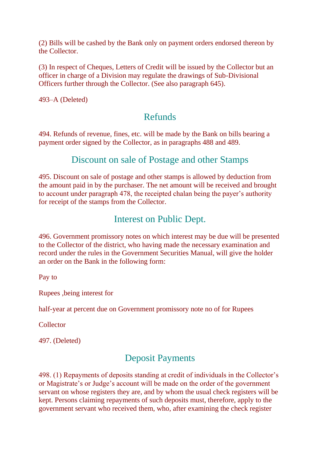(2) Bills will be cashed by the Bank only on payment orders endorsed thereon by the Collector.

(3) In respect of Cheques, Letters of Credit will be issued by the Collector but an officer in charge of a Division may regulate the drawings of Sub-Divisional Officers further through the Collector. (See also paragraph 645).

493–A (Deleted)

## Refunds

494. Refunds of revenue, fines, etc. will be made by the Bank on bills bearing a payment order signed by the Collector, as in paragraphs 488 and 489.

### Discount on sale of Postage and other Stamps

495. Discount on sale of postage and other stamps is allowed by deduction from the amount paid in by the purchaser. The net amount will be received and brought to account under paragraph 478, the receipted chalan being the payer's authority for receipt of the stamps from the Collector.

## Interest on Public Dept.

496. Government promissory notes on which interest may be due will be presented to the Collector of the district, who having made the necessary examination and record under the rules in the Government Securities Manual, will give the holder an order on the Bank in the following form:

Pay to

Rupees ,being interest for

half-year at percent due on Government promissory note no of for Rupees

Collector

497. (Deleted)

## Deposit Payments

498. (1) Repayments of deposits standing at credit of individuals in the Collector's or Magistrate's or Judge's account will be made on the order of the government servant on whose registers they are, and by whom the usual check registers will be kept. Persons claiming repayments of such deposits must, therefore, apply to the government servant who received them, who, after examining the check register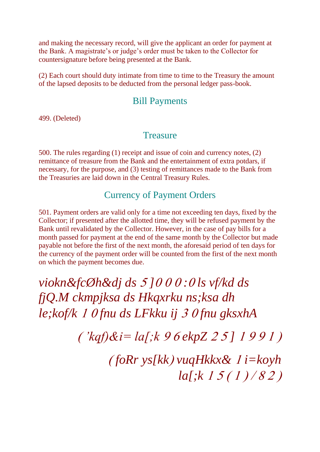and making the necessary record, will give the applicant an order for payment at the Bank. A magistrate's or judge's order must be taken to the Collector for countersignature before being presented at the Bank.

(2) Each court should duty intimate from time to time to the Treasury the amount of the lapsed deposits to be deducted from the personal ledger pass-book.

#### Bill Payments

499. (Deleted)

#### **Treasure**

500. The rules regarding (1) receipt and issue of coin and currency notes, (2) remittance of treasure from the Bank and the entertainment of extra potdars, if necessary, for the purpose, and (3) testing of remittances made to the Bank from the Treasuries are laid down in the Central Treasury Rules.

### Currency of Payment Orders

501. Payment orders are valid only for a time not exceeding ten days, fixed by the Collector; if presented after the allotted time, they will be refused payment by the Bank until revalidated by the Collector. However, in the case of pay bills for a month passed for payment at the end of the same month by the Collector but made payable not before the first of the next month, the aforesaid period of ten days for the currency of the payment order will be counted from the first of the next month on which the payment becomes due.

*viokn&fcØh&dj ds ] : ls vf/kd ds fjQ.M ckmpjksa ds Hkqxrku ns;ksa dh le;kof/k fnu ds LFkku ij fnu gksxhA*

 $(kqf)$ & $i=$   $la$ [; $k$  9 6 ekpZ 2 5 ] 1 9 9 1 )

 *foRr ys[kk vuqHkkx& i=koyh la[;k*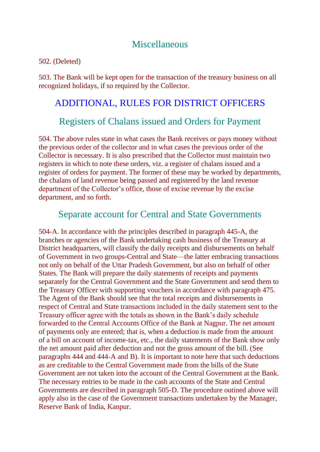#### **Miscellaneous**

502. (Deleted)

503. The Bank will be kept open for the transaction of the treasury business on all recognized holidays, if so required by the Collector.

### ADDITIONAL, RULES FOR DISTRICT OFFICERS

### Registers of Chalans issued and Orders for Payment

504. The above rules state in what cases the Bank receives or pays money without the previous order of the collector and in what cases the previous order of the Collector is necessary. It is also prescribed that the Collector must maintain two registers in which to note these orders, viz. a register of chalans issued and a register of orders for payment. The former of these may be worked by departments, the chalans of land revenue being passed and registered by the land revenue department of the Collector's office, those of excise revenue by the excise department, and so forth.

#### Separate account for Central and State Governments

504-A. In accordance with the principles described in paragraph 445-A, the branches or agencies of the Bank undertaking cash business of the Treasury at District headquarters, will classify the daily receipts and disbursements on behalf of Government in two groups-Central and State—the latter embracing transactions not only on behalf of the Uttar Pradesh Government, but also on behalf of other States. The Bank will prepare the daily statements of receipts and payments separately for the Central Government and the State Government and send them to the Treasury Officer with supporting vouchers in accordance with paragraph 475. The Agent of the Bank should see that the total receipts and disbursements in respect of Central and State transactions included in the daily statement sent to the Treasury officer agree with the totals as shown in the Bank's daily schedule forwarded to the Central Accounts Office of the Bank at Nagpur. The net amount of payments only are entered; that is, when a deduction is made from the amount of a bill on account of income-tax, etc., the daily statements of the Bank show only the net amount paid after deduction and not the gross amount of the bill. (See paragraphs 444 and 444-A and B). It is important to note here that such deductions as are creditable to the Central Government made from the bills of the State Government are not taken into the account of the Central Government at the Bank. The necessary entries to be made in the cash accounts of the State and Central Governments are described in paragraph 505-D. The procedure outined above will apply also in the case of the Government transactions undertaken by the Manager, Reserve Bank of India, Kanpur.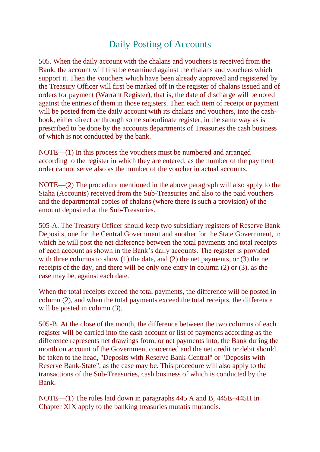## Daily Posting of Accounts

505. When the daily account with the chalans and vouchers is received from the Bank, the account will first be examined against the chalans and vouchers which support it. Then the vouchers which have been already approved and registered by the Treasury Officer will first be marked off in the register of chalans issued and of orders for payment (Warrant Register), that is, the date of discharge will be noted against the entries of them in those registers. Then each item of receipt or payment will be posted from the daily account with its chalans and vouchers, into the cashbook, either direct or through some subordinate register, in the same way as is prescribed to be done by the accounts departments of Treasuries the cash business of which is not conducted by the bank.

NOTE—(1) In this process the vouchers must be numbered and arranged according to the register in which they are entered, as the number of the payment order cannot serve also as the number of the voucher in actual accounts.

NOTE—(2) The procedure mentioned in the above paragraph will also apply to the Siaha (Accounts) received from the Sub-Treasuries and also to the paid vouchers and the departmental copies of chalans (where there is such a provision) of the amount deposited at the Sub-Treasuries.

505-A. The Treasury Officer should keep two subsidiary registers of Reserve Bank Deposits, one for the Central Government and another for the State Government, in which he will post the net difference between the total payments and total receipts of each account as shown in the Bank's daily accounts. The register is provided with three columns to show (1) the date, and (2) the net payments, or (3) the net receipts of the day, and there will be only one entry in column (2) or (3), as the case may be, against each date.

When the total receipts exceed the total payments, the difference will be posted in column (2), and when the total payments exceed the total receipts, the difference will be posted in column  $(3)$ .

505-B. At the close of the month, the difference between the two columns of each register will be carried into the cash account or list of payments according as the difference represents net drawings from, or net payments into, the Bank during the month on account of the Government concerned and the net credit or debit should be taken to the head, "Deposits with Reserve Bank-Central" or "Deposits with Reserve Bank-State", as the case may be. This procedure will also apply to the transactions of the Sub-Treasuries, cash business of which is conducted by the Bank.

NOTE—(1) The rules laid down in paragraphs 445 A and B, 445E–445H in Chapter XIX apply to the banking treasuries mutatis mutandis.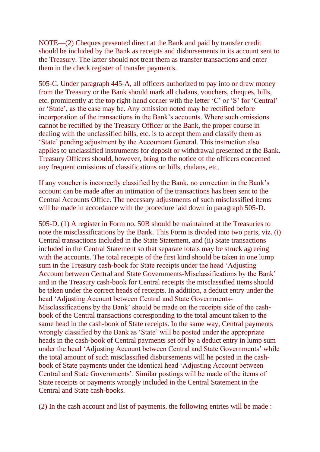NOTE—(2) Cheques presented direct at the Bank and paid by transfer credit should be included by the Bank as receipts and disbursements in its account sent to the Treasury. The latter should not treat them as transfer transactions and enter them in the check register of transfer payments.

505-C. Under paragraph 445-A, all officers authorized to pay into or draw money from the Treasury or the Bank should mark all chalans, vouchers, cheques, bills, etc. prominently at the top right-hand corner with the letter 'C' or 'S' for 'Central' or 'State', as the case may be. Any omission noted may be rectified before incorporation of the transactions in the Bank's accounts. Where such omissions cannot be rectified by the Treasury Officer or the Bank, the proper course in dealing with the unclassified bills, etc. is to accept them and classify them as 'State' pending adjustment by the Accountant General. This instruction also applies to unclassified instruments for deposit or withdrawal presented at the Bank. Treasury Officers should, however, bring to the notice of the officers concerned any frequent omissions of classifications on bills, chalans, etc.

If any voucher is incorrectly classified by the Bank, no correction in the Bank's account can be made after an intimation of the transactions has been sent to the Central Accounts Office. The necessary adjustments of such misclassified items will be made in accordance with the procedure laid down in paragraph 505-D.

505-D. (1) A register in Form no. 50B should be maintained at the Treasuries to note the misclassifications by the Bank. This Form is divided into two parts, viz. (i) Central transactions included in the State Statement, and (ii) State transactions included in the Central Statement so that separate totals may be struck agreeing with the accounts. The total receipts of the first kind should be taken in one lump sum in the Treasury cash-book for State receipts under the head 'Adjusting Account between Central and State Governments-Misclassifications by the Bank' and in the Treasury cash-book for Central receipts the misclassified items should be taken under the correct heads of receipts. In addition, a deduct entry under the head 'Adjusting Account between Central and State Governments-Misclassifications by the Bank' should be made on the receipts side of the cashbook of the Central transactions corresponding to the total amount taken to the same head in the cash-book of State receipts. In the same way, Central payments wrongly classified by the Bank as 'State' will be posted under the appropriate heads in the cash-book of Central payments set off by a deduct entry in lump sum under the head 'Adjusting Account between Central and State Governments' while the total amount of such misclassified disbursements will he posted in the cashbook of State payments under the identical head 'Adjusting Account between Central and State Governments'. Similar postings will be made of the items of State receipts or payments wrongly included in the Central Statement in the Central and State cash-books.

(2) In the cash account and list of payments, the following entries will be made :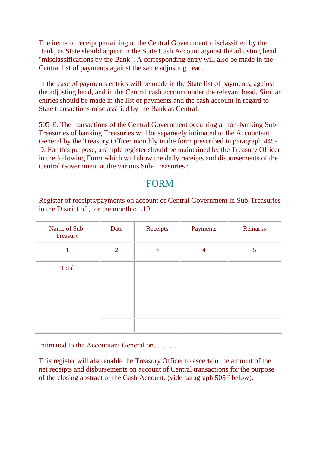The items of receipt pertaining to the Central Government misclassified by the Bank, as State should appear in the State Cash Account against the adjusting head "misclassifications by the Bank". A corresponding entry will also be made in the Central list of payments against the same adjusting head.

In the case of payments entries will be made in the State list of payments, against the adjusting head, and in the Central cash account under the relevant head. Similar entries should be made in the list of payments and the cash account in regard to State transactions misclassified by the Bank as Central.

505-E. The transactions of the Central Government occurring at non-banking Sub-Treasuries of banking Treasuries will be separately intimated to the Accountant General by the Treasury Officer monthly in the form prescribed in paragraph 445- D. For this purpose, a simple register should be maintained by the Treasury Officer in the following Form which will show the daily receipts and disbursements of the Central Government at the various Sub-Treasuries :

### FORM

Register of receipts/payments on account of Central Government in Sub-Treasuries in the District of , for the month of ,19

| Name of Sub-<br>Treasury | Date           | Receipts | Payments       | Remarks |
|--------------------------|----------------|----------|----------------|---------|
|                          | $\overline{2}$ | 3        | $\overline{4}$ | 5       |
| Total                    |                |          |                |         |

Intimated to the Accountant General on...

This register will also enable the Treasury Officer to ascertain the amount of the net receipts and disbursements on account of Central transactions for the purpose of the closing abstract of the Cash Account. (vide paragraph 505F below).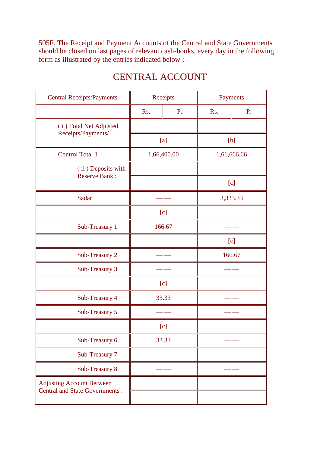505F. The Receipt and Payment Accounts of the Central and State Governments should be closed on last pages of relevant cash-books, every day in the following form as illustrated by the entries indicated below :

| <b>Central Receipts/Payments</b>             | Receipts |             | Payments    |    |
|----------------------------------------------|----------|-------------|-------------|----|
|                                              | Rs.      | P.          | Rs.         | P. |
| (i) Total Net Adjusted<br>Receipts/Payments/ |          |             |             |    |
|                                              |          | [a]         | [b]         |    |
| <b>Control Total 1</b>                       |          | 1,66,400.00 | 1,61,666.66 |    |
| (ii) Deposits with<br><b>Reserve Bank:</b>   |          |             |             |    |
|                                              |          |             | [c]         |    |
| Sadar                                        |          |             | 3,333.33    |    |
|                                              | [c]      |             |             |    |
| Sub-Treasury 1                               | 166.67   |             |             |    |
|                                              |          |             | [c]         |    |
| Sub-Treasury 2                               |          |             | 166.67      |    |
| Sub-Treasury 3                               |          |             |             |    |
|                                              |          | [c]         |             |    |
| Sub-Treasury 4                               | 33.33    |             |             |    |
| Sub-Treasury 5                               |          |             |             |    |
|                                              |          | [c]         |             |    |
| Sub-Treasury 6                               |          | 33.33       |             |    |
| Sub-Treasury 7                               |          |             |             |    |
| Sub-Treasury 8                               |          |             |             |    |
| <b>Adjusting Account Between</b>             |          |             |             |    |
| <b>Central and State Governments:</b>        |          |             |             |    |

## CENTRAL ACCOUNT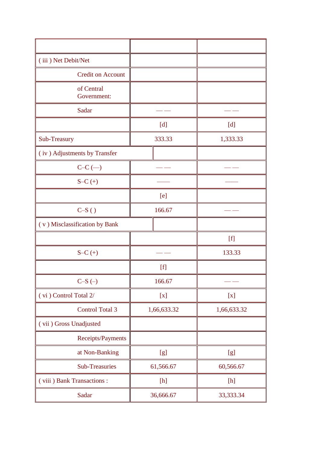| (iii) Net Debit/Net           |                            |                           |
|-------------------------------|----------------------------|---------------------------|
| <b>Credit on Account</b>      |                            |                           |
| of Central<br>Government:     |                            |                           |
| Sadar                         |                            |                           |
|                               | $[d]$                      | [d]                       |
| Sub-Treasury                  | 333.33                     | 1,333.33                  |
| (iv) Adjustments by Transfer  |                            |                           |
| $C-C$ $(-)$                   |                            |                           |
| $S-C (+)$                     |                            |                           |
|                               | [e]                        |                           |
| $C-S( )$                      | 166.67                     |                           |
| (v) Misclassification by Bank |                            |                           |
|                               |                            | $[f]$                     |
| $S-C (+)$                     |                            | 133.33                    |
|                               | [f]                        |                           |
| $C-S$ $(-)$                   | 166.67                     |                           |
| (vi) Control Total 2/         | $\left[ \mathbf{x}\right]$ | $\left[ \text{x} \right]$ |
| <b>Control Total 3</b>        | 1,66,633.32                | 1,66,633.32               |
| (vii) Gross Unadjusted        |                            |                           |
| Receipts/Payments             |                            |                           |
| at Non-Banking                | [g]                        | [g]                       |
| <b>Sub-Treasuries</b>         | 61,566.67                  | 60,566.67                 |
| (viii) Bank Transactions:     | $[h] \centering$           | $[h] \centering$          |
| Sadar                         | 36,666.67                  | 33, 333. 34               |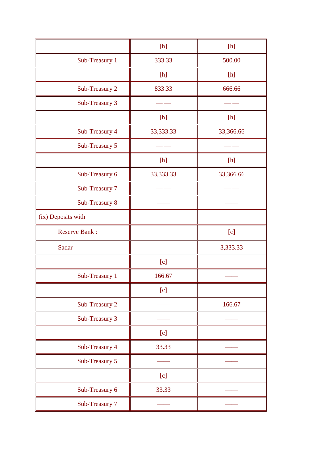|                      | $[h]$            | $[h] \centering \vspace{0.000000} \includegraphics[width=0.0000000]{fig1000000}} \caption{The 0.0000000 for 0.00000 and the 0.000000 for 0.00000 and the 0.000000 for 0.00000 and the 0.000000 for 0.00000 and the 0.000000 for 0.00000 and the 0.000000 for 0.00000 and the 0.000000 for 0.00000 and the 0.000000 for 0.00000 and the 0.000000 for 0$ |
|----------------------|------------------|--------------------------------------------------------------------------------------------------------------------------------------------------------------------------------------------------------------------------------------------------------------------------------------------------------------------------------------------------------|
| Sub-Treasury 1       | 333.33           | 500.00                                                                                                                                                                                                                                                                                                                                                 |
|                      | $[h] \centering$ | $[h] \centering$                                                                                                                                                                                                                                                                                                                                       |
| Sub-Treasury 2       | 833.33           | 666.66                                                                                                                                                                                                                                                                                                                                                 |
| Sub-Treasury 3       |                  |                                                                                                                                                                                                                                                                                                                                                        |
|                      | [h]              | $[h] \centering$                                                                                                                                                                                                                                                                                                                                       |
| Sub-Treasury 4       | 33,333.33        | 33,366.66                                                                                                                                                                                                                                                                                                                                              |
| Sub-Treasury 5       |                  |                                                                                                                                                                                                                                                                                                                                                        |
|                      | $[h] \centering$ | $[h] \centering$                                                                                                                                                                                                                                                                                                                                       |
| Sub-Treasury 6       | 33,333.33        | 33,366.66                                                                                                                                                                                                                                                                                                                                              |
| Sub-Treasury 7       |                  |                                                                                                                                                                                                                                                                                                                                                        |
| Sub-Treasury 8       |                  |                                                                                                                                                                                                                                                                                                                                                        |
| (ix) Deposits with   |                  |                                                                                                                                                                                                                                                                                                                                                        |
| <b>Reserve Bank:</b> |                  | [c]                                                                                                                                                                                                                                                                                                                                                    |
| Sadar                |                  | 3,333.33                                                                                                                                                                                                                                                                                                                                               |
|                      | [c]              |                                                                                                                                                                                                                                                                                                                                                        |
| Sub-Treasury 1       | 166.67           |                                                                                                                                                                                                                                                                                                                                                        |
|                      | [c]              |                                                                                                                                                                                                                                                                                                                                                        |
| Sub-Treasury 2       |                  | 166.67                                                                                                                                                                                                                                                                                                                                                 |
| Sub-Treasury 3       |                  |                                                                                                                                                                                                                                                                                                                                                        |
|                      | [c]              |                                                                                                                                                                                                                                                                                                                                                        |
| Sub-Treasury 4       | 33.33            |                                                                                                                                                                                                                                                                                                                                                        |
| Sub-Treasury 5       |                  |                                                                                                                                                                                                                                                                                                                                                        |
|                      | [c]              |                                                                                                                                                                                                                                                                                                                                                        |
| Sub-Treasury 6       | 33.33            |                                                                                                                                                                                                                                                                                                                                                        |
| Sub-Treasury 7       |                  |                                                                                                                                                                                                                                                                                                                                                        |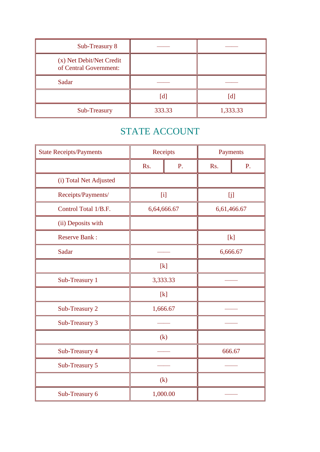| Sub-Treasury 8                                     |        |          |
|----------------------------------------------------|--------|----------|
| (x) Net Debit/Net Credit<br>of Central Government: |        |          |
| Sadar                                              |        |          |
|                                                    | [d]    | [d       |
| Sub-Treasury                                       | 333.33 | 1,333.33 |

# STATE ACCOUNT

| <b>State Receipts/Payments</b> | Receipts    |    | Payments    |    |
|--------------------------------|-------------|----|-------------|----|
|                                | Rs.         | P. | Rs.         | P. |
| (i) Total Net Adjusted         |             |    |             |    |
| Receipts/Payments/             | [i]         |    | [j]         |    |
| Control Total 1/B.F.           | 6,64,666.67 |    | 6,61,466.67 |    |
| (ii) Deposits with             |             |    |             |    |
| <b>Reserve Bank:</b>           |             |    | $[k]$       |    |
| Sadar                          |             |    | 6,666.67    |    |
|                                | $[k]$       |    |             |    |
| Sub-Treasury 1                 | 3,333.33    |    |             |    |
|                                | [k]         |    |             |    |
| Sub-Treasury 2                 | 1,666.67    |    |             |    |
| Sub-Treasury 3                 |             |    |             |    |
|                                | (k)         |    |             |    |
| Sub-Treasury 4                 |             |    | 666.67      |    |
| Sub-Treasury 5                 |             |    |             |    |
|                                | (k)         |    |             |    |
| Sub-Treasury 6                 | 1,000.00    |    |             |    |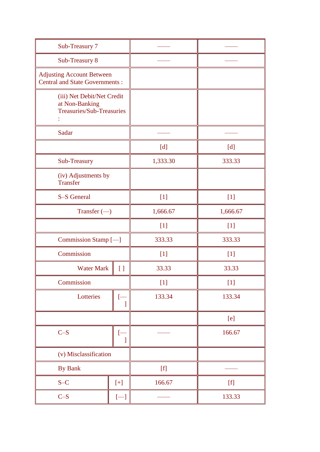| Sub-Treasury 7                                                                   |                    |                                                                                                                                                                                                                                                                                                                                                                                                                                                                                                                                                                                                                                    |                                                                                                                                                                                                                                                                                                                                                                                                                                                                                                                                                                                                                                                                                                                                                                                                                                                                                                                                |
|----------------------------------------------------------------------------------|--------------------|------------------------------------------------------------------------------------------------------------------------------------------------------------------------------------------------------------------------------------------------------------------------------------------------------------------------------------------------------------------------------------------------------------------------------------------------------------------------------------------------------------------------------------------------------------------------------------------------------------------------------------|--------------------------------------------------------------------------------------------------------------------------------------------------------------------------------------------------------------------------------------------------------------------------------------------------------------------------------------------------------------------------------------------------------------------------------------------------------------------------------------------------------------------------------------------------------------------------------------------------------------------------------------------------------------------------------------------------------------------------------------------------------------------------------------------------------------------------------------------------------------------------------------------------------------------------------|
| Sub-Treasury 8                                                                   |                    |                                                                                                                                                                                                                                                                                                                                                                                                                                                                                                                                                                                                                                    |                                                                                                                                                                                                                                                                                                                                                                                                                                                                                                                                                                                                                                                                                                                                                                                                                                                                                                                                |
| <b>Adjusting Account Between</b><br><b>Central and State Governments:</b>        |                    |                                                                                                                                                                                                                                                                                                                                                                                                                                                                                                                                                                                                                                    |                                                                                                                                                                                                                                                                                                                                                                                                                                                                                                                                                                                                                                                                                                                                                                                                                                                                                                                                |
| (iii) Net Debit/Net Credit<br>at Non-Banking<br><b>Treasuries/Sub-Treasuries</b> |                    |                                                                                                                                                                                                                                                                                                                                                                                                                                                                                                                                                                                                                                    |                                                                                                                                                                                                                                                                                                                                                                                                                                                                                                                                                                                                                                                                                                                                                                                                                                                                                                                                |
| Sadar                                                                            |                    |                                                                                                                                                                                                                                                                                                                                                                                                                                                                                                                                                                                                                                    |                                                                                                                                                                                                                                                                                                                                                                                                                                                                                                                                                                                                                                                                                                                                                                                                                                                                                                                                |
|                                                                                  |                    | [d]                                                                                                                                                                                                                                                                                                                                                                                                                                                                                                                                                                                                                                | [d]                                                                                                                                                                                                                                                                                                                                                                                                                                                                                                                                                                                                                                                                                                                                                                                                                                                                                                                            |
| Sub-Treasury                                                                     |                    | 1,333.30                                                                                                                                                                                                                                                                                                                                                                                                                                                                                                                                                                                                                           | 333.33                                                                                                                                                                                                                                                                                                                                                                                                                                                                                                                                                                                                                                                                                                                                                                                                                                                                                                                         |
| (iv) Adjustments by<br><b>Transfer</b>                                           |                    |                                                                                                                                                                                                                                                                                                                                                                                                                                                                                                                                                                                                                                    |                                                                                                                                                                                                                                                                                                                                                                                                                                                                                                                                                                                                                                                                                                                                                                                                                                                                                                                                |
| S-S General                                                                      |                    | $[1]$                                                                                                                                                                                                                                                                                                                                                                                                                                                                                                                                                                                                                              | $[1]$                                                                                                                                                                                                                                                                                                                                                                                                                                                                                                                                                                                                                                                                                                                                                                                                                                                                                                                          |
| Transfer $(-)$                                                                   |                    | 1,666.67                                                                                                                                                                                                                                                                                                                                                                                                                                                                                                                                                                                                                           | 1,666.67                                                                                                                                                                                                                                                                                                                                                                                                                                                                                                                                                                                                                                                                                                                                                                                                                                                                                                                       |
|                                                                                  |                    | $[1]$                                                                                                                                                                                                                                                                                                                                                                                                                                                                                                                                                                                                                              | $[1]$                                                                                                                                                                                                                                                                                                                                                                                                                                                                                                                                                                                                                                                                                                                                                                                                                                                                                                                          |
| Commission Stamp [-                                                              |                    | 333.33                                                                                                                                                                                                                                                                                                                                                                                                                                                                                                                                                                                                                             | 333.33                                                                                                                                                                                                                                                                                                                                                                                                                                                                                                                                                                                                                                                                                                                                                                                                                                                                                                                         |
| Commission                                                                       |                    | $[1]$                                                                                                                                                                                                                                                                                                                                                                                                                                                                                                                                                                                                                              | $[1]$                                                                                                                                                                                                                                                                                                                                                                                                                                                                                                                                                                                                                                                                                                                                                                                                                                                                                                                          |
| <b>Water Mark</b>                                                                | $\left[ \ \right]$ | 33.33                                                                                                                                                                                                                                                                                                                                                                                                                                                                                                                                                                                                                              | 33.33                                                                                                                                                                                                                                                                                                                                                                                                                                                                                                                                                                                                                                                                                                                                                                                                                                                                                                                          |
| Commission                                                                       |                    | $[1]$                                                                                                                                                                                                                                                                                                                                                                                                                                                                                                                                                                                                                              | $[1]$                                                                                                                                                                                                                                                                                                                                                                                                                                                                                                                                                                                                                                                                                                                                                                                                                                                                                                                          |
| Lotteries                                                                        | 1                  | 133.34                                                                                                                                                                                                                                                                                                                                                                                                                                                                                                                                                                                                                             | 133.34                                                                                                                                                                                                                                                                                                                                                                                                                                                                                                                                                                                                                                                                                                                                                                                                                                                                                                                         |
|                                                                                  |                    |                                                                                                                                                                                                                                                                                                                                                                                                                                                                                                                                                                                                                                    | [e]                                                                                                                                                                                                                                                                                                                                                                                                                                                                                                                                                                                                                                                                                                                                                                                                                                                                                                                            |
| $C-S$                                                                            | $[-]$<br>1         |                                                                                                                                                                                                                                                                                                                                                                                                                                                                                                                                                                                                                                    | 166.67                                                                                                                                                                                                                                                                                                                                                                                                                                                                                                                                                                                                                                                                                                                                                                                                                                                                                                                         |
| (v) Misclassification                                                            |                    |                                                                                                                                                                                                                                                                                                                                                                                                                                                                                                                                                                                                                                    |                                                                                                                                                                                                                                                                                                                                                                                                                                                                                                                                                                                                                                                                                                                                                                                                                                                                                                                                |
| By Bank                                                                          |                    | $[f] % \begin{center} % \includegraphics[width=\linewidth]{imagesSupplemental_3.png} % \end{center} % \caption { % Our method can be used for the use of the image. % Note that the \emph{DefNet} and the \emph{DefNet} is used for the \emph{DefNet} and the \emph{DefNet} is used for the \emph{DefNet} and the \emph{DefNet} is used for the \emph{DefNet} and the \emph{DefNet} is used for the \emph{DefNet} and the \emph{DefNet} is used for the \emph{DefNet} and the \emph{DefNet} is used for the \emph{DefNet} and the \emph{DefNet} is used for the \emph{DefNet} and the \emph{DefNet} is used for the \emph{DefNet}$ |                                                                                                                                                                                                                                                                                                                                                                                                                                                                                                                                                                                                                                                                                                                                                                                                                                                                                                                                |
| $S-C$                                                                            | $[+]$              | 166.67                                                                                                                                                                                                                                                                                                                                                                                                                                                                                                                                                                                                                             | $[f] % \begin{center} % \includegraphics[width=\linewidth]{imagesSupplemental_3.png} % \end{center} % \caption { % Our method is used for the method. % Our method is used for the method. % Note that the method is used for the method. % Note that the method is used for the method. % Note that the method is used for the method. % Note that the method is used for the method. % Note that the method is used for the method. % Note that the method is used for the method. % Note that the method is used for the method. % Note that the method is used for the method. % Note that the method is used for the method. % Note that the method is used for the method. % Note that the method is used for the method. % Note that the method is used for the method. % Note that the method is used for the method. % Note that the method is used for the method. % Note that the method is used for the method. %$ |
| $C-S$                                                                            | $[$                |                                                                                                                                                                                                                                                                                                                                                                                                                                                                                                                                                                                                                                    | 133.33                                                                                                                                                                                                                                                                                                                                                                                                                                                                                                                                                                                                                                                                                                                                                                                                                                                                                                                         |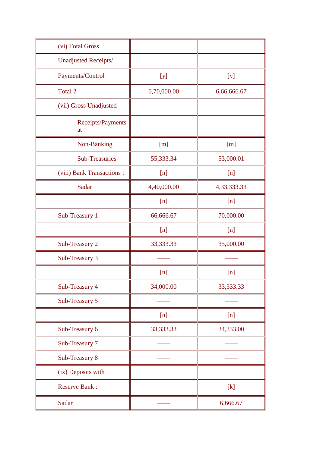| (vi) Total Gross           |             |             |
|----------------------------|-------------|-------------|
| Unadjusted Receipts/       |             |             |
| Payments/Control           | [y]         | [y]         |
| Total 2                    | 6,70,000.00 | 6,66,666.67 |
| (vii) Gross Unadjusted     |             |             |
| Receipts/Payments<br>at    |             |             |
| Non-Banking                | [m]         | [m]         |
| <b>Sub-Treasuries</b>      | 55,333.34   | 53,000.01   |
| (viii) Bank Transactions : | [n]         | [n]         |
| Sadar                      | 4,40,000.00 | 4,33,333.33 |
|                            | [n]         | [n]         |
| Sub-Treasury 1             | 66,666.67   | 70,000.00   |
|                            | [n]         | [n]         |
| Sub-Treasury 2             | 33,333.33   | 35,000.00   |
| Sub-Treasury 3             |             |             |
|                            | [n]         | [n]         |
| Sub-Treasury 4             | 34,000.00   | 33,333.33   |
| Sub-Treasury 5             |             |             |
|                            | [n]         | [n]         |
| Sub-Treasury 6             | 33,333.33   | 34,333.00   |
| Sub-Treasury 7             |             |             |
| Sub-Treasury 8             |             |             |
| (ix) Deposits with         |             |             |
| <b>Reserve Bank:</b>       |             | [k]         |
| Sadar                      |             | 6,666.67    |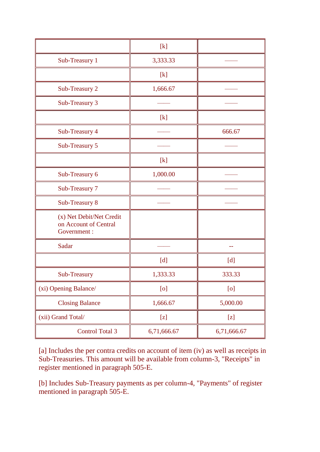|                                                                  | $[k]$       |             |  |
|------------------------------------------------------------------|-------------|-------------|--|
| Sub-Treasury 1                                                   | 3,333.33    |             |  |
|                                                                  | [k]         |             |  |
| Sub-Treasury 2                                                   | 1,666.67    |             |  |
| Sub-Treasury 3                                                   |             |             |  |
|                                                                  | [k]         |             |  |
| Sub-Treasury 4                                                   |             | 666.67      |  |
| Sub-Treasury 5                                                   |             |             |  |
|                                                                  | [k]         |             |  |
| Sub-Treasury 6                                                   | 1,000.00    |             |  |
| Sub-Treasury 7                                                   |             |             |  |
| Sub-Treasury 8                                                   |             |             |  |
| (x) Net Debit/Net Credit<br>on Account of Central<br>Government: |             |             |  |
| Sadar                                                            |             |             |  |
|                                                                  | [d]         | [d]         |  |
| Sub-Treasury                                                     | 1,333.33    | 333.33      |  |
| (xi) Opening Balance/                                            | [o]         | [o]         |  |
| <b>Closing Balance</b>                                           | 1,666.67    | 5,000.00    |  |
| (xii) Grand Total/                                               | [z]         | $[z]$       |  |
| <b>Control Total 3</b>                                           | 6,71,666.67 | 6,71,666.67 |  |

[a] Includes the per contra credits on account of item (iv) as well as receipts in Sub-Treasuries. This amount will be available from column-3, "Receipts" in register mentioned in paragraph 505-E.

[b] Includes Sub-Treasury payments as per column-4, "Payments" of register mentioned in paragraph 505-E.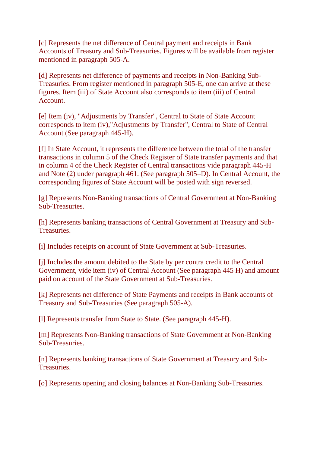[c] Represents the net difference of Central payment and receipts in Bank Accounts of Treasury and Sub-Treasuries. Figures will be available from register mentioned in paragraph 505-A.

[d] Represents net difference of payments and receipts in Non-Banking Sub-Treasuries. From register mentioned in paragraph 505-E, one can arrive at these figures. Item (iii) of State Account also corresponds to item (iii) of Central Account.

[e] Item (iv), "Adjustments by Transfer", Central to State of State Account corresponds to item (iv),"Adjustments by Transfer", Central to State of Central Account (See paragraph 445-H).

[f] In State Account, it represents the difference between the total of the transfer transactions in column 5 of the Check Register of State transfer payments and that in column 4 of the Check Register of Central transactions vide paragraph 445-H and Note (2) under paragraph 461. (See paragraph 505–D). In Central Account, the corresponding figures of State Account will be posted with sign reversed.

[g] Represents Non-Banking transactions of Central Government at Non-Banking Sub-Treasuries.

[h] Represents banking transactions of Central Government at Treasury and Sub-Treasuries.

[i] Includes receipts on account of State Government at Sub-Treasuries.

[j] Includes the amount debited to the State by per contra credit to the Central Government, vide item (iv) of Central Account (See paragraph 445 H) and amount paid on account of the State Government at Sub-Treasuries.

[k] Represents net difference of State Payments and receipts in Bank accounts of Treasury and Sub-Treasuries (See paragraph 505-A).

[l] Represents transfer from State to State. (See paragraph 445-H).

[m] Represents Non-Banking transactions of State Government at Non-Banking Sub-Treasuries.

[n] Represents banking transactions of State Government at Treasury and Sub-Treasuries.

[o] Represents opening and closing balances at Non-Banking Sub-Treasuries.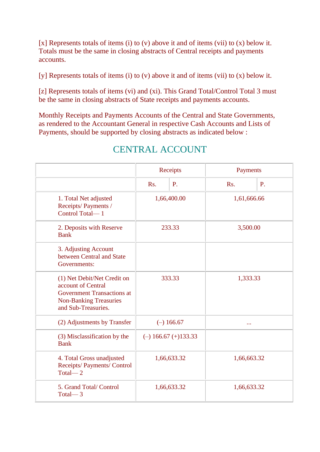[x] Represents totals of items (i) to (v) above it and of items (vii) to (x) below it. Totals must be the same in closing abstracts of Central receipts and payments accounts.

[y] Represents totals of items (i) to (v) above it and of items (vii) to (x) below it.

[z] Represents totals of items (vi) and (xi). This Grand Total/Control Total 3 must be the same in closing abstracts of State receipts and payments accounts.

Monthly Receipts and Payments Accounts of the Central and State Governments, as rendered to the Accountant General in respective Cash Accounts and Lists of Payments, should be supported by closing abstracts as indicated below :

|                                                                                                                                                | Receipts                   |                           | Payments    |    |
|------------------------------------------------------------------------------------------------------------------------------------------------|----------------------------|---------------------------|-------------|----|
|                                                                                                                                                | Rs.                        | P.                        | Rs.         | P. |
| 1. Total Net adjusted<br>Receipts/Payments /<br>Control Total-1                                                                                | 1,66,400.00                |                           | 1,61,666.66 |    |
| 2. Deposits with Reserve<br><b>Bank</b>                                                                                                        | 233.33                     |                           | 3,500.00    |    |
| 3. Adjusting Account<br>between Central and State<br>Governments:                                                                              |                            |                           |             |    |
| (1) Net Debit/Net Credit on<br>account of Central<br><b>Government Transactions at</b><br><b>Non-Banking Treasuries</b><br>and Sub-Treasuries. | 333.33                     |                           | 1,333.33    |    |
| (2) Adjustments by Transfer                                                                                                                    |                            | $(-)$ 166.67              | $\cdots$    |    |
| (3) Misclassification by the<br><b>Bank</b>                                                                                                    |                            | $(-)$ 166.67 $(+)$ 133.33 |             |    |
| 4. Total Gross unadjusted<br>Receipts/ Payments/ Control<br>Total $-2$                                                                         | 1,66,633.32<br>1,66,663.32 |                           |             |    |
| 5. Grand Total/Control<br>Total $-3$                                                                                                           | 1,66,633.32                |                           | 1,66,633.32 |    |

# CENTRAL ACCOUNT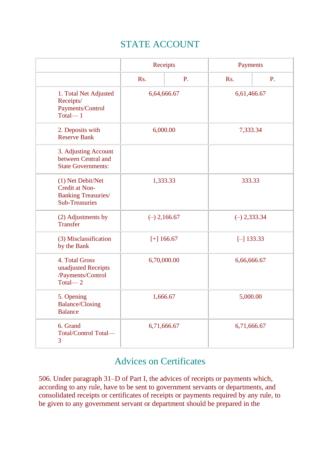# STATE ACCOUNT

|                                                                                            | Receipts       |                            | Payments       |              |  |
|--------------------------------------------------------------------------------------------|----------------|----------------------------|----------------|--------------|--|
|                                                                                            | Rs.            | P.                         | Rs.            | P.           |  |
| 1. Total Net Adjusted<br>Receipts/<br>Payments/Control<br>Total $-1$                       |                | 6,64,666.67                |                | 6,61,466.67  |  |
| 2. Deposits with<br><b>Reserve Bank</b>                                                    | 6,000.00       |                            | 7,333.34       |              |  |
| 3. Adjusting Account<br>between Central and<br><b>State Governments:</b>                   |                |                            |                |              |  |
| (1) Net Debit/Net<br>Credit at Non-<br><b>Banking Treasuries/</b><br><b>Sub-Treasuries</b> | 1,333.33       |                            | 333.33         |              |  |
| (2) Adjustments by<br><b>Transfer</b>                                                      | $(-)$ 2,166.67 |                            | $(-) 2,333.34$ |              |  |
| (3) Misclassification<br>by the Bank                                                       |                | $[+]$ 166.67               |                | $[-]$ 133.33 |  |
| 4. Total Gross<br>unadjusted Receipts<br>/Payments/Control<br>Total $-2$                   |                | 6,70,000.00<br>6,66,666.67 |                |              |  |
| 5. Opening<br><b>Balance/Closing</b><br><b>Balance</b>                                     |                | 1,666.67                   |                | 5,000.00     |  |
| 6. Grand<br>Total/Control Total-<br>3                                                      | 6,71,666.67    |                            | 6,71,666.67    |              |  |

# Advices on Certificates

506. Under paragraph 31–D of Part I, the advices of receipts or payments which, according to any rule, have to be sent to government servants or departments, and consolidated receipts or certificates of receipts or payments required by any rule, to be given to any government servant or department should be prepared in the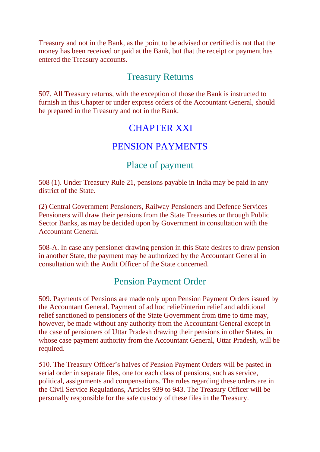Treasury and not in the Bank, as the point to be advised or certified is not that the money has been received or paid at the Bank, but that the receipt or payment has entered the Treasury accounts.

### Treasury Returns

507. All Treasury returns, with the exception of those the Bank is instructed to furnish in this Chapter or under express orders of the Accountant General, should be prepared in the Treasury and not in the Bank.

## CHAPTER XXI

## PENSION PAYMENTS

## Place of payment

508 (1). Under Treasury Rule 21, pensions payable in India may be paid in any district of the State.

(2) Central Government Pensioners, Railway Pensioners and Defence Services Pensioners will draw their pensions from the State Treasuries or through Public Sector Banks, as may be decided upon by Government in consultation with the Accountant General.

508-A. In case any pensioner drawing pension in this State desires to draw pension in another State, the payment may be authorized by the Accountant General in consultation with the Audit Officer of the State concerned.

# Pension Payment Order

509. Payments of Pensions are made only upon Pension Payment Orders issued by the Accountant General. Payment of ad hoc relief/interim relief and additional relief sanctioned to pensioners of the State Government from time to time may, however, be made without any authority from the Accountant General except in the case of pensioners of Uttar Pradesh drawing their pensions in other States, in whose case payment authority from the Accountant General, Uttar Pradesh, will be required.

510. The Treasury Officer's halves of Pension Payment Orders will be pasted in serial order in separate files, one for each class of pensions, such as service, political, assignments and compensations. The rules regarding these orders are in the Civil Service Regulations, Articles 939 to 943. The Treasury Officer will be personally responsible for the safe custody of these files in the Treasury.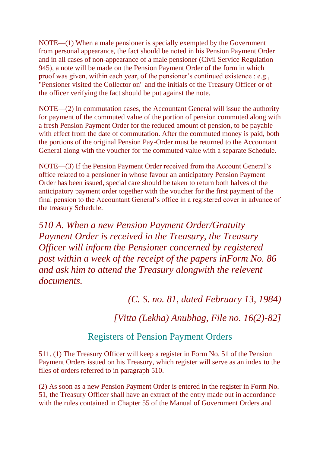NOTE—(1) When a male pensioner is specially exempted by the Government from personal appearance, the fact should be noted in his Pension Payment Order and in all cases of non-appearance of a male pensioner (Civil Service Regulation 945), a note will be made on the Pension Payment Order of the form in which proof was given, within each year, of the pensioner's continued existence : e.g., "Pensioner visited the Collector on" and the initials of the Treasury Officer or of the officer verifying the fact should be put against the note.

NOTE—(2) In commutation cases, the Accountant General will issue the authority for payment of the commuted value of the portion of pension commuted along with a fresh Pension Payment Order for the reduced amount of pension, to be payable with effect from the date of commutation. After the commuted money is paid, both the portions of the original Pension Pay-Order must be returned to the Accountant General along with the voucher for the commuted value with a separate Schedule.

NOTE—(3) If the Pension Payment Order received from the Account General's office related to a pensioner in whose favour an anticipatory Pension Payment Order has been issued, special care should be taken to return both halves of the anticipatory payment order together with the voucher for the first payment of the final pension to the Accountant General's office in a registered cover in advance of the treasury Schedule.

*510 A. When a new Pension Payment Order/Gratuity Payment Order is received in the Treasury, the Treasury Officer will inform the Pensioner concerned by registered post within a week of the receipt of the papers inForm No. 86 and ask him to attend the Treasury alongwith the relevent documents.*

*(C. S. no. 81, dated February 13, 1984)*

*[Vitta (Lekha) Anubhag, File no. 16(2)-82]*

### Registers of Pension Payment Orders

511. (1) The Treasury Officer will keep a register in Form No. 51 of the Pension Payment Orders issued on his Treasury, which register will serve as an index to the files of orders referred to in paragraph 510.

(2) As soon as a new Pension Payment Order is entered in the register in Form No. 51, the Treasury Officer shall have an extract of the entry made out in accordance with the rules contained in Chapter 55 of the Manual of Government Orders and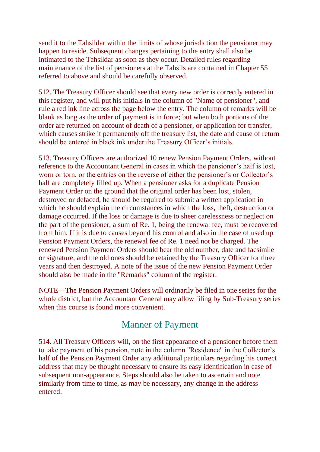send it to the Tahsildar within the limits of whose jurisdiction the pensioner may happen to reside. Subsequent changes pertaining to the entry shall also be intimated to the Tahsildar as soon as they occur. Detailed rules regarding maintenance of the list of pensioners at the Tahsils are contained in Chapter 55 referred to above and should be carefully observed.

512. The Treasury Officer should see that every new order is correctly entered in this register, and will put his initials in the column of "Name of pensioner", and rule a red ink line across the page below the entry. The column of remarks will be blank as long as the order of payment is in force; but when both portions of the order are returned on account of death of a pensioner, or application for transfer, which causes strike it permanently off the treasury list, the date and cause of return should be entered in black ink under the Treasury Officer's initials.

513. Treasury Officers are authorized 10 renew Pension Payment Orders, without reference to the Accountant General in cases in which the pensioner's half is lost, worn or torn, or the entries on the reverse of either the pensioner's or Collector's half are completely filled up. When a pensioner asks for a duplicate Pension Payment Order on the ground that the original order has been lost, stolen, destroyed or defaced, he should be required to submit a written application in which he should explain the circumstances in which the loss, theft, destruction or damage occurred. If the loss or damage is due to sheer carelessness or neglect on the part of the pensioner, a sum of Re. 1, being the renewal fee, must be recovered from him. If it is due to causes beyond his control and also in the case of used up Pension Payment Orders, the renewal fee of Re. 1 need not be charged. The renewed Pension Payment Orders should bear the old number, date and facsimile or signature, and the old ones should be retained by the Treasury Officer for three years and then destroyed. A note of the issue of the new Pension Payment Order should also be made in the "Remarks" column of the register.

NOTE—The Pension Payment Orders will ordinarily be filed in one series for the whole district, but the Accountant General may allow filing by Sub-Treasury series when this course is found more convenient.

### Manner of Payment

514. All Treasury Officers will, on the first appearance of a pensioner before them to take payment of his pension, note in the column "Residence" in the Collector's half of the Pension Payment Order any additional particulars regarding his correct address that may be thought necessary to ensure its easy identification in case of subsequent non-appearance. Steps should also be taken to ascertain and note similarly from time to time, as may be necessary, any change in the address entered.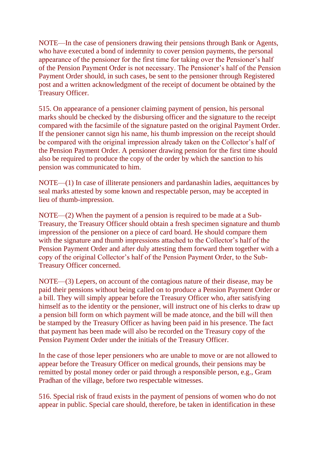NOTE—In the case of pensioners drawing their pensions through Bank or Agents, who have executed a bond of indemnity to cover pension payments, the personal appearance of the pensioner for the first time for taking over the Pensioner's half of the Pension Payment Order is not necessary. The Pensioner's half of the Pension Payment Order should, in such cases, be sent to the pensioner through Registered post and a written acknowledgment of the receipt of document be obtained by the Treasury Officer.

515. On appearance of a pensioner claiming payment of pension, his personal marks should be checked by the disbursing officer and the signature to the receipt compared with the facsimile of the signature pasted on the original Payment Order. If the pensioner cannot sign his name, his thumb impression on the receipt should be compared with the original impression already taken on the Collector's half of the Pension Payment Order. A pensioner drawing pension for the first time should also be required to produce the copy of the order by which the sanction to his pension was communicated to him.

NOTE—(1) In case of illiterate pensioners and pardanashin ladies, aequittances by seal marks attested by some known and respectable person, may be accepted in lieu of thumb-impression.

NOTE—(2) When the payment of a pension is required to be made at a Sub-Treasury, the Treasury Officer should obtain a fresh specimen signature and thumb impression of the pensioner on a piece of card board. He should compare them with the signature and thumb impressions attached to the Collector's half of the Pension Payment Order and after duly attesting them forward them together with a copy of the original Collector's half of the Pension Payment Order, to the Sub-Treasury Officer concerned.

NOTE—(3) Lepers, on account of the contagious nature of their disease, may be paid their pensions without being called on to produce a Pension Payment Order or a bill. They will simply appear before the Treasury Officer who, after satisfying himself as to the identity or the pensioner, will instruct one of his clerks to draw up a pension bill form on which payment will be made atonce, and the bill will then be stamped by the Treasury Officer as having been paid in his presence. The fact that payment has been made will also be recorded on the Treasury copy of the Pension Payment Order under the initials of the Treasury Officer.

In the case of those leper pensioners who are unable to move or are not allowed to appear before the Treasury Officer on medical grounds, their pensions may be remitted by postal money order or paid through a responsible person, e.g., Gram Pradhan of the village, before two respectable witnesses.

516. Special risk of fraud exists in the payment of pensions of women who do not appear in public. Special care should, therefore, be taken in identification in these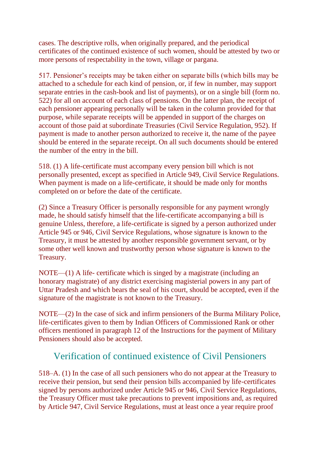cases. The descriptive rolls, when originally prepared, and the periodical certificates of the continued existence of such women, should be attested by two or more persons of respectability in the town, village or pargana.

517. Pensioner's receipts may be taken either on separate bills (which bills may be attached to a schedule for each kind of pension, or, if few in number, may support separate entries in the cash-book and list of payments), or on a single bill (form no. 522) for all on account of each class of pensions. On the latter plan, the receipt of each pensioner appearing personally will be taken in the column provided for that purpose, while separate receipts will be appended in support of the charges on account of those paid at subordinate Treasuries (Civil Service Regulation, 952). If payment is made to another person authorized to receive it, the name of the payee should be entered in the separate receipt. On all such documents should be entered the number of the entry in the bill.

518. (1) A life-certificate must accompany every pension bill which is not personally presented, except as specified in Article 949, Civil Service Regulations. When payment is made on a life-certificate, it should be made only for months completed on or before the date of the certificate.

(2) Since a Treasury Officer is personally responsible for any payment wrongly made, he should satisfy himself that the life-certificate accompanying a bill is genuine Unless, therefore, a life-certificate is signed by a person authorized under Article 945 or 946, Civil Service Regulations, whose signature is known to the Treasury, it must be attested by another responsible government servant, or by some other well known and trustworthy person whose signature is known to the Treasury.

NOTE—(1) A life- certificate which is singed by a magistrate (including an honorary magistrate) of any district exercising magisterial powers in any part of Uttar Pradesh and which bears the seal of his court, should be accepted, even if the signature of the magistrate is not known to the Treasury.

NOTE—(2) In the case of sick and infirm pensioners of the Burma Military Police, life-certificates given to them by Indian Officers of Commissioned Rank or other officers mentioned in paragraph 12 of the Instructions for the payment of Military Pensioners should also be accepted.

## Verification of continued existence of Civil Pensioners

518–A. (1) In the case of all such pensioners who do not appear at the Treasury to receive their pension, but send their pension bills accompanied by life-certificates signed by persons authorized under Article 945 or 946, Civil Service Regulations, the Treasury Officer must take precautions to prevent impositions and, as required by Article 947, Civil Service Regulations, must at least once a year require proof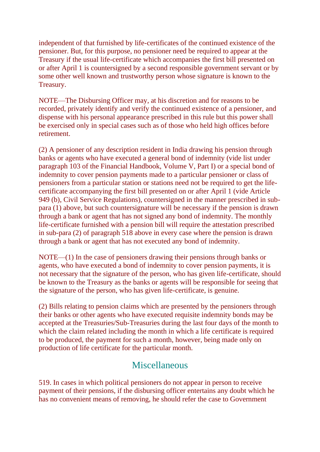independent of that furnished by life-certificates of the continued existence of the pensioner. But, for this purpose, no pensioner need be required to appear at the Treasury if the usual life-certificate which accompanies the first bill presented on or after April 1 is countersigned by a second responsible government servant or by some other well known and trustworthy person whose signature is known to the Treasury.

NOTE—The Disbursing Officer may, at his discretion and for reasons to be recorded, privately identify and verify the continued existence of a pensioner, and dispense with his personal appearance prescribed in this rule but this power shall be exercised only in special cases such as of those who held high offices before retirement.

(2) A pensioner of any description resident in India drawing his pension through banks or agents who have executed a general bond of indemnity (vide list under paragraph 103 of the Financial Handbook, Volume V, Part I) or a special bond of indemnity to cover pension payments made to a particular pensioner or class of pensioners from a particular station or stations need not be required to get the lifecertificate accompanying the first bill presented on or after April 1 (vide Article 949 (b), Civil Service Regulations), countersigned in the manner prescribed in subpara (1) above, but such countersignature will be necessary if the pension is drawn through a bank or agent that has not signed any bond of indemnity. The monthly life-certificate furnished with a pension bill will require the attestation prescribed in sub-para (2) of paragraph 518 above in every case where the pension is drawn through a bank or agent that has not executed any bond of indemnity.

NOTE—(1) In the case of pensioners drawing their pensions through banks or agents, who have executed a bond of indemnity to cover pension payments, it is not necessary that the signature of the person, who has given life-certificate, should be known to the Treasury as the banks or agents will be responsible for seeing that the signature of the person, who has given life-certificate, is genuine.

(2) Bills relating to pension claims which are presented by the pensioners through their banks or other agents who have executed requisite indemnity bonds may be accepted at the Treasuries/Sub-Treasuries during the last four days of the month to which the claim related including the month in which a life certificate is required to be produced, the payment for such a month, however, being made only on production of life certificate for the particular month.

### **Miscellaneous**

519. In cases in which political pensioners do not appear in person to receive payment of their pensions, if the disbursing officer entertains any doubt which he has no convenient means of removing, he should refer the case to Government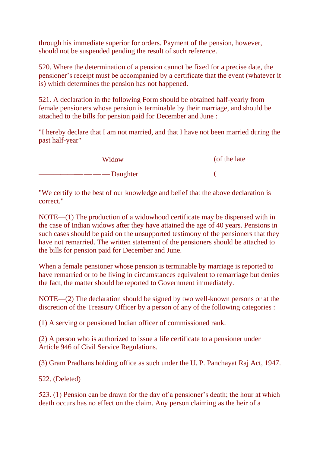through his immediate superior for orders. Payment of the pension, however, should not be suspended pending the result of such reference.

520. Where the determination of a pension cannot be fixed for a precise date, the pensioner's receipt must be accompanied by a certificate that the event (whatever it is) which determines the pension has not happened.

521. A declaration in the following Form should be obtained half-yearly from female pensioners whose pension is terminable by their marriage, and should be attached to the bills for pension paid for December and June :

"I hereby declare that I am not married, and that I have not been married during the past half-year"

| Widow      | (of the late) |
|------------|---------------|
| - Daughter |               |

"We certify to the best of our knowledge and belief that the above declaration is correct."

NOTE—(1) The production of a widowhood certificate may be dispensed with in the case of Indian widows after they have attained the age of 40 years. Pensions in such cases should be paid on the unsupported testimony of the pensioners that they have not remarried. The written statement of the pensioners should be attached to the bills for pension paid for December and June.

When a female pensioner whose pension is terminable by marriage is reported to have remarried or to be living in circumstances equivalent to remarriage but denies the fact, the matter should be reported to Government immediately.

NOTE—(2) The declaration should be signed by two well-known persons or at the discretion of the Treasury Officer by a person of any of the following categories :

(1) A serving or pensioned Indian officer of commissioned rank.

(2) A person who is authorized to issue a life certificate to a pensioner under Article 946 of Civil Service Regulations.

(3) Gram Pradhans holding office as such under the U. P. Panchayat Raj Act, 1947.

522. (Deleted)

523. (1) Pension can be drawn for the day of a pensioner's death; the hour at which death occurs has no effect on the claim. Any person claiming as the heir of a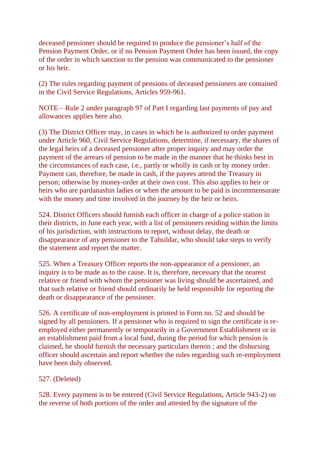deceased pensioner should be required to produce the pensioner's half of the Pension Payment Order, or if no Pension Payment Order has been issued, the copy of the order in which sanction to the pension was communicated to the pensioner or his heir.

(2) The rules regarding payment of pensions of deceased pensioners are contained in the Civil Service Regulations, Articles 959-961.

NOTE—Rule 2 under paragraph 97 of Part I regarding last payments of pay and allowances applies here also.

(3) The District Officer may, in cases in which he is authorized to order payment under Article 960, Civil Service Regulations, determine, if necessary, the shares of the legal heirs of a deceased pensioner after proper inquiry and may order the payment of the arrears of pension to be made in the manner that he thinks best in the circumstances of each case, i.e., partly or wholly in cash or by money order. Payment can, therefore, be made in cash, if the payees attend the Treasury in person; otherwise by money-order at their own cost. This also applies to heir or heirs who are pardanashin ladies or when the amount to be paid is incommensurate with the money and time involved in the journey by the heir or heirs.

524. District Officers should furnish each officer in charge of a police station in their districts, in June each year, with a list of pensioners residing within the limits of his jurisdiction, with instructions to report, without delay, the death or disappearance of any pensioner to the Tahsildar, who should take steps to verify the statement and report the matter.

525. When a Treasury Officer reports the non-appearance of a pensioner, an inquiry is to be made as to the cause. It is, therefore, necessary that the nearest relative or friend with whom the pensioner was living should be ascertained, and that such relative or friend should ordinarily be held responsible for reporting the death or disappearance of the pensioner.

526. A certificate of non-employment is printed in Form no. 52 and should be signed by all pensioners. If a pensioner who is required to sign the certificate is reemployed either permanently or temporarily in a Government Establishment or in an establishment paid from a local fund, during the period for which pension is claimed, he should furnish the necessary particulars therein ; and the disbursing officer should ascertain and report whether the rules regarding such re-employment have been duly observed.

#### 527. (Deleted)

528. Every payment is to be entered (Civil Service Regulations, Article 943-2) on the reverse of both portions of the order and attested by the signature of the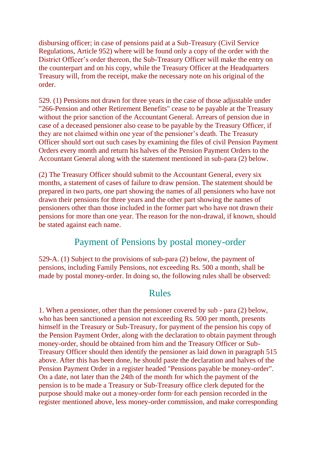disbursing officer; in case of pensions paid at a Sub-Treasury (Civil Service Regulations, Article 952) where will be found only a copy of the order with the District Officer's order thereon, the Sub-Treasury Officer will make the entry on the counterpart and on his copy, while the Treasury Officer at the Headquarters Treasury will, from the receipt, make the necessary note on his original of the order.

529. (1) Pensions not drawn for three years in the case of those adjustable under "266-Pension and other Retirement Benefits" cease to be payable at the Treasury without the prior sanction of the Accountant General. Arrears of pension due in case of a deceased pensioner also cease to be payable by the Treasury Officer, if they are not claimed within one year of the pensioner's death. The Treasury Officer should sort out such cases by examining the files of civil Pension Payment Orders every month and return his halves of the Pension Payment Orders to the Accountant General along with the statement mentioned in sub-para (2) below.

(2) The Treasury Officer should submit to the Accountant General, every six months, a statement of cases of failure to draw pension. The statement should be prepared in two parts, one part showing the names of all pensioners who have not drawn their pensions for three years and the other part showing the names of pensioners other than those included in the former part who have not drawn their pensions for more than one year. The reason for the non-drawal, if known, should be stated against each name.

#### Payment of Pensions by postal money-order

529-A. (1) Subject to the provisions of sub-para (2) below, the payment of pensions, including Family Pensions, not exceeding Rs. 500 a month, shall be made by postal money-order. In doing so, the following rules shall be observed:

#### Rules

1. When a pensioner, other than the pensioner covered by sub - para (2) below, who has been sanctioned a pension not exceeding Rs. 500 per month, presents himself in the Treasury or Sub-Treasury, for payment of the pension his copy of the Pension Payment Order, along with the declaration to obtain payment through money-order, should be obtained from him and the Treasury Officer or Sub-Treasury Officer should then identify the pensioner as laid down in paragraph 515 above. After this has been done, he should paste the declaration and halves of the Pension Payment Order in a register headed "Pensions payable be money-order". On a date, not later than the 24th of the month for which the payment of the pension is to be made a Treasury or Sub-Treasury office clerk deputed for the purpose should make out a money-order form·for each pension recorded in the register mentioned above, less money-order commission, and make corresponding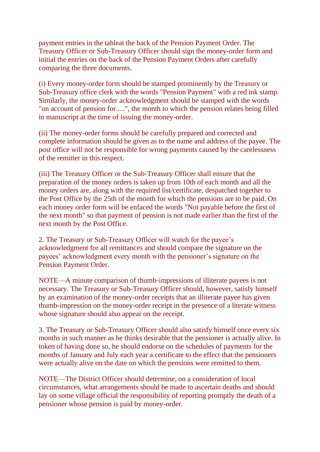payment entries in the tableat the back of the Pension Payment Order. The Treasury Officer or Sub-Treasury Officer should sign the money-order form and initial the entries on the back of the Pension Payment Orders after carefully comparing the three documents.

(i) Every money-order form should be stamped prominently by the Treasury or Sub-Treasury office clerk with the words "Pension Payment" with a red ink stamp. Similarly, the money-order acknowledgment should be stamped with the words "on account of pension for.....", the month to which the pension relates being filled in manuscript at the time of issuing the money-order.

(ii) The money-order forms should be carefully prepared and corrected and complete information should be given as to the name and address of the payee. The post office will not be responsible for wrong payments caused by the carelessness of the remitter in this respect.

(iii) The Treasury Officer or the Sub-Treasury Officer shall ensure that the preparation of the money orders is taken up from 10th of each month and all the money orders are, along with the required list/certificate, despatched together to the Post Office by the 25th of the month for which the pensions are to be paid. On each money order form will be enfaced the words "Not payable before the first of the next month" so that payment of pension is not made earlier than the first of the next month by the Post Office.

2. The Treasury or Sub-Treasury Officer will watch for the payee's acknowledgment for all remittances and should compare the signature on the payees' acknowledgment every month with the pensioner's signature on the Pension Payment Order.

NOTE—A minute comparison of thumb-impressions of illiterate payees is not necessary. The Treasury or Sub-Treasury Officer should, however, satisfy himself by an examination of the money-order receipts that an illiterate payee has given thumb-impression on the money-order receipt in the presence of a literate witness whose signature should also appear on the receipt.

3. The Treasury or Sub-Treasury Officer should also satisfy himself once every six months in such manner as he thinks desirable that the pensioner is actually alive. In token of having done so, he should endorse on the schedules of payments for the months of January and July each year a certificate to the effect that the pensioners were actually alive on the date on which the pensions were remitted to them.

NOTE—The District Officer should determine, on a consideration of local circumstances, what arrangements should be made to ascertain deaths and should lay on some village official the responsibility of reporting promptly the death of a pensioner whose pension is paid by money-order.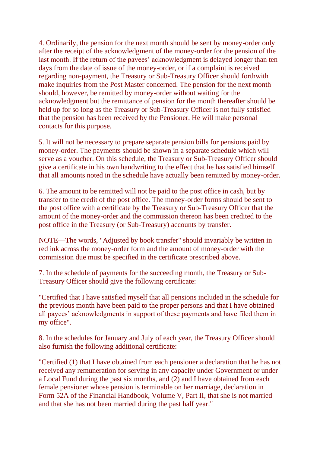4. Ordinarily, the pension for the next month should be sent by money-order only after the receipt of the acknowledgment of the money-order for the pension of the last month. If the return of the payees' acknowledgment is delayed longer than ten days from the date of issue of the money-order, or if a complaint is received regarding non-payment, the Treasury or Sub-Treasury Officer should forthwith make inquiries from the Post Master concerned. The pension for the next month should, however, be remitted by money-order without waiting for the acknowledgment but the remittance of pension for the month thereafter should be held up for so long as the Treasury or Sub-Treasury Officer is not fully satisfied that the pension has been received by the Pensioner. He will make personal contacts for this purpose.

5. It will not be necessary to prepare separate pension bills for pensions paid by money-order. The payments should be shown in a separate schedule which will serve as a voucher. On this schedule, the Treasury or Sub-Treasury Officer should give a certificate in his own handwriting to the effect that he has satisfied himself that all amounts noted in the schedule have actually been remitted by money-order.

6. The amount to be remitted will not be paid to the post office in cash, but by transfer to the credit of the post office. The money-order forms should be sent to the post office with a certificate by the Treasury or Sub-Treasury Officer that the amount of the money-order and the commission thereon has been credited to the post office in the Treasury (or Sub-Treasury) accounts by transfer.

NOTE—The words, "Adjusted by book transfer" should invariably be written in red ink across the money-order form and the amount of money-order with the commission due must be specified in the certificate prescribed above.

7. In the schedule of payments for the succeeding month, the Treasury or Sub-Treasury Officer should give the following certificate:

"Certified that I have satisfied myself that all pensions included in the schedule for the previous month have been paid to the proper persons and that I have obtained all payees' acknowledgments in support of these payments and have filed them in my office".

8. In the schedules for January and July of each year, the Treasury Officer should also furnish the following additional certificate:

"Certified (1) that I have obtained from each pensioner a declaration that he has not received any remuneration for serving in any capacity under Government or under a Local Fund during the past six months, and (2) and I have obtained from each female pensioner whose pension is terminable on her marriage, declaration in Form 52A of the Financial Handbook, Volume V, Part II, that she is not married and that she has not been married during the past half year."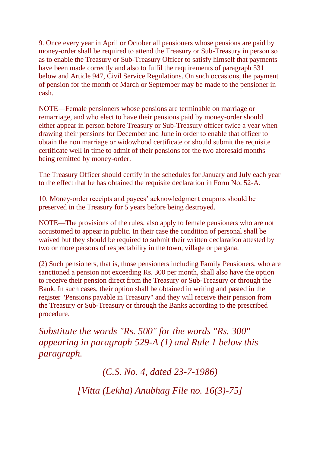9. Once every year in April or October all pensioners whose pensions are paid by money-order shall be required to attend the Treasury or Sub-Treasury in person so as to enable the Treasury or Sub-Treasury Officer to satisfy himself that payments have been made correctly and also to fulfil the requirements of paragraph 531 below and Article 947, Civil Service Regulations. On such occasions, the payment of pension for the month of March or September may be made to the pensioner in cash.

NOTE—Female pensioners whose pensions are terminable on marriage or remarriage, and who elect to have their pensions paid by money-order should either appear in person before Treasury or Sub-Treasury officer twice a year when drawing their pensions for December and June in order to enable that officer to obtain the non marriage or widowhood certificate or should submit the requisite certificate well in time to admit of their pensions for the two aforesaid months being remitted by money-order.

The Treasury Officer should certify in the schedules for January and July each year to the effect that he has obtained the requisite declaration in Form No. 52-A.

10. Money-order receipts and payees' acknowledgment coupons should be preserved in the Treasury for 5 years before being destroyed.

NOTE—The provisions of the rules, also apply to female pensioners who are not accustomed to appear in public. In their case the condition of personal shall be waived but they should be required to submit their written declaration attested by two or more persons of respectability in the town, village or pargana.

(2) Such pensioners, that is, those pensioners including Family Pensioners, who are sanctioned a pension not exceeding Rs. 300 per month, shall also have the option to receive their pension direct from the Treasury or Sub-Treasury or through the Bank. In such cases, their option shall be obtained in writing and pasted in the register "Pensions payable in Treasury" and they will receive their pension from the Treasury or Sub-Treasury or through the Banks according to the prescribed procedure.

*Substitute the words "Rs. 500" for the words "Rs. 300" appearing in paragraph 529-A (1) and Rule 1 below this paragraph.*

*(C.S. No. 4, dated 23-7-1986)*

*[Vitta (Lekha) Anubhag File no. 16(3)-75]*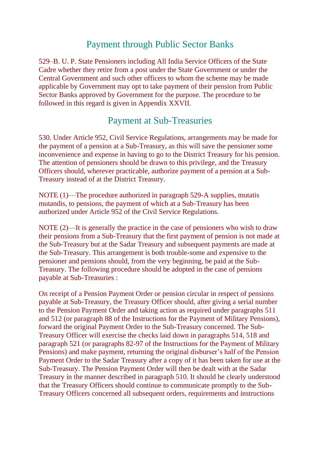### Payment through Public Sector Banks

529–B. U. P. State Pensioners including All India Service Officers of the State Cadre whether they retire from a post under the State Government or under the Central Government and such other officers to whom the scheme may be made applicable by Government may opt to take payment of their pension from Public Sector Banks approved by Government for the purpose. The procedure to be followed in this regard is given in Appendix XXVII.

#### Payment at Sub-Treasuries

530. Under Article 952, Civil Service Regulations, arrangements may be made for the payment of a pension at a Sub-Treasury, as this will save the pensioner some inconvenience and expense in having to go to the District Treasury for his pension. The attention of pensioners should be drawn to this privilege, and the Treasury Officers should, wherever practicable, authorize payment of a pension at a Sub-Treasury instead of at the District Treasury.

NOTE (1)—The procedure authorized in paragraph 529-A supplies, mutatis mutandis, to pensions, the payment of which at a Sub-Treasury has been authorized under Article 952 of the Civil Service Regulations.

NOTE (2)—It is generally the practice in the case of pensioners who wish to draw their pensions from a Sub-Treasury that the first payment of pension is not made at the Sub-Treasury but at the Sadar Treasury and subsequent payments are made at the Sub-Treasury. This arrangement is both trouble-some and expensive to the pensioner and pensions should, from the very beginning, be paid at the Sub-Treasury. The following procedure should be adopted in the case of pensions payable at Sub-Treasuries :

On receipt of a Pension Payment Order or pension circular in respect of pensions payable at Sub-Treasury, the Treasury Officer should, after giving a serial number to the Pension Payment Order and taking action as required under paragraphs 511 and 512 (or paragraph 88 of the Instructions for the Payment of Military Pensions), forward the original Payment Order to the Sub-Treasury concerned. The Sub-Treasury Officer will exercise the checks laid down in paragraphs 514, 518 and paragraph 521 (or paragraphs 82-97 of the Instructions for the Payment of Military Pensions) and make payment, returning the original disburser's half of the Pension Payment Order to the Sadar Treasury after a copy of it has been taken for use at the Sub-Treasury. The Pension Payment Order will then be dealt with at the Sadar Treasury in the manner described in paragraph 510. It should be clearly understood that the Treasury Officers should continue to communicate promptly to the Sub-Treasury Officers concerned all subsequent orders, requirements and instructions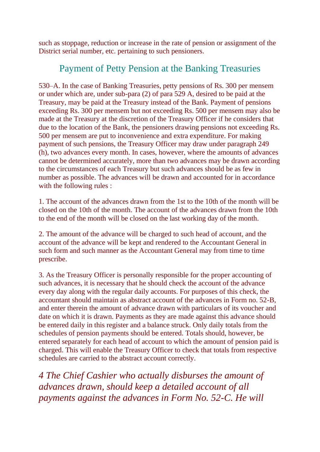such as stoppage, reduction or increase in the rate of pension or assignment of the District serial number, etc. pertaining to such pensioners.

#### Payment of Petty Pension at the Banking Treasuries

530–A. In the case of Banking Treasuries, petty pensions of Rs. 300 per mensem or under which are, under sub-para (2) of para 529 A, desired to be paid at the Treasury, may be paid at the Treasury instead of the Bank. Payment of pensions exceeding Rs. 300 per mensem but not exceeding Rs. 500 per mensem may also be made at the Treasury at the discretion of the Treasury Officer if he considers that due to the location of the Bank, the pensioners drawing pensions not exceeding Rs. 500 per mensem are put to inconvenience and extra expenditure. For making payment of such pensions, the Treasury Officer may draw under paragraph 249 (h), two advances every month. In cases, however, where the amounts of advances cannot be determined accurately, more than two advances may be drawn according to the circumstances of each Treasury but such advances should be as few in number as possible. The advances will be drawn and accounted for in accordance with the following rules :

1. The account of the advances drawn from the 1st to the 10th of the month will be closed on the 10th of the month. The account of the advances drawn from the 10th to the end of the month will be closed on the last working day of the month.

2. The amount of the advance will be charged to such head of account, and the account of the advance will be kept and rendered to the Accountant General in such form and such manner as the Accountant General may from time to time prescribe.

3. As the Treasury Officer is personally responsible for the proper accounting of such advances, it is necessary that he should check the account of the advance every day along with the regular daily accounts. For purposes of this check, the accountant should maintain as abstract account of the advances in Form no. 52-B, and enter therein the amount of advance drawn with particulars of its voucher and date on which it is drawn. Payments as they are made against this advance should be entered daily in this register and a balance struck. Only daily totals from the schedules of pension payments should be entered. Totals should, however, be entered separately for each head of account to which the amount of pension paid is charged. This will enable the Treasury Officer to check that totals from respective schedules are carried to the abstract account correctly.

*4 The Chief Cashier who actually disburses the amount of advances drawn, should keep a detailed account of all payments against the advances in Form No. 52-C. He will*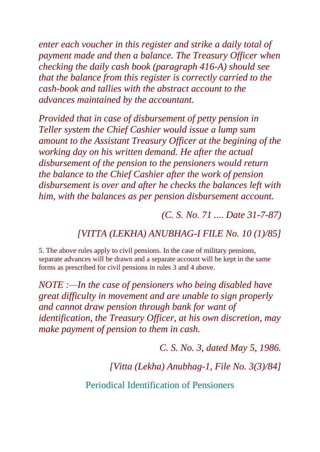*enter each voucher in this register and strike a daily total of payment made and then a balance. The Treasury Officer when checking the daily cash book (paragraph 416-A) should see that the balance from this register is correctly carried to the cash-book and tallies with the abstract account to the advances maintained by the accountant.*

*Provided that in case of disbursement of petty pension in Teller system the Chief Cashier would issue a lump sum amount to the Assistant Treasury Officer at the begining of the working day on his written demand. He after the actual disbursement of the pension to the pensioners would return the balance to the Chief Cashier after the work of pension disbursement is over and after he checks the balances left with him, with the balances as per pension disbursement account.*

*(C. S. No. 71 .... Date 31-7-87)*

*[VITTA (LEKHA) ANUBHAG-I FILE No. 10 (1)/85]*

5. The above rules apply to civil pensions. In the case of military pensions, separate advances will be drawn and a separate account will be kept in the same forms as prescribed for civil pensions in rules 3 and 4 above.

*NOTE :—In the case of pensioners who being disabled have great difficulty in movement and are unable to sign properly and cannot draw pension through bank for want of identification, the Treasury Officer, at his own discretion, may make payment of pension to them in cash.*

*C. S. No. 3, dated May 5, 1986.*

*[Vitta (Lekha) Anubhag-1, File No. 3(3)/84]*

Periodical Identification of Pensioners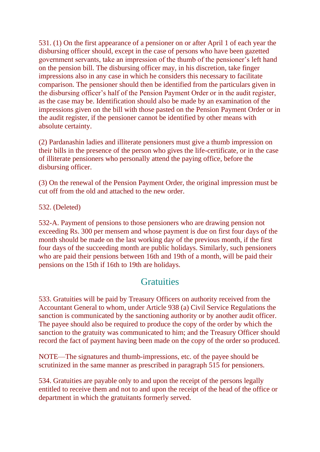531. (1) On the first appearance of a pensioner on or after April 1 of each year the disbursing officer should, except in the case of persons who have been gazetted government servants, take an impression of the thumb of the pensioner's left hand on the pension bill. The disbursing officer may, in his discretion, take finger impressions also in any case in which he considers this necessary to facilitate comparison. The pensioner should then be identified from the particulars given in the disbursing officer's half of the Pension Payment Order or in the audit register, as the case may be. Identification should also be made by an examination of the impressions given on the bill with those pasted on the Pension Payment Order or in the audit register, if the pensioner cannot be identified by other means with absolute certainty.

(2) Pardanashin ladies and illiterate pensioners must give a thumb impression on their bills in the presence of the person who gives the life-certificate, or in the case of illiterate pensioners who personally attend the paying office, before the disbursing officer.

(3) On the renewal of the Pension Payment Order, the original impression must be cut off from the old and attached to the new order.

532. (Deleted)

532-A. Payment of pensions to those pensioners who are drawing pension not exceeding Rs. 300 per mensem and whose payment is due on first four days of the month should be made on the last working day of the previous month, if the first four days of the succeeding month are public holidays. Similarly, such pensioners who are paid their pensions between 16th and 19th of a month, will be paid their pensions on the 15th if 16th to 19th are holidays.

### **Gratuities**

533. Gratuities will be paid by Treasury Officers on authority received from the Accountant General to whom, under Article 938 (a) Civil Service Regulations the sanction is communicated by the sanctioning authority or by another audit officer. The payee should also be required to produce the copy of the order by which the sanction to the gratuity was communicated to him; and the Treasury Officer should record the fact of payment having been made on the copy of the order so produced.

NOTE—The signatures and thumb-impressions, etc. of the payee should be scrutinized in the same manner as prescribed in paragraph 515 for pensioners.

534. Gratuities are payable only to and upon the receipt of the persons legally entitled to receive them and not to and upon the receipt of the head of the office or department in which the gratuitants formerly served.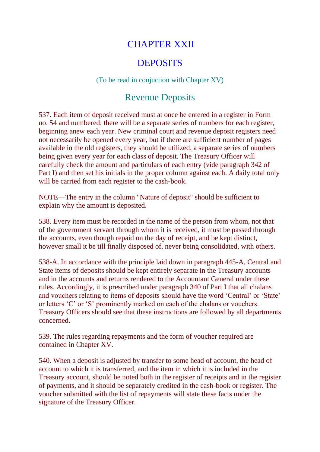### CHAPTER XXII

#### **DEPOSITS**

#### (To be read in conjuction with Chapter XV)

#### Revenue Deposits

537. Each item of deposit received must at once be entered in a register in Form no. 54 and numbered; there will be a separate series of numbers for each register, beginning anew each year. New criminal court and revenue deposit registers need not necessarily be opened every year, but if there are sufficient number of pages available in the old registers, they should be utilized, a separate series of numbers being given every year for each class of deposit. The Treasury Officer will carefully check the amount and particulars of each entry (vide paragraph 342 of Part I) and then set his initials in the proper column against each. A daily total only will be carried from each register to the cash-book.

NOTE—The entry in the column "Nature of deposit" should be sufficient to explain why the amount is deposited.

538. Every item must be recorded in the name of the person from whom, not that of the government servant through whom it is received, it must be passed through the accounts, even though repaid on the day of receipt, and be kept distinct, however small it be till finally disposed of, never being consolidated, with others.

538-A. In accordance with the principle laid down in paragraph 445-A, Central and State items of deposits should be kept entirely separate in the Treasury accounts and in the accounts and returns rendered to the Accountant General under these rules. Accordingly, it is prescribed under paragraph 340 of Part I that all chalans and vouchers relating to items of deposits should have the word 'Central' or 'State' or letters 'C' or 'S' prominently marked on each of the chalans or vouchers. Treasury Officers should see that these instructions are followed by all departments concerned.

539. The rules regarding repayments and the form of voucher required are contained in Chapter XV.

540. When a deposit is adjusted by transfer to some head of account, the head of account to which it is transferred, and the item in which it is included in the Treasury account, should be noted both in the register of receipts and in the register of payments, and it should be separately credited in the cash-book or register. The voucher submitted with the list of repayments will state these facts under the signature of the Treasury Officer.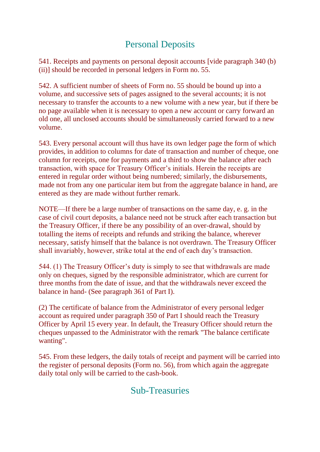# Personal Deposits

541. Receipts and payments on personal deposit accounts [vide paragraph 340 (b) (ii)] should be recorded in personal ledgers in Form no. 55.

542. A sufficient number of sheets of Form no. 55 should be bound up into a volume, and successive sets of pages assigned to the several accounts; it is not necessary to transfer the accounts to a new volume with a new year, but if there be no page available when it is necessary to open a new account or carry forward an old one, all unclosed accounts should be simultaneously carried forward to a new volume.

543. Every personal account will thus have its own ledger page the form of which provides, in addition to columns for date of transaction and number of cheque, one column for receipts, one for payments and a third to show the balance after each transaction, with space for Treasury Officer's initials. Herein the receipts are entered in regular order without being numbered; similarly, the disbursements, made not from any one particular item but from the aggregate balance in hand, are entered as they are made without further remark.

NOTE—If there be a large number of transactions on the same day, e. g. in the case of civil court deposits, a balance need not be struck after each transaction but the Treasury Officer, if there be any possibility of an over-drawal, should by totalling the items of receipts and refunds and striking the balance, wherever necessary, satisfy himself that the balance is not overdrawn. The Treasury Officer shall invariably, however, strike total at the end of each day's transaction.

544. (1) The Treasury Officer's duty is simply to see that withdrawals are made only on cheques, signed by the responsible administrator, which are current for three months from the date of issue, and that the withdrawals never exceed the balance in hand- (See paragraph 361 of Part I).

(2) The certificate of balance from the Administrator of every personal ledger account as required under paragraph 350 of Part I should reach the Treasury Officer by April 15 every year. In default, the Treasury Officer should return the cheques unpassed to the Administrator with the remark "The balance certificate wanting".

545. From these ledgers, the daily totals of receipt and payment will be carried into the register of personal deposits (Form no. 56), from which again the aggregate daily total only will be carried to the cash-book.

### Sub-Treasuries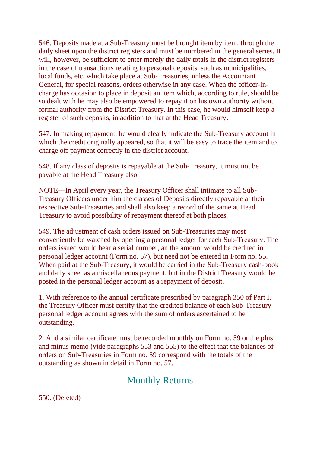546. Deposits made at a Sub-Treasury must be brought item by item, through the daily sheet upon the district registers and must be numbered in the general series. It will, however, be sufficient to enter merely the daily totals in the district registers in the case of transactions relating to personal deposits, such as municipalities, local funds, etc. which take place at Sub-Treasuries, unless the Accountant General, for special reasons, orders otherwise in any case. When the officer-incharge has occasion to place in deposit an item which, according to rule, should be so dealt with he may also be empowered to repay it on his own authority without formal authority from the District Treasury. In this case, he would himself keep a register of such deposits, in addition to that at the Head Treasury.

547. In making repayment, he would clearly indicate the Sub-Treasury account in which the credit originally appeared, so that it will be easy to trace the item and to charge off payment correctly in the district account.

548. If any class of deposits is repayable at the Sub-Treasury, it must not be payable at the Head Treasury also.

NOTE—In April every year, the Treasury Officer shall intimate to all Sub-Treasury Officers under him the classes of Deposits directly repayable at their respective Sub-Treasuries and shall also keep a record of the same at Head Treasury to avoid possibility of repayment thereof at both places.

549. The adjustment of cash orders issued on Sub-Treasuries may most conveniently be watched by opening a personal ledger for each Sub-Treasury. The orders issued would bear a serial number, an the amount would be credited in personal ledger account (Form no. 57), but need not be entered in Form no. 55. When paid at the Sub-Treasury, it would be carried in the Sub-Treasury cash-book and daily sheet as a miscellaneous payment, but in the District Treasury would be posted in the personal ledger account as a repayment of deposit.

1. With reference to the annual certificate prescribed by paragraph 350 of Part I, the Treasury Officer must certify that the credited balance of each Sub-Treasury personal ledger account agrees with the sum of orders ascertained to be outstanding.

2. And a similar certificate must be recorded monthly on Form no. 59 or the plus and minus memo (vide paragraphs 553 and 555) to the effect that the balances of orders on Sub-Treasuries in Form no. 59 correspond with the totals of the outstanding as shown in detail in Form no. 57.

# Monthly Returns

550. (Deleted)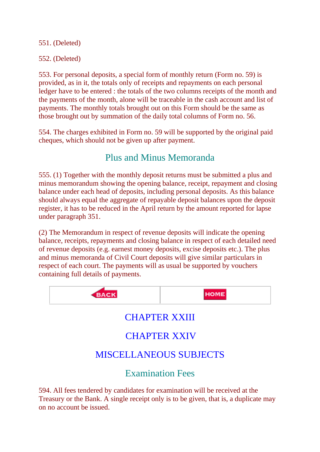551. (Deleted)

552. (Deleted)

553. For personal deposits, a special form of monthly return (Form no. 59) is provided, as in it, the totals only of receipts and repayments on each personal ledger have to be entered : the totals of the two columns receipts of the month and the payments of the month, alone will be traceable in the cash account and list of payments. The monthly totals brought out on this Form should be the same as those brought out by summation of the daily total columns of Form no. 56.

554. The charges exhibited in Form no. 59 will be supported by the original paid cheques, which should not be given up after payment.

### Plus and Minus Memoranda

555. (1) Together with the monthly deposit returns must be submitted a plus and minus memorandum showing the opening balance, receipt, repayment and closing balance under each head of deposits, including personal deposits. As this balance should always equal the aggregate of repayable deposit balances upon the deposit register, it has to be reduced in the April return by the amount reported for lapse under paragraph 351.

(2) The Memorandum in respect of revenue deposits will indicate the opening balance, receipts, repayments and closing balance in respect of each detailed need of revenue deposits (e.g. earnest money deposits, excise deposits etc.). The plus and minus memoranda of Civil Court deposits will give similar particulars in respect of each court. The payments will as usual be supported by vouchers containing full details of payments.



# CHAPTER XXIII

# CHAPTER XXIV

# MISCELLANEOUS SUBJECTS

Examination Fees

594. All fees tendered by candidates for examination will be received at the Treasury or the Bank. A single receipt only is to be given, that is, a duplicate may on no account be issued.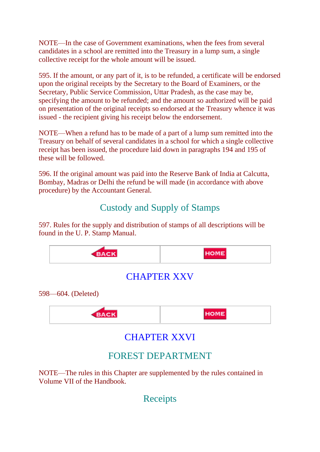NOTE—In the case of Government examinations, when the fees from several candidates in a school are remitted into the Treasury in a lump sum, a single collective receipt for the whole amount will be issued.

595. If the amount, or any part of it, is to be refunded, a certificate will be endorsed upon the original receipts by the Secretary to the Board of Examiners, or the Secretary, Public Service Commission, Uttar Pradesh, as the case may be, specifying the amount to be refunded; and the amount so authorized will be paid on presentation of the original receipts so endorsed at the Treasury whence it was issued - the recipient giving his receipt below the endorsement.

NOTE—When a refund has to be made of a part of a lump sum remitted into the Treasury on behalf of several candidates in a school for which a single collective receipt has been issued, the procedure laid down in paragraphs 194 and 195 of these will be followed.

596. If the original amount was paid into the Reserve Bank of India at Calcutta, Bombay, Madras or Delhi the refund be will made (in accordance with above procedure) by the Accountant General.

# Custody and Supply of Stamps

597. Rules for the supply and distribution of stamps of all descriptions will be found in the U. P. Stamp Manual.



NOTE—The rules in this Chapter are supplemented by the rules contained in Volume VII of the Handbook.

Receipts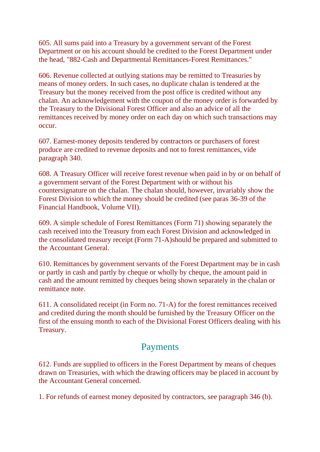605. All sums paid into a Treasury by a government servant of the Forest Department or on his account should be credited to the Forest Department under the head, "882-Cash and Departmental Remittances-Forest Remittances."

606. Revenue collected at outlying stations may be remitted to Treasuries by means of money orders. In such cases, no duplicate chalan is tendered at the Treasury but the money received from the post office is credited without any chalan. An acknowledgement with the coupon of the money order is forwarded by the Treasury to the Divisional Forest Officer and also an advice of all the remittances received by money order on each day on which such transactions may occur.

607. Earnest-money deposits tendered by contractors or purchasers of forest produce are credited to revenue deposits and not to forest remittances, vide paragraph 340.

608. A Treasury Officer will receive forest revenue when paid in by or on behalf of a government servant of the Forest Department with or without his countersignature on the chalan. The chalan should, however, invariably show the Forest Division to which the money should be credited (see paras 36-39 of the Financial Handbook, Volume VII).

609. A simple schedule of Forest Remittances (Form 71) showing separately the cash received into the Treasury from each Forest Division and acknowledged in the consolidated treasury receipt (Form 71-A)should be prepared and submitted to the Accountant General.

610. Remittances by government servants of the Forest Department may be in cash or partly in cash and partly by cheque or wholly by cheque, the amount paid in cash and the amount remitted by cheques being shown separately in the chalan or remittance note.

611. A consolidated receipt (in Form no. 71-A) for the forest remittances received and credited during the month should be furnished by the Treasury Officer on the first of the ensuing month to each of the Divisional Forest Officers dealing with his Treasury.

#### Payments

612. Funds are supplied to officers in the Forest Department by means of cheques drawn on Treasuries, with which the drawing officers may be placed in account by the Accountant General concerned.

1. For refunds of earnest money deposited by contractors, see paragraph 346 (b).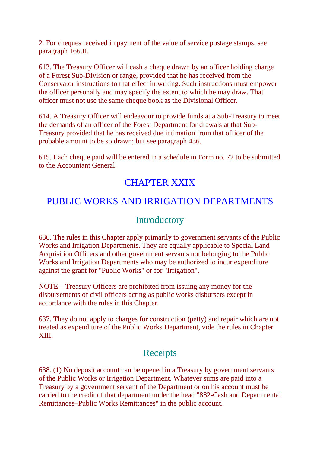2. For cheques received in payment of the value of service postage stamps, see paragraph 166.II.

613. The Treasury Officer will cash a cheque drawn by an officer holding charge of a Forest Sub-Division or range, provided that he has received from the Conservator instructions to that effect in writing. Such instructions must empower the officer personally and may specify the extent to which he may draw. That officer must not use the same cheque book as the Divisional Officer.

614. A Treasury Officer will endeavour to provide funds at a Sub-Treasury to meet the demands of an officer of the Forest Department for drawals at that Sub-Treasury provided that he has received due intimation from that officer of the probable amount to be so drawn; but see paragraph 436.

615. Each cheque paid will be entered in a schedule in Form no. 72 to be submitted to the Accountant General.

### CHAPTER XXIX

# PUBLIC WORKS AND IRRIGATION DEPARTMENTS

#### Introductory

636. The rules in this Chapter apply primarily to government servants of the Public Works and Irrigation Departments. They are equally applicable to Special Land Acquisition Officers and other government servants not belonging to the Public Works and Irrigation Departments who may be authorized to incur expenditure against the grant for "Public Works" or for "Irrigation".

NOTE—Treasury Officers are prohibited from issuing any money for the disbursements of civil officers acting as public works disbursers except in accordance with the rules in this Chapter.

637. They do not apply to charges for construction (petty) and repair which are not treated as expenditure of the Public Works Department, vide the rules in Chapter XIII.

### Receipts

638. (1) No deposit account can be opened in a Treasury by government servants of the Public Works or Irrigation Department. Whatever sums are paid into a Treasury by a government servant of the Department or on his account must be carried to the credit of that department under the head "882-Cash and Departmental Remittances–Public Works Remittances" in the public account.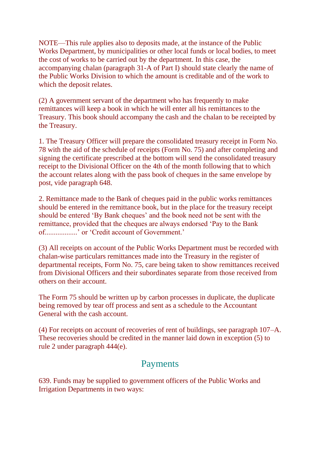NOTE—This rule applies also to deposits made, at the instance of the Public Works Department, by municipalities or other local funds or local bodies, to meet the cost of works to be carried out by the department. In this case, the accompanying chalan (paragraph 31-A of Part I) should state clearly the name of the Public Works Division to which the amount is creditable and of the work to which the deposit relates.

(2) A government servant of the department who has frequently to make remittances will keep a book in which he will enter all his remittances to the Treasury. This book should accompany the cash and the chalan to be receipted by the Treasury.

1. The Treasury Officer will prepare the consolidated treasury receipt in Form No. 78 with the aid of the schedule of receipts (Form No. 75) and after completing and signing the certificate prescribed at the bottom will send the consolidated treasury receipt to the Divisional Officer on the 4th of the month following that to which the account relates along with the pass book of cheques in the same envelope by post, vide paragraph 648.

2. Remittance made to the Bank of cheques paid in the public works remittances should be entered in the remittance book, but in the place for the treasury receipt should be entered 'By Bank cheques' and the book need not be sent with the remittance, provided that the cheques are always endorsed 'Pay to the Bank of..................' or 'Credit account of Government.'

(3) All receipts on account of the Public Works Department must be recorded with chalan-wise particulars remittances made into the Treasury in the register of departmental receipts, Form No. 75, care being taken to show remittances received from Divisional Officers and their subordinates separate from those received from others on their account.

The Form 75 should be written up by carbon processes in duplicate, the duplicate being removed by tear off process and sent as a schedule to the Accountant General with the cash account.

(4) For receipts on account of recoveries of rent of buildings, see paragraph 107–A. These recoveries should be credited in the manner laid down in exception (5) to rule 2 under paragraph 444(e).

#### Payments

639. Funds may be supplied to government officers of the Public Works and Irrigation Departments in two ways: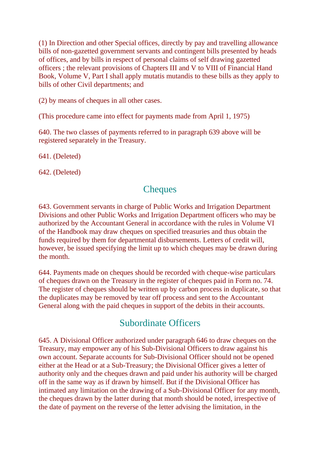(1) In Direction and other Special offices, directly by pay and travelling allowance bills of non-gazetted government servants and contingent bills presented by heads of offices, and by bills in respect of personal claims of self drawing gazetted officers ; the relevant provisions of Chapters III and V to VIII of Financial Hand Book, Volume V, Part I shall apply mutatis mutandis to these bills as they apply to bills of other Civil departments; and

(2) by means of cheques in all other cases.

(This procedure came into effect for payments made from April 1, 1975)

640. The two classes of payments referred to in paragraph 639 above will be registered separately in the Treasury.

641. (Deleted)

642. (Deleted)

#### **Cheques**

643. Government servants in charge of Public Works and Irrigation Department Divisions and other Public Works and Irrigation Department officers who may be authorized by the Accountant General in accordance with the rules in Volume VI of the Handbook may draw cheques on specified treasuries and thus obtain the funds required by them for departmental disbursements. Letters of credit will, however, be issued specifying the limit up to which cheques may be drawn during the month.

644. Payments made on cheques should be recorded with cheque-wise particulars of cheques drawn on the Treasury in the register of cheques paid in Form no. 74. The register of cheques should be written up by carbon process in duplicate, so that the duplicates may be removed by tear off process and sent to the Accountant General along with the paid cheques in support of the debits in their accounts.

#### Subordinate Officers

645. A Divisional Officer authorized under paragraph 646 to draw cheques on the Treasury, may empower any of his Sub-Divisional Officers to draw against his own account. Separate accounts for Sub-Divisional Officer should not be opened either at the Head or at a Sub-Treasury; the Divisional Officer gives a letter of authority only and the cheques drawn and paid under his authority will be charged off in the same way as if drawn by himself. But if the Divisional Officer has intimated any limitation on the drawing of a Sub-Divisional Officer for any month, the cheques drawn by the latter during that month should be noted, irrespective of the date of payment on the reverse of the letter advising the limitation, in the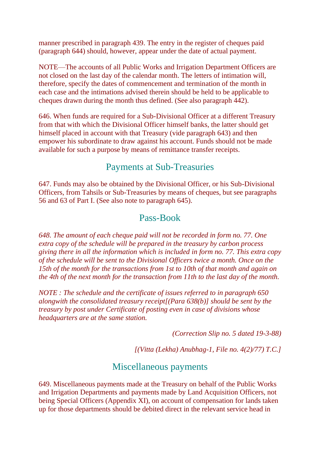manner prescribed in paragraph 439. The entry in the register of cheques paid (paragraph 644) should, however, appear under the date of actual payment.

NOTE—The accounts of all Public Works and Irrigation Department Officers are not closed on the last day of the calendar month. The letters of intimation will, therefore, specify the dates of commencement and termination of the month in each case and the intimations advised therein should be held to be applicable to cheques drawn during the month thus defined. (See also paragraph 442).

646. When funds are required for a Sub-Divisional Officer at a different Treasury from that with which the Divisional Officer himself banks, the latter should get himself placed in account with that Treasury (vide paragraph 643) and then empower his subordinate to draw against his account. Funds should not be made available for such a purpose by means of remittance transfer receipts.

#### Payments at Sub-Treasuries

647. Funds may also be obtained by the Divisional Officer, or his Sub-Divisional Officers, from Tahsils or Sub-Treasuries by means of cheques, but see paragraphs 56 and 63 of Part I. (See also note to paragraph 645).

#### Pass-Book

*648. The amount of each cheque paid will not be recorded in form no. 77. One extra copy of the schedule will be prepared in the treasury by carbon process giving there in all the information which is included in form no. 77. This extra copy of the schedule will be sent to the Divisional Officers twice a month. Once on the 15th of the month for the transactions from 1st to 10th of that month and again on the 4th of the next month for the transaction from 11th to the last day of the month.*

*NOTE : The schedule and the certificate of issues referred to in paragraph 650 alongwith the consolidated treasury receipt[(Para 638(b)] should be sent by the treasury by post under Certificate of posting even in case of divisions whose headquarters are at the same station.*

*(Correction Slip no. 5 dated 19-3-88)*

*[(Vitta (Lekha) Anubhag-1, File no. 4(2)/77) T.C.]*

#### Miscellaneous payments

649. Miscellaneous payments made at the Treasury on behalf of the Public Works and Irrigation Departments and payments made by Land Acquisition Officers, not being Special Officers (Appendix XI), on account of compensation for lands taken up for those departments should be debited direct in the relevant service head in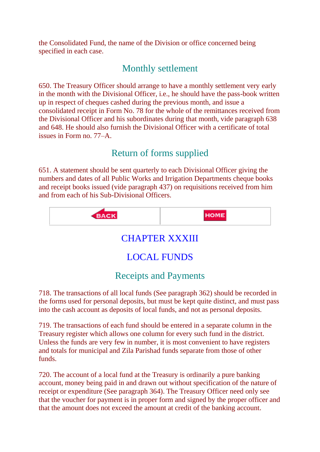the Consolidated Fund, the name of the Division or office concerned being specified in each case.

## Monthly settlement

650. The Treasury Officer should arrange to have a monthly settlement very early in the month with the Divisional Officer, i.e., he should have the pass-book written up in respect of cheques cashed during the previous month, and issue a consolidated receipt in Form No. 78 for the whole of the remittances received from the Divisional Officer and his subordinates during that month, vide paragraph 638 and 648. He should also furnish the Divisional Officer with a certificate of total issues in Form no. 77–A.

# Return of forms supplied

651. A statement should be sent quarterly to each Divisional Officer giving the numbers and dates of all Public Works and Irrigation Departments cheque books and receipt books issued (vide paragraph 437) on requisitions received from him and from each of his Sub-Divisional Officers.



# CHAPTER XXXIII

# LOCAL FUNDS

# Receipts and Payments

718. The transactions of all local funds (See paragraph 362) should be recorded in the forms used for personal deposits, but must be kept quite distinct, and must pass into the cash account as deposits of local funds, and not as personal deposits.

719. The transactions of each fund should be entered in a separate column in the Treasury register which allows one column for every such fund in the district. Unless the funds are very few in number, it is most convenient to have registers and totals for municipal and Zila Parishad funds separate from those of other funds.

720. The account of a local fund at the Treasury is ordinarily a pure banking account, money being paid in and drawn out without specification of the nature of receipt or expenditure (See paragraph 364). The Treasury Officer need only see that the voucher for payment is in proper form and signed by the proper officer and that the amount does not exceed the amount at credit of the banking account.